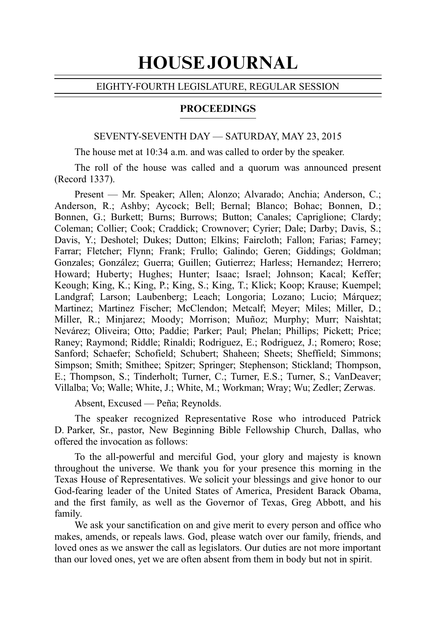# HOUSE JOURNAL

### EIGHTY-FOURTH LEGISLATURE, REGULAR SESSION

# **PROCEEDINGS**

#### SEVENTY-SEVENTH DAY — SATURDAY, MAY 23, 2015

The house met at 10:34 a.m. and was called to order by the speaker.

The roll of the house was called and a quorum was announced present (Record 1337).

Present — Mr. Speaker; Allen; Alonzo; Alvarado; Anchia; Anderson, C.; Anderson, R.; Ashby; Aycock; Bell; Bernal; Blanco; Bohac; Bonnen, D.; Bonnen, G.; Burkett; Burns; Burrows; Button; Canales; Capriglione; Clardy; Coleman; Collier; Cook; Craddick; Crownover; Cyrier; Dale; Darby; Davis, S.; Davis, Y.; Deshotel; Dukes; Dutton; Elkins; Faircloth; Fallon; Farias; Farney; Farrar; Fletcher; Flynn; Frank; Frullo; Galindo; Geren; Giddings; Goldman; Gonzales; González; Guerra; Guillen; Gutierrez; Harless; Hernandez; Herrero; Howard; Huberty; Hughes; Hunter; Isaac; Israel; Johnson; Kacal; Keffer; Keough; King, K.; King, P.; King, S.; King, T.; Klick; Koop; Krause; Kuempel; Landgraf; Larson; Laubenberg; Leach; Longoria; Lozano; Lucio; Márquez; Martinez; Martinez Fischer; McClendon; Metcalf; Meyer; Miles; Miller, D.; Miller, R.; Minjarez; Moody; Morrison; Muñoz; Murphy; Murr; Naishtat; Nevárez; Oliveira; Otto; Paddie; Parker; Paul; Phelan; Phillips; Pickett; Price; Raney; Raymond; Riddle; Rinaldi; Rodriguez, E.; Rodriguez, J.; Romero; Rose; Sanford; Schaefer; Schofield; Schubert; Shaheen; Sheets; Sheffield; Simmons; Simpson; Smith; Smithee; Spitzer; Springer; Stephenson; Stickland; Thompson, E.; Thompson, S.; Tinderholt; Turner, C.; Turner, E.S.; Turner, S.; VanDeaver; Villalba; Vo; Walle; White, J.; White, M.; Workman; Wray; Wu; Zedler; Zerwas.

Absent, Excused — Peña; Reynolds.

The speaker recognized Representative Rose who introduced Patrick D. Parker, Sr., pastor, New Beginning Bible Fellowship Church, Dallas, who offered the invocation as follows:

To the all-powerful and merciful God, your glory and majesty is known throughout the universe. We thank you for your presence this morning in the Texas House of Representatives. We solicit your blessings and give honor to our God-fearing leader of the United States of America, President Barack Obama, and the first family, as well as the Governor of Texas, Greg Abbott, and his family.

We ask your sanctification on and give merit to every person and office who makes, amends, or repeals laws. God, please watch over our family, friends, and loved ones as we answer the call as legislators. Our duties are not more important than our loved ones, yet we are often absent from them in body but not in spirit.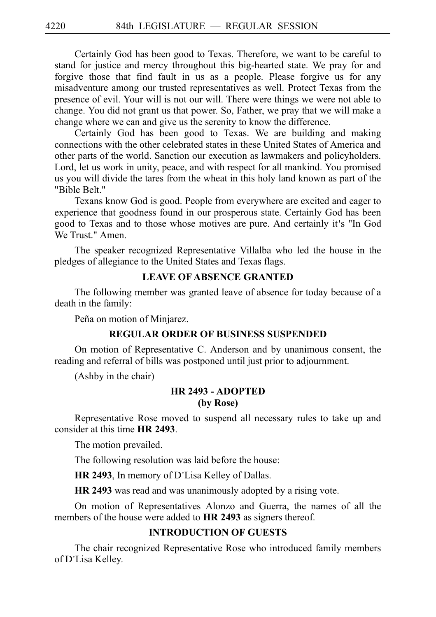Certainly God has been good to Texas. Therefore, we want to be careful to stand for justice and mercy throughout this big-hearted state. We pray for and forgive those that find fault in us as a people. Please forgive us for any misadventure among our trusted representatives as well. Protect Texas from the presence of evil. Your will is not our will. There were things we were not able to change. You did not grant us that power. So, Father, we pray that we will make a change where we can and give us the serenity to know the difference.

Certainly God has been good to Texas. We are building and making connections with the other celebrated states in these United States of America and other parts of the world. Sanction our execution as lawmakers and policyholders. Lord, let us work in unity, peace, and with respect for all mankind. You promised us you will divide the tares from the wheat in this holy land known as part of the "Bible Belt."

Texans know God is good. People from everywhere are excited and eager to experience that goodness found in our prosperous state. Certainly God has been good to Texas and to those whose motives are pure. And certainly it's "In God We Trust." Amen.

The speaker recognized Representative Villalba who led the house in the pledges of allegiance to the United States and Texas flags.

### **LEAVE OF ABSENCE GRANTED**

The following member was granted leave of absence for today because of a death in the family:

Peña on motion of Minjarez.

### **REGULAR ORDER OF BUSINESS SUSPENDED**

On motion of Representative C. Anderson and by unanimous consent, the reading and referral of bills was postponed until just prior to adjournment.

(Ashby in the chair)

# **HR 2493 - ADOPTED (by Rose)**

Representative Rose moved to suspend all necessary rules to take up and consider at this time **HR 2493**.

The motion prevailed.

The following resolution was laid before the house:

**HR 2493**, In memory of D'Lisa Kelley of Dallas.

**HR 2493** was read and was unanimously adopted by a rising vote.

On motion of Representatives Alonzo and Guerra, the names of all the members of the house were added to **HR 2493** as signers thereof.

# **INTRODUCTION OF GUESTS**

The chair recognized Representative Rose who introduced family members of D'Lisa Kelley.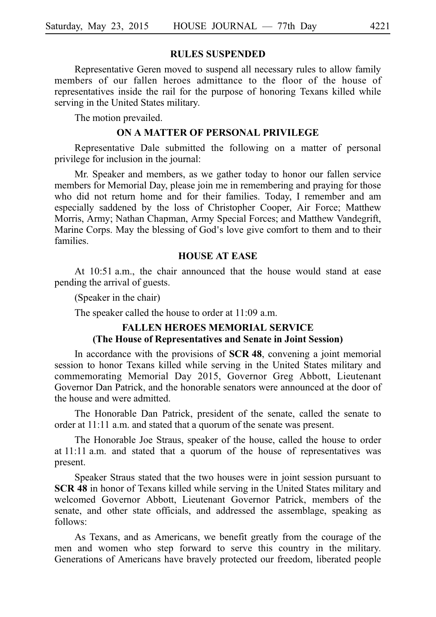### **RULES SUSPENDED**

Representative Geren moved to suspend all necessary rules to allow family members of our fallen heroes admittance to the floor of the house of representatives inside the rail for the purpose of honoring Texans killed while serving in the United States military.

The motion prevailed.

#### **ON A MATTER OF PERSONAL PRIVILEGE**

Representative Dale submitted the following on a matter of personal privilege for inclusion in the journal:

Mr. Speaker and members, as we gather today to honor our fallen service members for Memorial Day, please join me in remembering and praying for those who did not return home and for their families. Today, I remember and am especially saddened by the loss of Christopher Cooper, Air Force; Matthew Morris, Army; Nathan Chapman, Army Special Forces; and Matthew Vandegrift, Marine Corps. May the blessing of God's love give comfort to them and to their families.

### **HOUSE AT EASE**

At  $10:51$  a.m., the chair announced that the house would stand at ease pending the arrival of guests.

(Speaker in the chair)

The speaker called the house to order at 11:09 a.m.

### **FALLEN HEROES MEMORIAL SERVICE (The House of Representatives and Senate in Joint Session)**

In accordance with the provisions of **SCR 48**, convening a joint memorial session to honor Texans killed while serving in the United States military and commemorating Memorial Day 2015, Governor Greg Abbott, Lieutenant Governor Dan Patrick, and the honorable senators were announced at the door of the house and were admitted.

The Honorable Dan Patrick, president of the senate, called the senate to order at 11:11 a.m. and stated that a quorum of the senate was present.

The Honorable Joe Straus, speaker of the house, called the house to order at  $11:11$  a.m. and stated that a quorum of the house of representatives was present.

Speaker Straus stated that the two houses were in joint session pursuant to **SCR 48** in honor of Texans killed while serving in the United States military and welcomed Governor Abbott, Lieutenant Governor Patrick, members of the senate, and other state officials, and addressed the assemblage, speaking as follows:

As Texans, and as Americans, we benefit greatly from the courage of the men and women who step forward to serve this country in the military. Generations of Americans have bravely protected our freedom, liberated people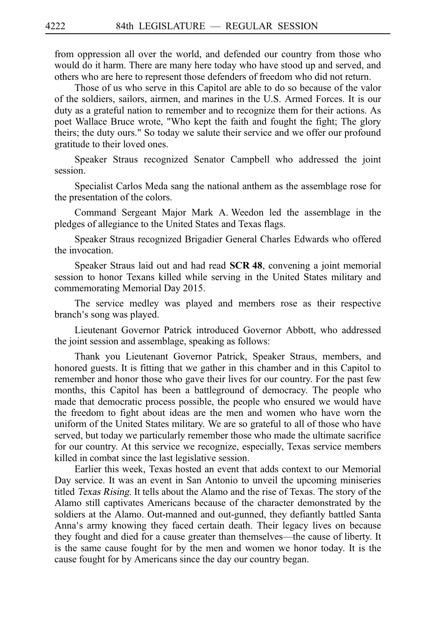from oppression all over the world, and defended our country from those who would do it harm. There are many here today who have stood up and served, and others who are here to represent those defenders of freedom who did not return.

Those of us who serve in this Capitol are able to do so because of the valor of the soldiers, sailors, airmen, and marines in the U.S. Armed Forces. It is our duty as a grateful nation to remember and to recognize them for their actions. As poet Wallace Bruce wrote, "Who kept the faith and fought the fight; The glory theirs; the duty ours." So today we salute their service and we offer our profound gratitude to their loved ones.

Speaker Straus recognized Senator Campbell who addressed the joint session.

Specialist Carlos Meda sang the national anthem as the assemblage rose for the presentation of the colors.

Command Sergeant Major Mark A. Weedon led the assemblage in the pledges of allegiance to the United States and Texas flags.

Speaker Straus recognized Brigadier General Charles Edwards who offered the invocation.

Speaker Straus laid out and had read **SCR 48**, convening a joint memorial session to honor Texans killed while serving in the United States military and commemorating Memorial Day 2015.

The service medley was played and members rose as their respective branch's song was played.

Lieutenant Governor Patrick introduced Governor Abbott, who addressed the joint session and assemblage, speaking as follows:

Thank you Lieutenant Governor Patrick, Speaker Straus, members, and honored guests. It is fitting that we gather in this chamber and in this Capitol to remember and honor those who gave their lives for our country. For the past few months, this Capitol has been a battleground of democracy. The people who made that democratic process possible, the people who ensured we would have the freedom to fight about ideas are the men and women who have worn the uniform of the United States military. We are so grateful to all of those who have served, but today we particularly remember those who made the ultimate sacrifice for our country. At this service we recognize, especially, Texas service members killed in combat since the last legislative session.

Earlier this week, Texas hosted an event that adds context to our Memorial Day service. It was an event in San Antonio to unveil the upcoming miniseries titled Texas Rising. It tells about the Alamo and the rise of Texas. The story of the Alamo still captivates Americans because of the character demonstrated by the soldiers at the Alamo. Out-manned and out-gunned, they defiantly battled Santa Anna's army knowing they faced certain death. Their legacy lives on because they fought and died for a cause greater than themselves—the cause of liberty. It is the same cause fought for by the men and women we honor today. It is the cause fought for by Americans since the day our country began.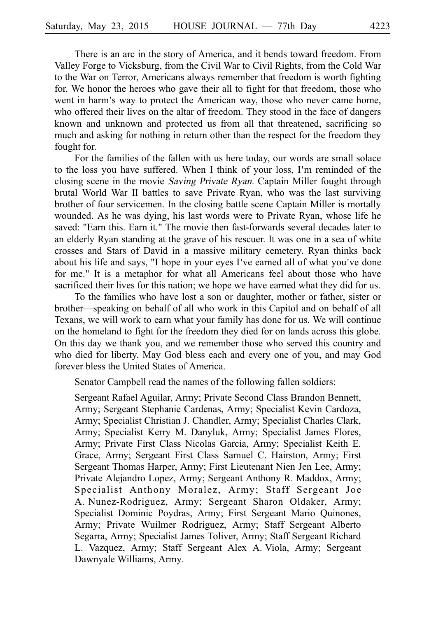There is an arc in the story of America, and it bends toward freedom. From Valley Forge to Vicksburg, from the Civil War to Civil Rights, from the Cold War to the War on Terror, Americans always remember that freedom is worth fighting for. We honor the heroes who gave their all to fight for that freedom, those who went in harm's way to protect the American way, those who never came home, who offered their lives on the altar of freedom. They stood in the face of dangers known and unknown and protected us from all that threatened, sacrificing so much and asking for nothing in return other than the respect for the freedom they fought for.

For the families of the fallen with us here today, our words are small solace to the loss you have suffered. When I think of your loss, I m reminded of the ' closing scene in the movie Saving Private Ryan. Captain Miller fought through brutal World War II battles to save Private Ryan, who was the last surviving brother of four servicemen. In the closing battle scene Captain Miller is mortally wounded. As he was dying, his last words were to Private Ryan, whose life he saved: "Earn this. Earn it." The movie then fast-forwards several decades later to an elderly Ryan standing at the grave of his rescuer. It was one in a sea of white crosses and Stars of David in a massive military cemetery. Ryan thinks back about his life and says, "I hope in your eyes I've earned all of what you've done for me." It is a metaphor for what all Americans feel about those who have sacrificed their lives for this nation; we hope we have earned what they did for us.

To the families who have lost a son or daughter, mother or father, sister or brother—speaking on behalf of all who work in this Capitol and on behalf of all Texans, we will work to earn what your family has done for us. We will continue on the homeland to fight for the freedom they died for on lands across this globe. On this day we thank you, and we remember those who served this country and who died for liberty. May God bless each and every one of you, and may God forever bless the United States of America.

Senator Campbell read the names of the following fallen soldiers:

Sergeant Rafael Aguilar, Army; Private Second Class Brandon Bennett, Army; Sergeant Stephanie Cardenas, Army; Specialist Kevin Cardoza, Army; Specialist Christian J. Chandler, Army; Specialist Charles Clark, Army; Specialist Kerry M. Danyluk, Army; Specialist James Flores, Army; Private First Class Nicolas Garcia, Army; Specialist Keith E. Grace, Army; Sergeant First Class Samuel C. Hairston, Army; First Sergeant Thomas Harper, Army; First Lieutenant Nien Jen Lee, Army; Private Alejandro Lopez, Army; Sergeant Anthony R. Maddox, Army; Specialist Anthony Moralez, Army; Staff Sergeant Joe A. Nunez-Rodriguez, Army; Sergeant Sharon Oldaker, Army; Specialist Dominic Poydras, Army; First Sergeant Mario Quinones, Army; Private Wuilmer Rodriguez, Army; Staff Sergeant Alberto Segarra, Army; Specialist James Toliver, Army; Staff Sergeant Richard L. Vazquez, Army; Staff Sergeant Alex A. Viola, Army; Sergeant Dawnyale Williams, Army.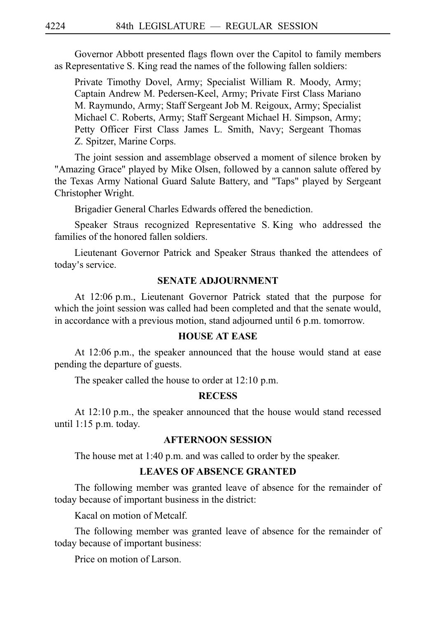Governor Abbott presented flags flown over the Capitol to family members as Representative S. King read the names of the following fallen soldiers:

Private Timothy Dovel, Army; Specialist William R. Moody, Army; Captain Andrew M. Pedersen-Keel, Army; Private First Class Mariano M. Raymundo, Army; Staff Sergeant Job M. Reigoux, Army; Specialist Michael C. Roberts, Army; Staff Sergeant Michael H. Simpson, Army; Petty Officer First Class James L. Smith, Navy; Sergeant Thomas Z. Spitzer, Marine Corps.

The joint session and assemblage observed a moment of silence broken by "Amazing Grace" played by Mike Olsen, followed by a cannon salute offered by the Texas Army National Guard Salute Battery, and "Taps" played by Sergeant Christopher Wright.

Brigadier General Charles Edwards offered the benediction.

Speaker Straus recognized Representative S. King who addressed the families of the honored fallen soldiers.

Lieutenant Governor Patrick and Speaker Straus thanked the attendees of today's service.

# **SENATE ADJOURNMENT**

At 12:06 p.m., Lieutenant Governor Patrick stated that the purpose for which the joint session was called had been completed and that the senate would, in accordance with a previous motion, stand adjourned until 6 p.m. tomorrow.

# **HOUSE AT EASE**

At  $12:06$  p.m., the speaker announced that the house would stand at ease pending the departure of guests.

The speaker called the house to order at  $12:10$  p.m.

### **RECESS**

At  $12:10$  p.m., the speaker announced that the house would stand recessed until  $1:15$  p.m. today.

# **AFTERNOON SESSION**

The house met at 1:40 p.m. and was called to order by the speaker.

# **LEAVES OF ABSENCE GRANTED**

The following member was granted leave of absence for the remainder of today because of important business in the district:

Kacal on motion of Metcalf.

The following member was granted leave of absence for the remainder of today because of important business:

Price on motion of Larson.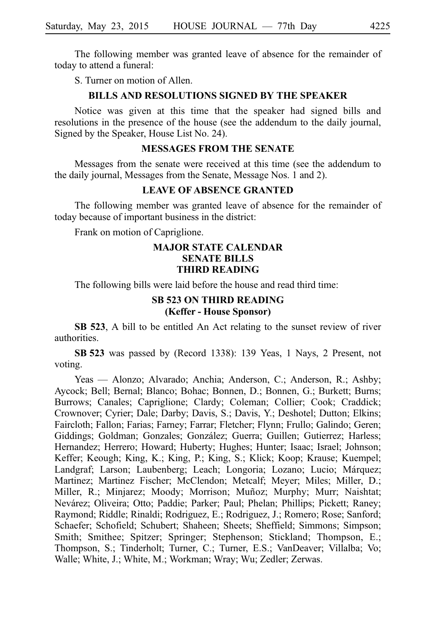The following member was granted leave of absence for the remainder of today to attend a funeral:

S. Turner on motion of Allen.

### **BILLS AND RESOLUTIONS SIGNED BY THE SPEAKER**

Notice was given at this time that the speaker had signed bills and resolutions in the presence of the house (see the addendum to the daily journal, Signed by the Speaker, House List No. 24).

### **MESSAGES FROM THE SENATE**

Messages from the senate were received at this time (see the addendum to the daily journal, Messages from the Senate, Message Nos. 1 and 2).

#### **LEAVE OF ABSENCE GRANTED**

The following member was granted leave of absence for the remainder of today because of important business in the district:

Frank on motion of Capriglione.

# **MAJOR STATE CALENDAR SENATE BILLS THIRD READING**

The following bills were laid before the house and read third time:

# **SB 523 ON THIRD READING (Keffer - House Sponsor)**

**SB 523**, A bill to be entitled An Act relating to the sunset review of river authorities.

**SBi523** was passed by (Record 1338): 139 Yeas, 1 Nays, 2 Present, not voting.

Yeas — Alonzo; Alvarado; Anchia; Anderson, C.; Anderson, R.; Ashby; Aycock; Bell; Bernal; Blanco; Bohac; Bonnen, D.; Bonnen, G.; Burkett; Burns; Burrows; Canales; Capriglione; Clardy; Coleman; Collier; Cook; Craddick; Crownover; Cyrier; Dale; Darby; Davis, S.; Davis, Y.; Deshotel; Dutton; Elkins; Faircloth; Fallon; Farias; Farney; Farrar; Fletcher; Flynn; Frullo; Galindo; Geren; Giddings; Goldman; Gonzales; González; Guerra; Guillen; Gutierrez; Harless; Hernandez; Herrero; Howard; Huberty; Hughes; Hunter; Isaac; Israel; Johnson; Keffer; Keough; King, K.; King, P.; King, S.; Klick; Koop; Krause; Kuempel; Landgraf; Larson; Laubenberg; Leach; Longoria; Lozano; Lucio; Márquez; Martinez; Martinez Fischer; McClendon; Metcalf; Meyer; Miles; Miller, D.; Miller, R.; Minjarez; Moody; Morrison; Muñoz; Murphy; Murr; Naishtat; Nevárez; Oliveira; Otto; Paddie; Parker; Paul; Phelan; Phillips; Pickett; Raney; Raymond; Riddle; Rinaldi; Rodriguez, E.; Rodriguez, J.; Romero; Rose; Sanford; Schaefer; Schofield; Schubert; Shaheen; Sheets; Sheffield; Simmons; Simpson; Smith; Smithee; Spitzer; Springer; Stephenson; Stickland; Thompson, E.; Thompson, S.; Tinderholt; Turner, C.; Turner, E.S.; VanDeaver; Villalba; Vo; Walle; White, J.; White, M.; Workman; Wray; Wu; Zedler; Zerwas.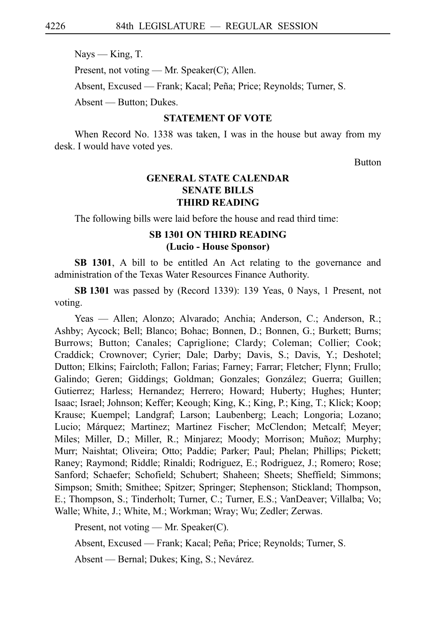Nays — King, T.

Present, not voting — Mr. Speaker(C); Allen.

Absent, Excused — Frank; Kacal; Peña; Price; Reynolds; Turner, S.

Absent — Button; Dukes.

### **STATEMENT OF VOTE**

When Record No. 1338 was taken, I was in the house but away from my desk. I would have voted yes.

**Button** 

# **GENERAL STATE CALENDAR SENATE BILLS THIRD READING**

The following bills were laid before the house and read third time:

# **SB 1301 ON THIRD READING (Lucio - House Sponsor)**

**SB 1301**, A bill to be entitled An Act relating to the governance and administration of the Texas Water Resources Finance Authority.

**SBi1301** was passed by (Record 1339): 139 Yeas, 0 Nays, 1 Present, not voting.

Yeas — Allen; Alonzo; Alvarado; Anchia; Anderson, C.; Anderson, R.; Ashby; Aycock; Bell; Blanco; Bohac; Bonnen, D.; Bonnen, G.; Burkett; Burns; Burrows; Button; Canales; Capriglione; Clardy; Coleman; Collier; Cook; Craddick; Crownover; Cyrier; Dale; Darby; Davis, S.; Davis, Y.; Deshotel; Dutton; Elkins; Faircloth; Fallon; Farias; Farney; Farrar; Fletcher; Flynn; Frullo; Galindo; Geren; Giddings; Goldman; Gonzales; González; Guerra; Guillen; Gutierrez; Harless; Hernandez; Herrero; Howard; Huberty; Hughes; Hunter; Isaac; Israel; Johnson; Keffer; Keough; King, K.; King, P.; King, T.; Klick; Koop; Krause; Kuempel; Landgraf; Larson; Laubenberg; Leach; Longoria; Lozano; Lucio; Márquez; Martinez; Martinez Fischer; McClendon; Metcalf; Meyer; Miles; Miller, D.; Miller, R.; Minjarez; Moody; Morrison; Muñoz; Murphy; Murr; Naishtat; Oliveira; Otto; Paddie; Parker; Paul; Phelan; Phillips; Pickett; Raney; Raymond; Riddle; Rinaldi; Rodriguez, E.; Rodriguez, J.; Romero; Rose; Sanford; Schaefer; Schofield; Schubert; Shaheen; Sheets; Sheffield; Simmons; Simpson; Smith; Smithee; Spitzer; Springer; Stephenson; Stickland; Thompson, E.; Thompson, S.; Tinderholt; Turner, C.; Turner, E.S.; VanDeaver; Villalba; Vo; Walle; White, J.; White, M.; Workman; Wray; Wu; Zedler; Zerwas.

Present, not voting — Mr. Speaker(C).

Absent, Excused — Frank; Kacal; Peña; Price; Reynolds; Turner, S.

Absent — Bernal; Dukes; King, S.; Nevárez.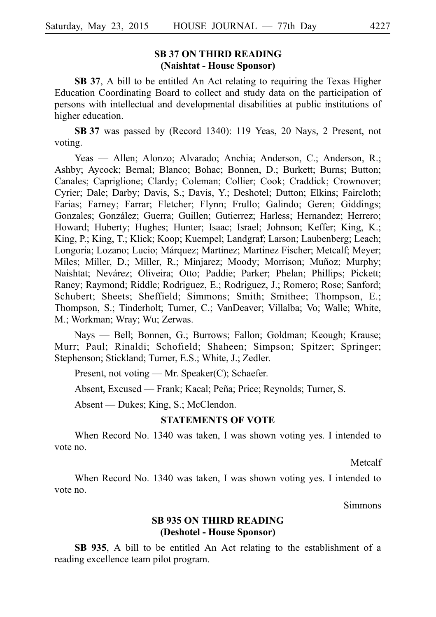# **SB 37 ON THIRD READING (Naishtat - House Sponsor)**

**SB 37**, A bill to be entitled An Act relating to requiring the Texas Higher Education Coordinating Board to collect and study data on the participation of persons with intellectual and developmental disabilities at public institutions of higher education.

**SBi37** was passed by (Record 1340): 119 Yeas, 20 Nays, 2 Present, not voting.

Yeas — Allen; Alonzo; Alvarado; Anchia; Anderson, C.; Anderson, R.; Ashby; Aycock; Bernal; Blanco; Bohac; Bonnen, D.; Burkett; Burns; Button; Canales; Capriglione; Clardy; Coleman; Collier; Cook; Craddick; Crownover; Cyrier; Dale; Darby; Davis, S.; Davis, Y.; Deshotel; Dutton; Elkins; Faircloth; Farias; Farney; Farrar; Fletcher; Flynn; Frullo; Galindo; Geren; Giddings; Gonzales; González; Guerra; Guillen; Gutierrez; Harless; Hernandez; Herrero; Howard; Huberty; Hughes; Hunter; Isaac; Israel; Johnson; Keffer; King, K.; King, P.; King, T.; Klick; Koop; Kuempel; Landgraf; Larson; Laubenberg; Leach; Longoria; Lozano; Lucio; Márquez; Martinez; Martinez Fischer; Metcalf; Meyer; Miles; Miller, D.; Miller, R.; Minjarez; Moody; Morrison; Muñoz; Murphy; Naishtat; Nevárez; Oliveira; Otto; Paddie; Parker; Phelan; Phillips; Pickett; Raney; Raymond; Riddle; Rodriguez, E.; Rodriguez, J.; Romero; Rose; Sanford; Schubert; Sheets; Sheffield; Simmons; Smith; Smithee; Thompson, E.; Thompson, S.; Tinderholt; Turner, C.; VanDeaver; Villalba; Vo; Walle; White, M.; Workman; Wray; Wu; Zerwas.

Nays — Bell; Bonnen, G.; Burrows; Fallon; Goldman; Keough; Krause; Murr; Paul; Rinaldi; Schofield; Shaheen; Simpson; Spitzer; Springer; Stephenson; Stickland; Turner, E.S.; White, J.; Zedler.

Present, not voting — Mr. Speaker(C); Schaefer.

Absent, Excused — Frank; Kacal; Peña; Price; Reynolds; Turner, S.

Absent — Dukes; King, S.; McClendon.

# **STATEMENTS OF VOTE**

When Record No. 1340 was taken, I was shown voting yes. I intended to vote no.

Metcalf

When Record No. 1340 was taken, I was shown voting yes. I intended to vote no.

Simmons

### **SB 935 ON THIRD READING (Deshotel - House Sponsor)**

**SB 935**, A bill to be entitled An Act relating to the establishment of a reading excellence team pilot program.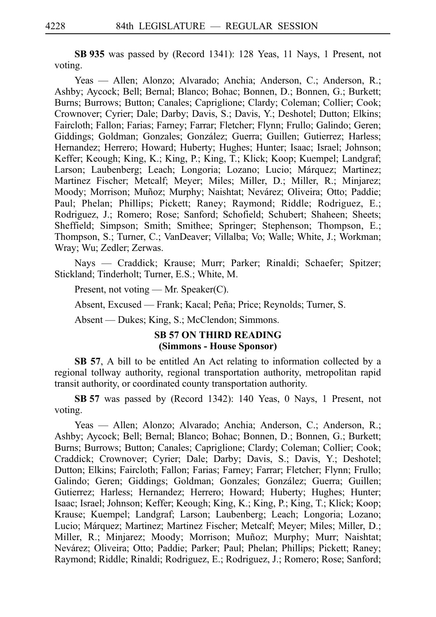**SBi935** was passed by (Record 1341): 128 Yeas, 11 Nays, 1 Present, not voting.

Yeas — Allen; Alonzo; Alvarado; Anchia; Anderson, C.; Anderson, R.; Ashby; Aycock; Bell; Bernal; Blanco; Bohac; Bonnen, D.; Bonnen, G.; Burkett; Burns; Burrows; Button; Canales; Capriglione; Clardy; Coleman; Collier; Cook; Crownover; Cyrier; Dale; Darby; Davis, S.; Davis, Y.; Deshotel; Dutton; Elkins; Faircloth; Fallon; Farias; Farney; Farrar; Fletcher; Flynn; Frullo; Galindo; Geren; Giddings; Goldman; Gonzales; González; Guerra; Guillen; Gutierrez; Harless; Hernandez; Herrero; Howard; Huberty; Hughes; Hunter; Isaac; Israel; Johnson; Keffer; Keough; King, K.; King, P.; King, T.; Klick; Koop; Kuempel; Landgraf; Larson; Laubenberg; Leach; Longoria; Lozano; Lucio; Márquez; Martinez; Martinez Fischer; Metcalf; Meyer; Miles; Miller, D.; Miller, R.; Minjarez; Moody; Morrison; Muñoz; Murphy; Naishtat; Nevárez; Oliveira; Otto; Paddie; Paul; Phelan; Phillips; Pickett; Raney; Raymond; Riddle; Rodriguez, E.; Rodriguez, J.; Romero; Rose; Sanford; Schofield; Schubert; Shaheen; Sheets; Sheffield; Simpson; Smith; Smithee; Springer; Stephenson; Thompson, E.; Thompson, S.; Turner, C.; VanDeaver; Villalba; Vo; Walle; White, J.; Workman; Wray; Wu; Zedler; Zerwas.

Nays — Craddick; Krause; Murr; Parker; Rinaldi; Schaefer; Spitzer; Stickland; Tinderholt; Turner, E.S.; White, M.

Present, not voting — Mr. Speaker(C).

Absent, Excused — Frank; Kacal; Peña; Price; Reynolds; Turner, S.

Absent — Dukes; King, S.; McClendon; Simmons.

# **SB 57 ON THIRD READING (Simmons - House Sponsor)**

**SB 57**, A bill to be entitled An Act relating to information collected by a regional tollway authority, regional transportation authority, metropolitan rapid transit authority, or coordinated county transportation authority.

**SBi57** was passed by (Record 1342): 140 Yeas, 0 Nays, 1 Present, not voting.

Yeas — Allen; Alonzo; Alvarado; Anchia; Anderson, C.; Anderson, R.; Ashby; Aycock; Bell; Bernal; Blanco; Bohac; Bonnen, D.; Bonnen, G.; Burkett; Burns; Burrows; Button; Canales; Capriglione; Clardy; Coleman; Collier; Cook; Craddick; Crownover; Cyrier; Dale; Darby; Davis, S.; Davis, Y.; Deshotel; Dutton; Elkins; Faircloth; Fallon; Farias; Farney; Farrar; Fletcher; Flynn; Frullo; Galindo; Geren; Giddings; Goldman; Gonzales; González; Guerra; Guillen; Gutierrez; Harless; Hernandez; Herrero; Howard; Huberty; Hughes; Hunter; Isaac; Israel; Johnson; Keffer; Keough; King, K.; King, P.; King, T.; Klick; Koop; Krause; Kuempel; Landgraf; Larson; Laubenberg; Leach; Longoria; Lozano; Lucio; Márquez; Martinez; Martinez Fischer; Metcalf; Meyer; Miles; Miller, D.; Miller, R.; Minjarez; Moody; Morrison; Muñoz; Murphy; Murr; Naishtat; Nevárez; Oliveira; Otto; Paddie; Parker; Paul; Phelan; Phillips; Pickett; Raney; Raymond; Riddle; Rinaldi; Rodriguez, E.; Rodriguez, J.; Romero; Rose; Sanford;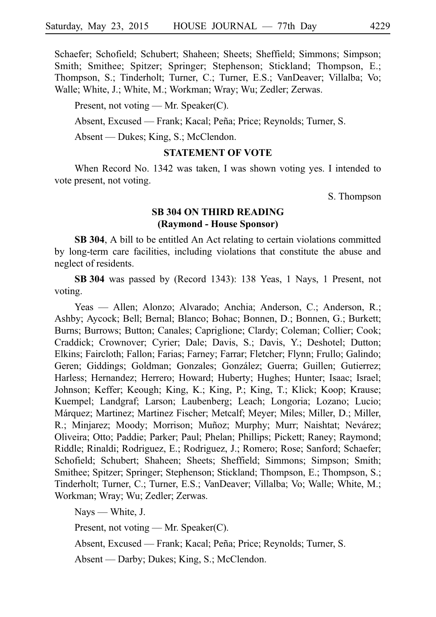Schaefer; Schofield; Schubert; Shaheen; Sheets; Sheffield; Simmons; Simpson; Smith; Smithee; Spitzer; Springer; Stephenson; Stickland; Thompson, E.; Thompson, S.; Tinderholt; Turner, C.; Turner, E.S.; VanDeaver; Villalba; Vo; Walle; White, J.; White, M.; Workman; Wray; Wu; Zedler; Zerwas.

Present, not voting — Mr. Speaker(C).

Absent, Excused — Frank; Kacal; Peña; Price; Reynolds; Turner, S.

Absent — Dukes; King, S.; McClendon.

### **STATEMENT OF VOTE**

When Record No. 1342 was taken, I was shown voting yes. I intended to vote present, not voting.

S. Thompson

# **SB 304 ON THIRD READING (Raymond - House Sponsor)**

**SB 304**, A bill to be entitled An Act relating to certain violations committed by long-term care facilities, including violations that constitute the abuse and neglect of residents.

**SBi304** was passed by (Record 1343): 138 Yeas, 1 Nays, 1 Present, not voting.

Yeas — Allen; Alonzo; Alvarado; Anchia; Anderson, C.; Anderson, R.; Ashby; Aycock; Bell; Bernal; Blanco; Bohac; Bonnen, D.; Bonnen, G.; Burkett; Burns; Burrows; Button; Canales; Capriglione; Clardy; Coleman; Collier; Cook; Craddick; Crownover; Cyrier; Dale; Davis, S.; Davis, Y.; Deshotel; Dutton; Elkins; Faircloth; Fallon; Farias; Farney; Farrar; Fletcher; Flynn; Frullo; Galindo; Geren; Giddings; Goldman; Gonzales; González; Guerra; Guillen; Gutierrez; Harless; Hernandez; Herrero; Howard; Huberty; Hughes; Hunter; Isaac; Israel; Johnson; Keffer; Keough; King, K.; King, P.; King, T.; Klick; Koop; Krause; Kuempel; Landgraf; Larson; Laubenberg; Leach; Longoria; Lozano; Lucio; Márquez; Martinez; Martinez Fischer; Metcalf; Meyer; Miles; Miller, D.; Miller, R.; Minjarez; Moody; Morrison; Muñoz; Murphy; Murr; Naishtat; Nevárez; Oliveira; Otto; Paddie; Parker; Paul; Phelan; Phillips; Pickett; Raney; Raymond; Riddle; Rinaldi; Rodriguez, E.; Rodriguez, J.; Romero; Rose; Sanford; Schaefer; Schofield; Schubert; Shaheen; Sheets; Sheffield; Simmons; Simpson; Smith; Smithee; Spitzer; Springer; Stephenson; Stickland; Thompson, E.; Thompson, S.; Tinderholt; Turner, C.; Turner, E.S.; VanDeaver; Villalba; Vo; Walle; White, M.; Workman; Wray; Wu; Zedler; Zerwas.

Nays — White, J.

Present, not voting — Mr. Speaker(C).

Absent, Excused — Frank; Kacal; Peña; Price; Reynolds; Turner, S.

Absent — Darby; Dukes; King, S.; McClendon.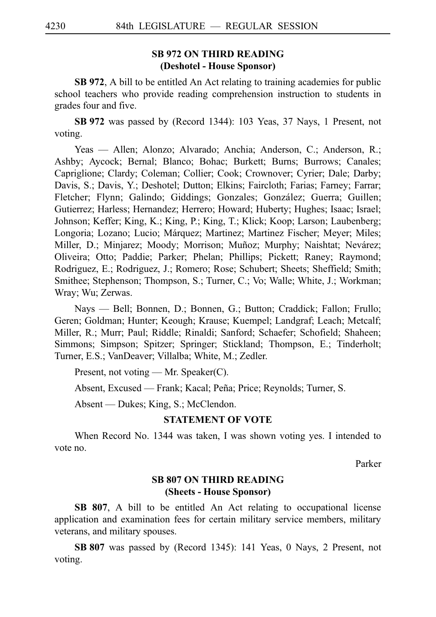# **SB 972 ON THIRD READING (Deshotel - House Sponsor)**

**SB 972**, A bill to be entitled An Act relating to training academies for public school teachers who provide reading comprehension instruction to students in grades four and five.

**SBi972** was passed by (Record 1344): 103 Yeas, 37 Nays, 1 Present, not voting.

Yeas — Allen; Alonzo; Alvarado; Anchia; Anderson, C.; Anderson, R.; Ashby; Aycock; Bernal; Blanco; Bohac; Burkett; Burns; Burrows; Canales; Capriglione; Clardy; Coleman; Collier; Cook; Crownover; Cyrier; Dale; Darby; Davis, S.; Davis, Y.; Deshotel; Dutton; Elkins; Faircloth; Farias; Farney; Farrar; Fletcher; Flynn; Galindo; Giddings; Gonzales; González; Guerra; Guillen; Gutierrez; Harless; Hernandez; Herrero; Howard; Huberty; Hughes; Isaac; Israel; Johnson; Keffer; King, K.; King, P.; King, T.; Klick; Koop; Larson; Laubenberg; Longoria; Lozano; Lucio; Márquez; Martinez; Martinez Fischer; Meyer; Miles; Miller, D.; Minjarez; Moody; Morrison; Muñoz; Murphy; Naishtat; Nevárez; Oliveira; Otto; Paddie; Parker; Phelan; Phillips; Pickett; Raney; Raymond; Rodriguez, E.; Rodriguez, J.; Romero; Rose; Schubert; Sheets; Sheffield; Smith; Smithee; Stephenson; Thompson, S.; Turner, C.; Vo; Walle; White, J.; Workman; Wray; Wu; Zerwas.

Nays — Bell; Bonnen, D.; Bonnen, G.; Button; Craddick; Fallon; Frullo; Geren; Goldman; Hunter; Keough; Krause; Kuempel; Landgraf; Leach; Metcalf; Miller, R.; Murr; Paul; Riddle; Rinaldi; Sanford; Schaefer; Schofield; Shaheen; Simmons; Simpson; Spitzer; Springer; Stickland; Thompson, E.; Tinderholt; Turner, E.S.; VanDeaver; Villalba; White, M.; Zedler.

Present, not voting — Mr. Speaker(C).

Absent, Excused — Frank; Kacal; Peña; Price; Reynolds; Turner, S.

Absent — Dukes; King, S.; McClendon.

### **STATEMENT OF VOTE**

When Record No. 1344 was taken, I was shown voting yes. I intended to vote no.

Parker

# **SB 807 ON THIRD READING (Sheets - House Sponsor)**

**SB 807**, A bill to be entitled An Act relating to occupational license application and examination fees for certain military service members, military veterans, and military spouses.

**SBi807** was passed by (Record 1345): 141 Yeas, 0 Nays, 2 Present, not voting.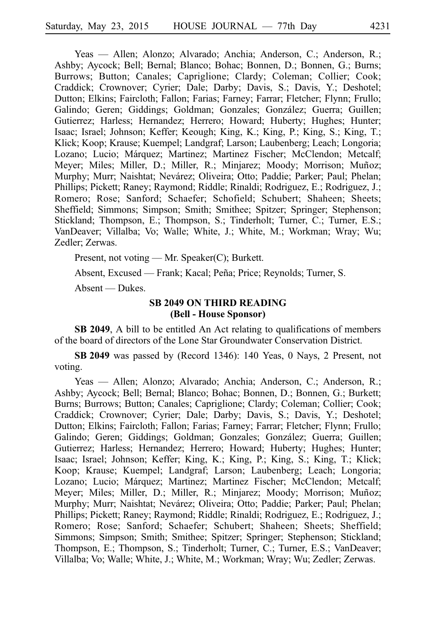Yeas — Allen; Alonzo; Alvarado; Anchia; Anderson, C.; Anderson, R.; Ashby; Aycock; Bell; Bernal; Blanco; Bohac; Bonnen, D.; Bonnen, G.; Burns; Burrows; Button; Canales; Capriglione; Clardy; Coleman; Collier; Cook; Craddick; Crownover; Cyrier; Dale; Darby; Davis, S.; Davis, Y.; Deshotel; Dutton; Elkins; Faircloth; Fallon; Farias; Farney; Farrar; Fletcher; Flynn; Frullo; Galindo; Geren; Giddings; Goldman; Gonzales; González; Guerra; Guillen; Gutierrez; Harless; Hernandez; Herrero; Howard; Huberty; Hughes; Hunter; Isaac; Israel; Johnson; Keffer; Keough; King, K.; King, P.; King, S.; King, T.; Klick; Koop; Krause; Kuempel; Landgraf; Larson; Laubenberg; Leach; Longoria; Lozano; Lucio; Márquez; Martinez; Martinez Fischer; McClendon; Metcalf; Meyer; Miles; Miller, D.; Miller, R.; Minjarez; Moody; Morrison; Muñoz; Murphy; Murr; Naishtat; Nevárez; Oliveira; Otto; Paddie; Parker; Paul; Phelan; Phillips; Pickett; Raney; Raymond; Riddle; Rinaldi; Rodriguez, E.; Rodriguez, J.; Romero; Rose; Sanford; Schaefer; Schofield; Schubert; Shaheen; Sheets; Sheffield; Simmons; Simpson; Smith; Smithee; Spitzer; Springer; Stephenson; Stickland; Thompson, E.; Thompson, S.; Tinderholt; Turner, C.; Turner, E.S.; VanDeaver; Villalba; Vo; Walle; White, J.; White, M.; Workman; Wray; Wu; Zedler; Zerwas.

Present, not voting — Mr. Speaker(C); Burkett.

Absent, Excused — Frank; Kacal; Peña; Price; Reynolds; Turner, S.

Absent — Dukes.

### **SB 2049 ON THIRD READING (Bell - House Sponsor)**

**SB 2049**, A bill to be entitled An Act relating to qualifications of members of the board of directors of the Lone Star Groundwater Conservation District.

**SBi2049** was passed by (Record 1346): 140 Yeas, 0 Nays, 2 Present, not voting.

Yeas — Allen; Alonzo; Alvarado; Anchia; Anderson, C.; Anderson, R.; Ashby; Aycock; Bell; Bernal; Blanco; Bohac; Bonnen, D.; Bonnen, G.; Burkett; Burns; Burrows; Button; Canales; Capriglione; Clardy; Coleman; Collier; Cook; Craddick; Crownover; Cyrier; Dale; Darby; Davis, S.; Davis, Y.; Deshotel; Dutton; Elkins; Faircloth; Fallon; Farias; Farney; Farrar; Fletcher; Flynn; Frullo; Galindo; Geren; Giddings; Goldman; Gonzales; González; Guerra; Guillen; Gutierrez; Harless; Hernandez; Herrero; Howard; Huberty; Hughes; Hunter; Isaac; Israel; Johnson; Keffer; King, K.; King, P.; King, S.; King, T.; Klick; Koop; Krause; Kuempel; Landgraf; Larson; Laubenberg; Leach; Longoria; Lozano; Lucio; Márquez; Martinez; Martinez Fischer; McClendon; Metcalf; Meyer; Miles; Miller, D.; Miller, R.; Minjarez; Moody; Morrison; Muñoz; Murphy; Murr; Naishtat; Nevárez; Oliveira; Otto; Paddie; Parker; Paul; Phelan; Phillips; Pickett; Raney; Raymond; Riddle; Rinaldi; Rodriguez, E.; Rodriguez, J.; Romero; Rose; Sanford; Schaefer; Schubert; Shaheen; Sheets; Sheffield; Simmons; Simpson; Smith; Smithee; Spitzer; Springer; Stephenson; Stickland; Thompson, E.; Thompson, S.; Tinderholt; Turner, C.; Turner, E.S.; VanDeaver; Villalba; Vo; Walle; White, J.; White, M.; Workman; Wray; Wu; Zedler; Zerwas.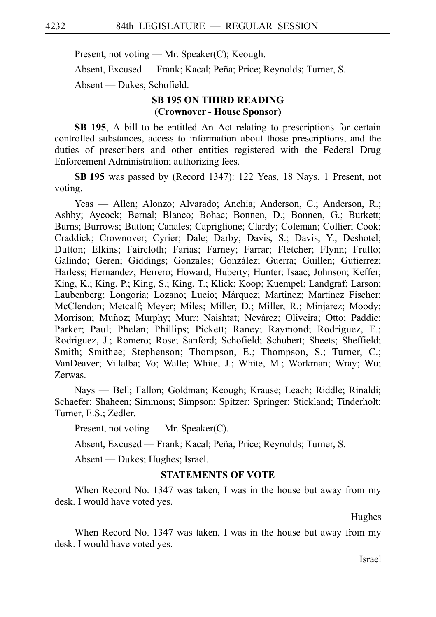Present, not voting — Mr. Speaker(C); Keough.

Absent, Excused — Frank; Kacal; Peña; Price; Reynolds; Turner, S.

Absent — Dukes; Schofield.

# **SB 195 ON THIRD READING (Crownover - House Sponsor)**

**SB 195**, A bill to be entitled An Act relating to prescriptions for certain controlled substances, access to information about those prescriptions, and the duties of prescribers and other entities registered with the Federal Drug Enforcement Administration; authorizing fees.

**SBi195** was passed by (Record 1347): 122 Yeas, 18 Nays, 1 Present, not voting.

Yeas — Allen; Alonzo; Alvarado; Anchia; Anderson, C.; Anderson, R.; Ashby; Aycock; Bernal; Blanco; Bohac; Bonnen, D.; Bonnen, G.; Burkett; Burns; Burrows; Button; Canales; Capriglione; Clardy; Coleman; Collier; Cook; Craddick; Crownover; Cyrier; Dale; Darby; Davis, S.; Davis, Y.; Deshotel; Dutton; Elkins; Faircloth; Farias; Farney; Farrar; Fletcher; Flynn; Frullo; Galindo; Geren; Giddings; Gonzales; González; Guerra; Guillen; Gutierrez; Harless; Hernandez; Herrero; Howard; Huberty; Hunter; Isaac; Johnson; Keffer; King, K.; King, P.; King, S.; King, T.; Klick; Koop; Kuempel; Landgraf; Larson; Laubenberg; Longoria; Lozano; Lucio; Márquez; Martinez; Martinez Fischer; McClendon; Metcalf; Meyer; Miles; Miller, D.; Miller, R.; Minjarez; Moody; Morrison; Muñoz; Murphy; Murr; Naishtat; Nevárez; Oliveira; Otto; Paddie; Parker; Paul; Phelan; Phillips; Pickett; Raney; Raymond; Rodriguez, E.; Rodriguez, J.; Romero; Rose; Sanford; Schofield; Schubert; Sheets; Sheffield; Smith; Smithee; Stephenson; Thompson, E.; Thompson, S.; Turner, C.; VanDeaver; Villalba; Vo; Walle; White, J.; White, M.; Workman; Wray; Wu; Zerwas.

Nays — Bell; Fallon; Goldman; Keough; Krause; Leach; Riddle; Rinaldi; Schaefer; Shaheen; Simmons; Simpson; Spitzer; Springer; Stickland; Tinderholt; Turner, E.S.; Zedler.

Present, not voting — Mr. Speaker(C).

Absent, Excused — Frank; Kacal; Peña; Price; Reynolds; Turner, S.

Absent — Dukes; Hughes; Israel.

### **STATEMENTS OF VOTE**

When Record No. 1347 was taken, I was in the house but away from my desk. I would have voted yes.

Hughes

When Record No. 1347 was taken, I was in the house but away from my desk. I would have voted yes.

Israel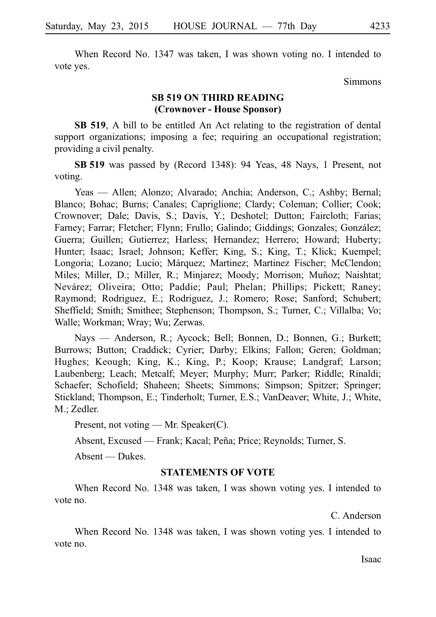When Record No. 1347 was taken, I was shown voting no. I intended to vote yes.

Simmons

# **SB 519 ON THIRD READING (Crownover - House Sponsor)**

**SB 519**, A bill to be entitled An Act relating to the registration of dental support organizations; imposing a fee; requiring an occupational registration; providing a civil penalty.

SB 519 was passed by (Record 1348): 94 Yeas, 48 Nays, 1 Present, not voting.

Yeas — Allen; Alonzo; Alvarado; Anchia; Anderson, C.; Ashby; Bernal; Blanco; Bohac; Burns; Canales; Capriglione; Clardy; Coleman; Collier; Cook; Crownover; Dale; Davis, S.; Davis, Y.; Deshotel; Dutton; Faircloth; Farias; Farney; Farrar; Fletcher; Flynn; Frullo; Galindo; Giddings; Gonzales; González; Guerra; Guillen; Gutierrez; Harless; Hernandez; Herrero; Howard; Huberty; Hunter; Isaac; Israel; Johnson; Keffer; King, S.; King, T.; Klick; Kuempel; Longoria; Lozano; Lucio; Márquez; Martinez; Martinez Fischer; McClendon; Miles; Miller, D.; Miller, R.; Minjarez; Moody; Morrison; Muñoz; Naishtat; Nevárez; Oliveira; Otto; Paddie; Paul; Phelan; Phillips; Pickett; Raney; Raymond; Rodriguez, E.; Rodriguez, J.; Romero; Rose; Sanford; Schubert; Sheffield; Smith; Smithee; Stephenson; Thompson, S.; Turner, C.; Villalba; Vo; Walle; Workman; Wray; Wu; Zerwas.

Nays — Anderson, R.; Aycock; Bell; Bonnen, D.; Bonnen, G.; Burkett; Burrows; Button; Craddick; Cyrier; Darby; Elkins; Fallon; Geren; Goldman; Hughes; Keough; King, K.; King, P.; Koop; Krause; Landgraf; Larson; Laubenberg; Leach; Metcalf; Meyer; Murphy; Murr; Parker; Riddle; Rinaldi; Schaefer; Schofield; Shaheen; Sheets; Simmons; Simpson; Spitzer; Springer; Stickland; Thompson, E.; Tinderholt; Turner, E.S.; VanDeaver; White, J.; White, M.; Zedler.

Present, not voting — Mr. Speaker(C).

Absent, Excused — Frank; Kacal; Peña; Price; Reynolds; Turner, S.

Absent — Dukes.

#### **STATEMENTS OF VOTE**

When Record No. 1348 was taken, I was shown voting yes. I intended to vote no.

C. Anderson

When Record No. 1348 was taken, I was shown voting yes. I intended to vote no.

Isaac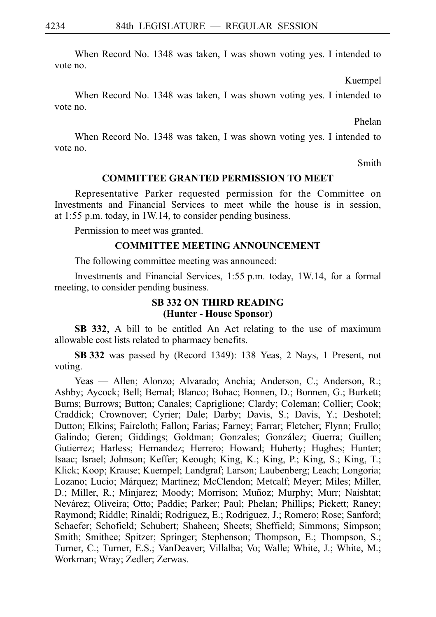When Record No. 1348 was taken, I was shown voting yes. I intended to vote no.

Kuempel

When Record No. 1348 was taken, I was shown voting yes. I intended to vote no.

Phelan

When Record No. 1348 was taken, I was shown voting yes. I intended to vote no.

Smith

#### **COMMITTEE GRANTED PERMISSION TO MEET**

Representative Parker requested permission for the Committee on Investments and Financial Services to meet while the house is in session, at 1:55 p.m. today, in  $1W.14$ , to consider pending business.

Permission to meet was granted.

# **COMMITTEE MEETING ANNOUNCEMENT**

The following committee meeting was announced:

Investments and Financial Services, 1:55 p.m. today, 1W.14, for a formal meeting, to consider pending business.

# **SB 332 ON THIRD READING (Hunter - House Sponsor)**

**SB 332**, A bill to be entitled An Act relating to the use of maximum allowable cost lists related to pharmacy benefits.

**SBi332** was passed by (Record 1349): 138 Yeas, 2 Nays, 1 Present, not voting.

Yeas — Allen; Alonzo; Alvarado; Anchia; Anderson, C.; Anderson, R.; Ashby; Aycock; Bell; Bernal; Blanco; Bohac; Bonnen, D.; Bonnen, G.; Burkett; Burns; Burrows; Button; Canales; Capriglione; Clardy; Coleman; Collier; Cook; Craddick; Crownover; Cyrier; Dale; Darby; Davis, S.; Davis, Y.; Deshotel; Dutton; Elkins; Faircloth; Fallon; Farias; Farney; Farrar; Fletcher; Flynn; Frullo; Galindo; Geren; Giddings; Goldman; Gonzales; González; Guerra; Guillen; Gutierrez; Harless; Hernandez; Herrero; Howard; Huberty; Hughes; Hunter; Isaac; Israel; Johnson; Keffer; Keough; King, K.; King, P.; King, S.; King, T.; Klick; Koop; Krause; Kuempel; Landgraf; Larson; Laubenberg; Leach; Longoria; Lozano; Lucio; Márquez; Martinez; McClendon; Metcalf; Meyer; Miles; Miller, D.; Miller, R.; Minjarez; Moody; Morrison; Muñoz; Murphy; Murr; Naishtat; Nevárez; Oliveira; Otto; Paddie; Parker; Paul; Phelan; Phillips; Pickett; Raney; Raymond; Riddle; Rinaldi; Rodriguez, E.; Rodriguez, J.; Romero; Rose; Sanford; Schaefer; Schofield; Schubert; Shaheen; Sheets; Sheffield; Simmons; Simpson; Smith; Smithee; Spitzer; Springer; Stephenson; Thompson, E.; Thompson, S.; Turner, C.; Turner, E.S.; VanDeaver; Villalba; Vo; Walle; White, J.; White, M.; Workman; Wray; Zedler; Zerwas.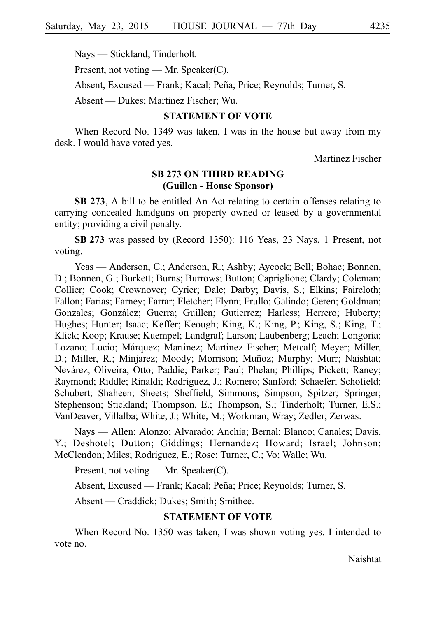Nays — Stickland; Tinderholt.

Present, not voting — Mr. Speaker(C).

Absent, Excused — Frank; Kacal; Peña; Price; Reynolds; Turner, S.

Absent — Dukes; Martinez Fischer; Wu.

# **STATEMENT OF VOTE**

When Record No. 1349 was taken, I was in the house but away from my desk. I would have voted yes.

Martinez Fischer

### **SB 273 ON THIRD READING (Guillen - House Sponsor)**

**SB 273**, A bill to be entitled An Act relating to certain offenses relating to carrying concealed handguns on property owned or leased by a governmental entity; providing a civil penalty.

**SBi273** was passed by (Record 1350): 116 Yeas, 23 Nays, 1 Present, not voting.

Yeas — Anderson, C.; Anderson, R.; Ashby; Aycock; Bell; Bohac; Bonnen, D.; Bonnen, G.; Burkett; Burns; Burrows; Button; Capriglione; Clardy; Coleman; Collier; Cook; Crownover; Cyrier; Dale; Darby; Davis, S.; Elkins; Faircloth; Fallon; Farias; Farney; Farrar; Fletcher; Flynn; Frullo; Galindo; Geren; Goldman; Gonzales; González; Guerra; Guillen; Gutierrez; Harless; Herrero; Huberty; Hughes; Hunter; Isaac; Keffer; Keough; King, K.; King, P.; King, S.; King, T.; Klick; Koop; Krause; Kuempel; Landgraf; Larson; Laubenberg; Leach; Longoria; Lozano; Lucio; Márquez; Martinez; Martinez Fischer; Metcalf; Meyer; Miller, D.; Miller, R.; Minjarez; Moody; Morrison; Muñoz; Murphy; Murr; Naishtat; Nevárez; Oliveira; Otto; Paddie; Parker; Paul; Phelan; Phillips; Pickett; Raney; Raymond; Riddle; Rinaldi; Rodriguez, J.; Romero; Sanford; Schaefer; Schofield; Schubert; Shaheen; Sheets; Sheffield; Simmons; Simpson; Spitzer; Springer; Stephenson; Stickland; Thompson, E.; Thompson, S.; Tinderholt; Turner, E.S.; VanDeaver; Villalba; White, J.; White, M.; Workman; Wray; Zedler; Zerwas.

Nays — Allen; Alonzo; Alvarado; Anchia; Bernal; Blanco; Canales; Davis, Y.; Deshotel; Dutton; Giddings; Hernandez; Howard; Israel; Johnson; McClendon; Miles; Rodriguez, E.; Rose; Turner, C.; Vo; Walle; Wu.

Present, not voting — Mr. Speaker(C).

Absent, Excused — Frank; Kacal; Peña; Price; Reynolds; Turner, S.

Absent — Craddick; Dukes; Smith; Smithee.

# **STATEMENT OF VOTE**

When Record No. 1350 was taken, I was shown voting yes. I intended to vote no.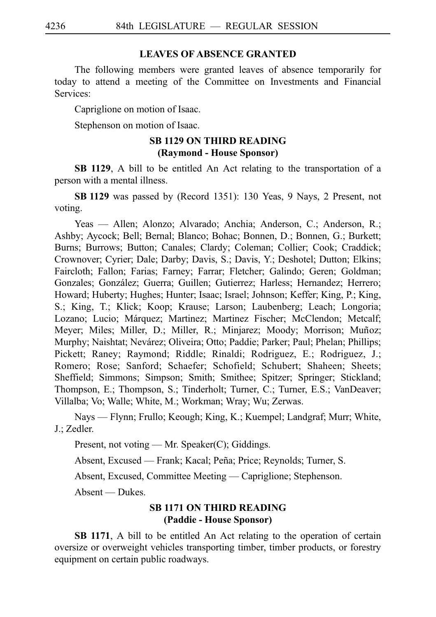### **LEAVES OF ABSENCE GRANTED**

The following members were granted leaves of absence temporarily for today to attend a meeting of the Committee on Investments and Financial Services:

Capriglione on motion of Isaac.

Stephenson on motion of Isaac.

# **SB 1129 ON THIRD READING (Raymond - House Sponsor)**

**SB 1129**, A bill to be entitled An Act relating to the transportation of a person with a mental illness.

**SBi1129** was passed by (Record 1351): 130 Yeas, 9 Nays, 2 Present, not voting.

Yeas — Allen; Alonzo; Alvarado; Anchia; Anderson, C.; Anderson, R.; Ashby; Aycock; Bell; Bernal; Blanco; Bohac; Bonnen, D.; Bonnen, G.; Burkett; Burns; Burrows; Button; Canales; Clardy; Coleman; Collier; Cook; Craddick; Crownover; Cyrier; Dale; Darby; Davis, S.; Davis, Y.; Deshotel; Dutton; Elkins; Faircloth; Fallon; Farias; Farney; Farrar; Fletcher; Galindo; Geren; Goldman; Gonzales; González; Guerra; Guillen; Gutierrez; Harless; Hernandez; Herrero; Howard; Huberty; Hughes; Hunter; Isaac; Israel; Johnson; Keffer; King, P.; King, S.; King, T.; Klick; Koop; Krause; Larson; Laubenberg; Leach; Longoria; Lozano; Lucio; Márquez; Martinez; Martinez Fischer; McClendon; Metcalf; Meyer; Miles; Miller, D.; Miller, R.; Minjarez; Moody; Morrison; Muñoz; Murphy; Naishtat; Nevárez; Oliveira; Otto; Paddie; Parker; Paul; Phelan; Phillips; Pickett; Raney; Raymond; Riddle; Rinaldi; Rodriguez, E.; Rodriguez, J.; Romero; Rose; Sanford; Schaefer; Schofield; Schubert; Shaheen; Sheets; Sheffield; Simmons; Simpson; Smith; Smithee; Spitzer; Springer; Stickland; Thompson, E.; Thompson, S.; Tinderholt; Turner, C.; Turner, E.S.; VanDeaver; Villalba; Vo; Walle; White, M.; Workman; Wray; Wu; Zerwas.

Nays — Flynn; Frullo; Keough; King, K.; Kuempel; Landgraf; Murr; White, J.; Zedler.

Present, not voting — Mr. Speaker(C); Giddings.

Absent, Excused — Frank; Kacal; Peña; Price; Reynolds; Turner, S.

Absent, Excused, Committee Meeting — Capriglione; Stephenson.

Absent — Dukes.

# **SB 1171 ON THIRD READING (Paddie - House Sponsor)**

**SB 1171**, A bill to be entitled An Act relating to the operation of certain oversize or overweight vehicles transporting timber, timber products, or forestry equipment on certain public roadways.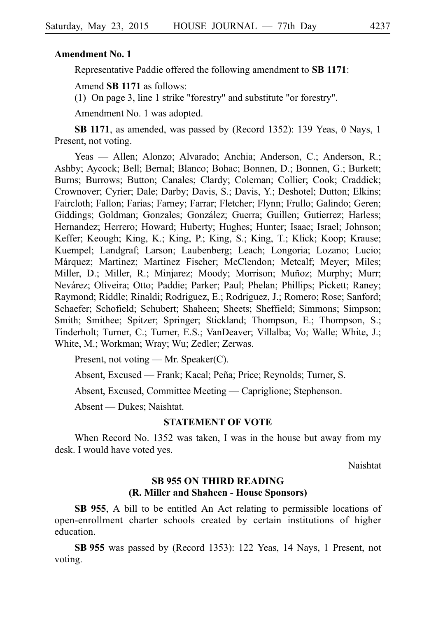### **Amendment No. 1**

Representative Paddie offered the following amendment to **SB 1171**:

Amend **SBi1171** as follows:

(1) On page 3, line 1 strike "forestry" and substitute "or forestry".

Amendment No. 1 was adopted.

**SB 1171**, as amended, was passed by (Record 1352): 139 Yeas, 0 Nays, 1 Present, not voting.

Yeas — Allen; Alonzo; Alvarado; Anchia; Anderson, C.; Anderson, R.; Ashby; Aycock; Bell; Bernal; Blanco; Bohac; Bonnen, D.; Bonnen, G.; Burkett; Burns; Burrows; Button; Canales; Clardy; Coleman; Collier; Cook; Craddick; Crownover; Cyrier; Dale; Darby; Davis, S.; Davis, Y.; Deshotel; Dutton; Elkins; Faircloth; Fallon; Farias; Farney; Farrar; Fletcher; Flynn; Frullo; Galindo; Geren; Giddings; Goldman; Gonzales; González; Guerra; Guillen; Gutierrez; Harless; Hernandez; Herrero; Howard; Huberty; Hughes; Hunter; Isaac; Israel; Johnson; Keffer; Keough; King, K.; King, P.; King, S.; King, T.; Klick; Koop; Krause; Kuempel; Landgraf; Larson; Laubenberg; Leach; Longoria; Lozano; Lucio; Márquez; Martinez; Martinez Fischer; McClendon; Metcalf; Meyer; Miles; Miller, D.; Miller, R.; Minjarez; Moody; Morrison; Muñoz; Murphy; Murr; Nevárez; Oliveira; Otto; Paddie; Parker; Paul; Phelan; Phillips; Pickett; Raney; Raymond; Riddle; Rinaldi; Rodriguez, E.; Rodriguez, J.; Romero; Rose; Sanford; Schaefer; Schofield; Schubert; Shaheen; Sheets; Sheffield; Simmons; Simpson; Smith; Smithee; Spitzer; Springer; Stickland; Thompson, E.; Thompson, S.; Tinderholt; Turner, C.; Turner, E.S.; VanDeaver; Villalba; Vo; Walle; White, J.; White, M.; Workman; Wray; Wu; Zedler; Zerwas.

Present, not voting — Mr. Speaker(C).

Absent, Excused — Frank; Kacal; Peña; Price; Reynolds; Turner, S.

Absent, Excused, Committee Meeting — Capriglione; Stephenson.

Absent — Dukes; Naishtat.

### **STATEMENT OF VOTE**

When Record No. 1352 was taken, I was in the house but away from my desk. I would have voted yes.

Naishtat

# **SB 955 ON THIRD READING (R. Miller and Shaheen - House Sponsors)**

**SB 955**, A bill to be entitled An Act relating to permissible locations of open-enrollment charter schools created by certain institutions of higher education.

**SB 955** was passed by (Record 1353): 122 Yeas, 14 Nays, 1 Present, not voting.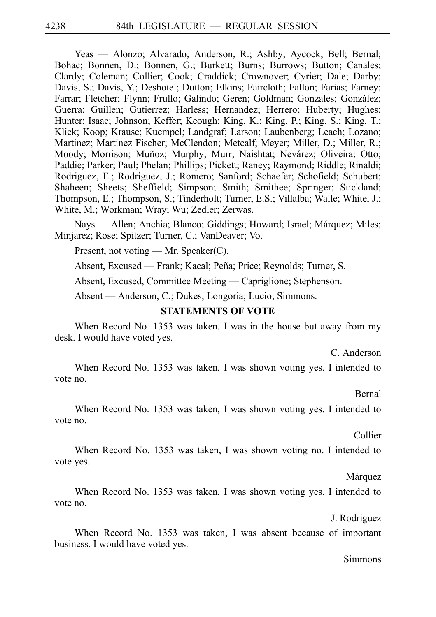Yeas — Alonzo; Alvarado; Anderson, R.; Ashby; Aycock; Bell; Bernal; Bohac; Bonnen, D.; Bonnen, G.; Burkett; Burns; Burrows; Button; Canales; Clardy; Coleman; Collier; Cook; Craddick; Crownover; Cyrier; Dale; Darby; Davis, S.; Davis, Y.; Deshotel; Dutton; Elkins; Faircloth; Fallon; Farias; Farney; Farrar; Fletcher; Flynn; Frullo; Galindo; Geren; Goldman; Gonzales; González; Guerra; Guillen; Gutierrez; Harless; Hernandez; Herrero; Huberty; Hughes; Hunter; Isaac; Johnson; Keffer; Keough; King, K.; King, P.; King, S.; King, T.; Klick; Koop; Krause; Kuempel; Landgraf; Larson; Laubenberg; Leach; Lozano; Martinez; Martinez Fischer; McClendon; Metcalf; Meyer; Miller, D.; Miller, R.; Moody; Morrison; Muñoz; Murphy; Murr; Naishtat; Nevárez; Oliveira; Otto; Paddie; Parker; Paul; Phelan; Phillips; Pickett; Raney; Raymond; Riddle; Rinaldi; Rodriguez, E.; Rodriguez, J.; Romero; Sanford; Schaefer; Schofield; Schubert; Shaheen; Sheets; Sheffield; Simpson; Smith; Smithee; Springer; Stickland; Thompson, E.; Thompson, S.; Tinderholt; Turner, E.S.; Villalba; Walle; White, J.; White, M.; Workman; Wray; Wu; Zedler; Zerwas.

Nays — Allen; Anchia; Blanco; Giddings; Howard; Israel; Márquez; Miles; Minjarez; Rose; Spitzer; Turner, C.; VanDeaver; Vo.

Present, not voting — Mr. Speaker(C).

Absent, Excused — Frank; Kacal; Peña; Price; Reynolds; Turner, S.

Absent, Excused, Committee Meeting — Capriglione; Stephenson.

Absent — Anderson, C.; Dukes; Longoria; Lucio; Simmons.

### **STATEMENTS OF VOTE**

When Record No. 1353 was taken, I was in the house but away from my desk. I would have voted yes.

C. Anderson

When Record No. 1353 was taken, I was shown voting yes. I intended to vote no.

Bernal

When Record No. 1353 was taken, I was shown voting yes. I intended to vote no.

# Collier

When Record No. 1353 was taken, I was shown voting no. I intended to vote yes.

### Márquez

When Record No. 1353 was taken, I was shown voting yes. I intended to vote no.

J. Rodriguez

When Record No. 1353 was taken, I was absent because of important business. I would have voted yes.

#### Simmons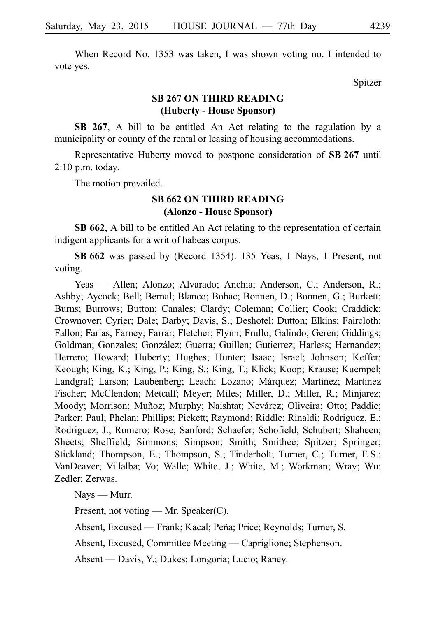When Record No. 1353 was taken, I was shown voting no. I intended to vote yes.

Spitzer

# **SB 267 ON THIRD READING (Huberty - House Sponsor)**

**SB 267**, A bill to be entitled An Act relating to the regulation by a municipality or county of the rental or leasing of housing accommodations.

Representative Huberty moved to postpone consideration of **SB 267** until  $2:10$  p.m. today.

The motion prevailed.

### **SB 662 ON THIRD READING (Alonzo - House Sponsor)**

**SB 662**, A bill to be entitled An Act relating to the representation of certain indigent applicants for a writ of habeas corpus.

**SBi662** was passed by (Record 1354): 135 Yeas, 1 Nays, 1 Present, not voting.

Yeas — Allen; Alonzo; Alvarado; Anchia; Anderson, C.; Anderson, R.; Ashby; Aycock; Bell; Bernal; Blanco; Bohac; Bonnen, D.; Bonnen, G.; Burkett; Burns; Burrows; Button; Canales; Clardy; Coleman; Collier; Cook; Craddick; Crownover; Cyrier; Dale; Darby; Davis, S.; Deshotel; Dutton; Elkins; Faircloth; Fallon; Farias; Farney; Farrar; Fletcher; Flynn; Frullo; Galindo; Geren; Giddings; Goldman; Gonzales; González; Guerra; Guillen; Gutierrez; Harless; Hernandez; Herrero; Howard; Huberty; Hughes; Hunter; Isaac; Israel; Johnson; Keffer; Keough; King, K.; King, P.; King, S.; King, T.; Klick; Koop; Krause; Kuempel; Landgraf; Larson; Laubenberg; Leach; Lozano; Márquez; Martinez; Martinez Fischer; McClendon; Metcalf; Meyer; Miles; Miller, D.; Miller, R.; Minjarez; Moody; Morrison; Muñoz; Murphy; Naishtat; Nevárez; Oliveira; Otto; Paddie; Parker; Paul; Phelan; Phillips; Pickett; Raymond; Riddle; Rinaldi; Rodriguez, E.; Rodriguez, J.; Romero; Rose; Sanford; Schaefer; Schofield; Schubert; Shaheen; Sheets; Sheffield; Simmons; Simpson; Smith; Smithee; Spitzer; Springer; Stickland; Thompson, E.; Thompson, S.; Tinderholt; Turner, C.; Turner, E.S.; VanDeaver; Villalba; Vo; Walle; White, J.; White, M.; Workman; Wray; Wu; Zedler; Zerwas.

Nays — Murr.

Present, not voting — Mr. Speaker(C).

Absent, Excused — Frank; Kacal; Peña; Price; Reynolds; Turner, S.

Absent, Excused, Committee Meeting — Capriglione; Stephenson.

Absent — Davis, Y.; Dukes; Longoria; Lucio; Raney.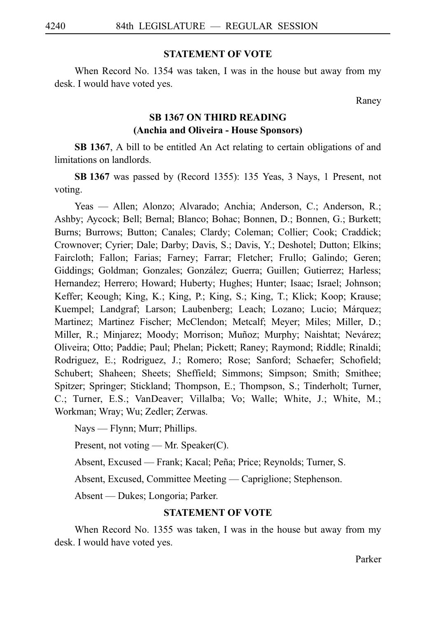#### **STATEMENT OF VOTE**

When Record No. 1354 was taken, I was in the house but away from my desk. I would have voted yes.

Raney

# **SB 1367 ON THIRD READING (Anchia and Oliveira - House Sponsors)**

**SB 1367**, A bill to be entitled An Act relating to certain obligations of and limitations on landlords.

**SBi1367** was passed by (Record 1355): 135 Yeas, 3 Nays, 1 Present, not voting.

Yeas — Allen; Alonzo; Alvarado; Anchia; Anderson, C.; Anderson, R.; Ashby; Aycock; Bell; Bernal; Blanco; Bohac; Bonnen, D.; Bonnen, G.; Burkett; Burns; Burrows; Button; Canales; Clardy; Coleman; Collier; Cook; Craddick; Crownover; Cyrier; Dale; Darby; Davis, S.; Davis, Y.; Deshotel; Dutton; Elkins; Faircloth; Fallon; Farias; Farney; Farrar; Fletcher; Frullo; Galindo; Geren; Giddings; Goldman; Gonzales; González; Guerra; Guillen; Gutierrez; Harless; Hernandez; Herrero; Howard; Huberty; Hughes; Hunter; Isaac; Israel; Johnson; Keffer; Keough; King, K.; King, P.; King, S.; King, T.; Klick; Koop; Krause; Kuempel; Landgraf; Larson; Laubenberg; Leach; Lozano; Lucio; Ma´rquez; Martinez; Martinez Fischer; McClendon; Metcalf; Meyer; Miles; Miller, D.; Miller, R.; Minjarez; Moody; Morrison; Muñoz; Murphy; Naishtat; Nevárez; Oliveira; Otto; Paddie; Paul; Phelan; Pickett; Raney; Raymond; Riddle; Rinaldi; Rodriguez, E.; Rodriguez, J.; Romero; Rose; Sanford; Schaefer; Schofield; Schubert; Shaheen; Sheets; Sheffield; Simmons; Simpson; Smith; Smithee; Spitzer; Springer; Stickland; Thompson, E.; Thompson, S.; Tinderholt; Turner, C.; Turner, E.S.; VanDeaver; Villalba; Vo; Walle; White, J.; White, M.; Workman; Wray; Wu; Zedler; Zerwas.

Nays — Flynn; Murr; Phillips.

Present, not voting — Mr. Speaker(C).

Absent, Excused — Frank; Kacal; Peña; Price; Reynolds; Turner, S.

Absent, Excused, Committee Meeting — Capriglione; Stephenson.

Absent — Dukes; Longoria; Parker.

#### **STATEMENT OF VOTE**

When Record No. 1355 was taken, I was in the house but away from my desk. I would have voted yes.

Parker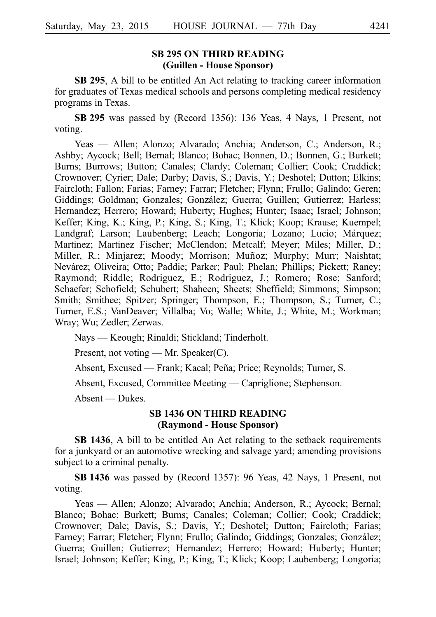# **SB 295 ON THIRD READING (Guillen - House Sponsor)**

**SB 295**, A bill to be entitled An Act relating to tracking career information for graduates of Texas medical schools and persons completing medical residency programs in Texas.

**SBi295** was passed by (Record 1356): 136 Yeas, 4 Nays, 1 Present, not voting.

Yeas — Allen; Alonzo; Alvarado; Anchia; Anderson, C.; Anderson, R.; Ashby; Aycock; Bell; Bernal; Blanco; Bohac; Bonnen, D.; Bonnen, G.; Burkett; Burns; Burrows; Button; Canales; Clardy; Coleman; Collier; Cook; Craddick; Crownover; Cyrier; Dale; Darby; Davis, S.; Davis, Y.; Deshotel; Dutton; Elkins; Faircloth; Fallon; Farias; Farney; Farrar; Fletcher; Flynn; Frullo; Galindo; Geren; Giddings; Goldman; Gonzales; González; Guerra; Guillen; Gutierrez; Harless; Hernandez; Herrero; Howard; Huberty; Hughes; Hunter; Isaac; Israel; Johnson; Keffer; King, K.; King, P.; King, S.; King, T.; Klick; Koop; Krause; Kuempel; Landgraf; Larson; Laubenberg; Leach; Longoria; Lozano; Lucio; Márquez; Martinez; Martinez Fischer; McClendon; Metcalf; Meyer; Miles; Miller, D.; Miller, R.; Minjarez; Moody; Morrison; Muñoz; Murphy; Murr; Naishtat; Nevárez; Oliveira; Otto; Paddie; Parker; Paul; Phelan; Phillips; Pickett; Raney; Raymond; Riddle; Rodriguez, E.; Rodriguez, J.; Romero; Rose; Sanford; Schaefer; Schofield; Schubert; Shaheen; Sheets; Sheffield; Simmons; Simpson; Smith; Smithee; Spitzer; Springer; Thompson, E.; Thompson, S.; Turner, C.; Turner, E.S.; VanDeaver; Villalba; Vo; Walle; White, J.; White, M.; Workman; Wray; Wu; Zedler; Zerwas.

Nays — Keough; Rinaldi; Stickland; Tinderholt.

Present, not voting — Mr. Speaker(C).

Absent, Excused — Frank; Kacal; Peña; Price; Reynolds; Turner, S.

Absent, Excused, Committee Meeting — Capriglione; Stephenson.

Absent — Dukes.

# **SB 1436 ON THIRD READING (Raymond - House Sponsor)**

**SB 1436**, A bill to be entitled An Act relating to the setback requirements for a junkyard or an automotive wrecking and salvage yard; amending provisions subject to a criminal penalty.

**SBi1436** was passed by (Record 1357): 96 Yeas, 42 Nays, 1 Present, not voting.

Yeas — Allen; Alonzo; Alvarado; Anchia; Anderson, R.; Aycock; Bernal; Blanco; Bohac; Burkett; Burns; Canales; Coleman; Collier; Cook; Craddick; Crownover; Dale; Davis, S.; Davis, Y.; Deshotel; Dutton; Faircloth; Farias; Farney; Farrar; Fletcher; Flynn; Frullo; Galindo; Giddings; Gonzales; González; Guerra; Guillen; Gutierrez; Hernandez; Herrero; Howard; Huberty; Hunter; Israel; Johnson; Keffer; King, P.; King, T.; Klick; Koop; Laubenberg; Longoria;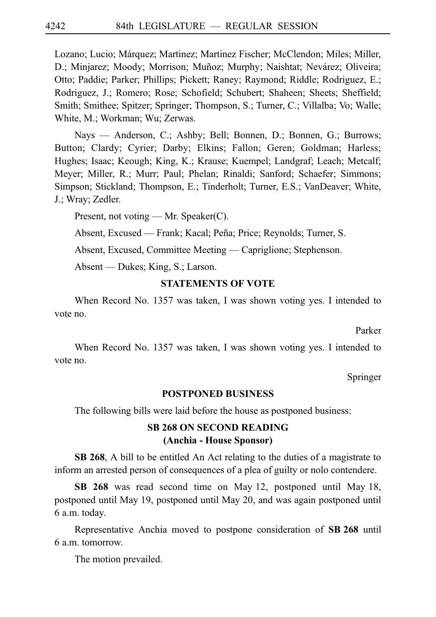Lozano; Lucio; Márquez; Martinez; Martinez Fischer; McClendon; Miles; Miller, D.; Minjarez; Moody; Morrison; Muñoz; Murphy; Naishtat; Nevárez; Oliveira; Otto; Paddie; Parker; Phillips; Pickett; Raney; Raymond; Riddle; Rodriguez, E.; Rodriguez, J.; Romero; Rose; Schofield; Schubert; Shaheen; Sheets; Sheffield; Smith; Smithee; Spitzer; Springer; Thompson, S.; Turner, C.; Villalba; Vo; Walle; White, M.; Workman; Wu; Zerwas.

Nays — Anderson, C.; Ashby; Bell; Bonnen, D.; Bonnen, G.; Burrows; Button; Clardy; Cyrier; Darby; Elkins; Fallon; Geren; Goldman; Harless; Hughes; Isaac; Keough; King, K.; Krause; Kuempel; Landgraf; Leach; Metcalf; Meyer; Miller, R.; Murr; Paul; Phelan; Rinaldi; Sanford; Schaefer; Simmons; Simpson; Stickland; Thompson, E.; Tinderholt; Turner, E.S.; VanDeaver; White, J.; Wray; Zedler.

Present, not voting — Mr. Speaker(C).

Absent, Excused — Frank; Kacal; Peña; Price; Reynolds; Turner, S.

Absent, Excused, Committee Meeting — Capriglione; Stephenson.

Absent — Dukes; King, S.; Larson.

### **STATEMENTS OF VOTE**

When Record No. 1357 was taken, I was shown voting yes. I intended to vote no.

Parker

When Record No. 1357 was taken, I was shown voting yes. I intended to vote no.

Springer

#### **POSTPONED BUSINESS**

The following bills were laid before the house as postponed business:

# **SB 268 ON SECOND READING (Anchia - House Sponsor)**

**SB 268**, A bill to be entitled An Act relating to the duties of a magistrate to inform an arrested person of consequences of a plea of guilty or nolo contendere.

**SB 268** was read second time on May 12, postponed until May 18, postponed until May 19, postponed until May 20, and was again postponed until 6 a.m. today.

Representative Anchia moved to postpone consideration of SB 268 until 6 a.m. tomorrow.

The motion prevailed.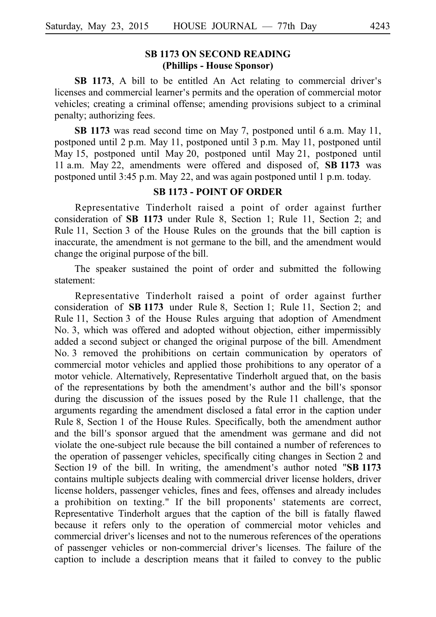# **SB 1173 ON SECOND READING (Phillips - House Sponsor)**

**SB 1173**, A bill to be entitled An Act relating to commercial driver's licenses and commercial learner's permits and the operation of commercial motor vehicles; creating a criminal offense; amending provisions subject to a criminal penalty; authorizing fees.

**SB 1173** was read second time on May 7, postponed until 6 a.m. May 11, postponed until  $2$  p.m. May 11, postponed until  $3$  p.m. May 11, postponed until May 15, postponed until May 20, postponed until May 21, postponed until 11 a.m. May 22, amendments were offered and disposed of, **SB 1173** was postponed until 3:45 p.m. May 22, and was again postponed until 1 p.m. today.

### **SB 1173 - POINT OF ORDER**

Representative Tinderholt raised a point of order against further consideration of **SB 1173** under Rule 8, Section 1; Rule 11, Section 2; and Rule 11, Section 3 of the House Rules on the grounds that the bill caption is inaccurate, the amendment is not germane to the bill, and the amendment would change the original purpose of the bill.

The speaker sustained the point of order and submitted the following statement:

Representative Tinderholt raised a point of order against further consideration of **SB 1173** under Rule 8, Section 1; Rule 11, Section 2; and Rule 11, Section 3 of the House Rules arguing that adoption of Amendment No. 3, which was offered and adopted without objection, either impermissibly added a second subject or changed the original purpose of the bill. Amendment No. 3 removed the prohibitions on certain communication by operators of commercial motor vehicles and applied those prohibitions to any operator of a motor vehicle. Alternatively, Representative Tinderholt argued that, on the basis of the representations by both the amendment's author and the bill's sponsor during the discussion of the issues posed by the Rule 11 challenge, that the arguments regarding the amendment disclosed a fatal error in the caption under Rule 8, Section 1 of the House Rules. Specifically, both the amendment author and the bill's sponsor argued that the amendment was germane and did not violate the one-subject rule because the bill contained a number of references to the operation of passenger vehicles, specifically citing changes in Section 2 and Section 19 of the bill. In writing, the amendment's author noted "SB 1173" contains multiple subjects dealing with commercial driver license holders, driver license holders, passenger vehicles, fines and fees, offenses and already includes a prohibition on texting." If the bill proponents' statements are correct, Representative Tinderholt argues that the caption of the bill is fatally flawed because it refers only to the operation of commercial motor vehicles and commercial driver's licenses and not to the numerous references of the operations of passenger vehicles or non-commercial driver's licenses. The failure of the caption to include a description means that it failed to convey to the public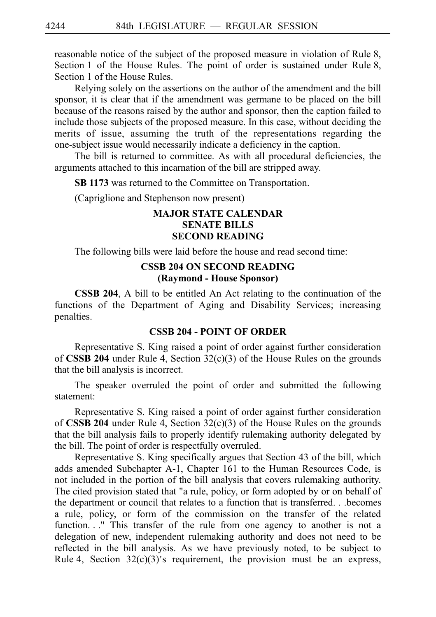reasonable notice of the subject of the proposed measure in violation of Rule 8, Section 1 of the House Rules. The point of order is sustained under Rule 8, Section 1 of the House Rules.

Relying solely on the assertions on the author of the amendment and the bill sponsor, it is clear that if the amendment was germane to be placed on the bill because of the reasons raised by the author and sponsor, then the caption failed to include those subjects of the proposed measure. In this case, without deciding the merits of issue, assuming the truth of the representations regarding the one-subject issue would necessarily indicate a deficiency in the caption.

The bill is returned to committee. As with all procedural deficiencies, the arguments attached to this incarnation of the bill are stripped away.

**SB 1173** was returned to the Committee on Transportation.

(Capriglione and Stephenson now present)

# **MAJOR STATE CALENDAR SENATE BILLS SECOND READING**

The following bills were laid before the house and read second time:

# **CSSB 204 ON SECOND READING (Raymond - House Sponsor)**

**CSSB 204**, A bill to be entitled An Act relating to the continuation of the functions of the Department of Aging and Disability Services; increasing penalties.

### **CSSB 204 - POINT OF ORDER**

Representative S. King raised a point of order against further consideration of **CSSB 204** under Rule 4, Section 32(c)(3) of the House Rules on the grounds that the bill analysis is incorrect.

The speaker overruled the point of order and submitted the following statement:

Representative S. King raised a point of order against further consideration of **CSSB 204** under Rule 4, Section  $32(c)(3)$  of the House Rules on the grounds that the bill analysis fails to properly identify rulemaking authority delegated by the bill. The point of order is respectfully overruled.

Representative S. King specifically argues that Section 43 of the bill, which adds amended Subchapter A-1, Chapter 161 to the Human Resources Code, is not included in the portion of the bill analysis that covers rulemaking authority. The cited provision stated that "a rule, policy, or form adopted by or on behalf of the department or council that relates to a function that is transferred...becomes a rule, policy, or form of the commission on the transfer of the related function..." This transfer of the rule from one agency to another is not a delegation of new, independent rulemaking authority and does not need to be reflected in the bill analysis. As we have previously noted, to be subject to Rule 4, Section  $32(c)(3)$ 's requirement, the provision must be an express,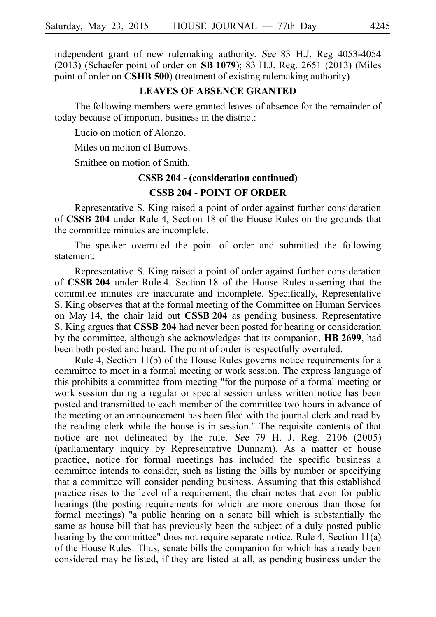independent grant of new rulemaking authority. See 83 H.J. Reg 4053-4054 (2013) (Schaefer point of order on **SBi1079**); 83 H.J. Reg. 2651 (2013) (Miles point of order on **CSHB 500**) (treatment of existing rulemaking authority).

# **LEAVES OF ABSENCE GRANTED**

The following members were granted leaves of absence for the remainder of today because of important business in the district:

Lucio on motion of Alonzo.

Miles on motion of Burrows.

Smithee on motion of Smith.

# **CSSB 204 - (consideration continued)**

### **CSSB 204 - POINT OF ORDER**

Representative S. King raised a point of order against further consideration of **CSSB 204** under Rule 4, Section 18 of the House Rules on the grounds that the committee minutes are incomplete.

The speaker overruled the point of order and submitted the following statement:

Representative S. King raised a point of order against further consideration of **CSSB 204** under Rule 4, Section 18 of the House Rules asserting that the committee minutes are inaccurate and incomplete. Specifically, Representative S. King observes that at the formal meeting of the Committee on Human Services on Mayi14, the chair laid out **CSSBi204** as pending business. Representative S. King argues that **CSSB 204** had never been posted for hearing or consideration by the committee, although she acknowledges that its companion, **HB 2699**, had been both posted and heard. The point of order is respectfully overruled.

Rule 4, Section 11(b) of the House Rules governs notice requirements for a committee to meet in a formal meeting or work session. The express language of this prohibits a committee from meeting "for the purpose of a formal meeting or work session during a regular or special session unless written notice has been posted and transmitted to each member of the committee two hours in advance of the meeting or an announcement has been filed with the journal clerk and read by the reading clerk while the house is in session." The requisite contents of that notice are not delineated by the rule. See 79 H. J. Reg. 2106 (2005) (parliamentary inquiry by Representative Dunnam). As a matter of house practice, notice for formal meetings has included the specific business a committee intends to consider, such as listing the bills by number or specifying that a committee will consider pending business. Assuming that this established practice rises to the level of a requirement, the chair notes that even for public hearings (the posting requirements for which are more onerous than those for formal meetings) "a public hearing on a senate bill which is substantially the same as house bill that has previously been the subject of a duly posted public hearing by the committee" does not require separate notice. Rule  $\overline{4}$ , Section 11(a) of the House Rules. Thus, senate bills the companion for which has already been considered may be listed, if they are listed at all, as pending business under the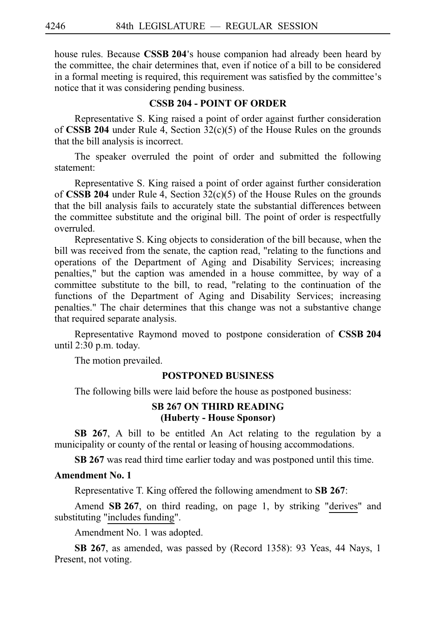house rules. Because **CSSB 204**'s house companion had already been heard by the committee, the chair determines that, even if notice of a bill to be considered in a formal meeting is required, this requirement was satisfied by the committee's notice that it was considering pending business.

### **CSSB 204 - POINT OF ORDER**

Representative S. King raised a point of order against further consideration of **CSSB 204** under Rule 4, Section 32(c)(5) of the House Rules on the grounds that the bill analysis is incorrect.

The speaker overruled the point of order and submitted the following statement:

Representative S. King raised a point of order against further consideration of **CSSB 204** under Rule 4, Section  $32(c)(5)$  of the House Rules on the grounds that the bill analysis fails to accurately state the substantial differences between the committee substitute and the original bill. The point of order is respectfully overruled.

Representative S. King objects to consideration of the bill because, when the bill was received from the senate, the caption read, "relating to the functions and operations of the Department of Aging and Disability Services; increasing penalties," but the caption was amended in a house committee, by way of a committee substitute to the bill, to read, "relating to the continuation of the functions of the Department of Aging and Disability Services; increasing penalties." The chair determines that this change was not a substantive change that required separate analysis.

Representative Raymond moved to postpone consideration of **CSSB 204** until 2:30 p.m. today.

The motion prevailed.

### **POSTPONED BUSINESS**

The following bills were laid before the house as postponed business:

# **SB 267 ON THIRD READING (Huberty - House Sponsor)**

**SB 267**, A bill to be entitled An Act relating to the regulation by a municipality or county of the rental or leasing of housing accommodations.

**SB 267** was read third time earlier today and was postponed until this time.

#### **Amendment No. 1**

Representative T. King offered the following amendment to **SB 267**:

Amend **SB 267**, on third reading, on page 1, by striking "derives" and substituting "includes funding".

Amendment No. 1 was adopted.

**SB 267**, as amended, was passed by (Record 1358): 93 Yeas, 44 Nays, 1 Present, not voting.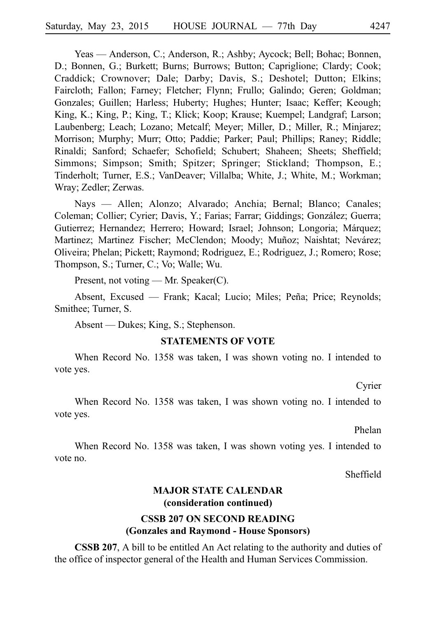Yeas — Anderson, C.; Anderson, R.; Ashby; Aycock; Bell; Bohac; Bonnen, D.; Bonnen, G.; Burkett; Burns; Burrows; Button; Capriglione; Clardy; Cook; Craddick; Crownover; Dale; Darby; Davis, S.; Deshotel; Dutton; Elkins; Faircloth; Fallon; Farney; Fletcher; Flynn; Frullo; Galindo; Geren; Goldman; Gonzales; Guillen; Harless; Huberty; Hughes; Hunter; Isaac; Keffer; Keough; King, K.; King, P.; King, T.; Klick; Koop; Krause; Kuempel; Landgraf; Larson; Laubenberg; Leach; Lozano; Metcalf; Meyer; Miller, D.; Miller, R.; Minjarez; Morrison; Murphy; Murr; Otto; Paddie; Parker; Paul; Phillips; Raney; Riddle; Rinaldi; Sanford; Schaefer; Schofield; Schubert; Shaheen; Sheets; Sheffield; Simmons; Simpson; Smith; Spitzer; Springer; Stickland; Thompson, E.; Tinderholt; Turner, E.S.; VanDeaver; Villalba; White, J.; White, M.; Workman; Wray; Zedler; Zerwas.

Nays — Allen; Alonzo; Alvarado; Anchia; Bernal; Blanco; Canales; Coleman; Collier; Cyrier; Davis, Y.; Farias; Farrar; Giddings; González; Guerra; Gutierrez; Hernandez; Herrero; Howard; Israel; Johnson; Longoria; Márquez; Martinez; Martinez Fischer; McClendon; Moody; Muñoz; Naishtat; Nevárez; Oliveira; Phelan; Pickett; Raymond; Rodriguez, E.; Rodriguez, J.; Romero; Rose; Thompson, S.; Turner, C.; Vo; Walle; Wu.

Present, not voting — Mr. Speaker(C).

Absent, Excused — Frank; Kacal; Lucio; Miles; Peña; Price; Reynolds; Smithee; Turner, S.

Absent — Dukes; King, S.; Stephenson.

#### **STATEMENTS OF VOTE**

When Record No. 1358 was taken, I was shown voting no. I intended to vote yes.

Cyrier

When Record No. 1358 was taken, I was shown voting no. I intended to vote yes.

Phelan

When Record No. 1358 was taken, I was shown voting yes. I intended to vote no.

Sheffield

# **MAJOR STATE CALENDAR (consideration continued)**

# **CSSB 207 ON SECOND READING (Gonzales and Raymond - House Sponsors)**

**CSSB 207**, A bill to be entitled An Act relating to the authority and duties of the office of inspector general of the Health and Human Services Commission.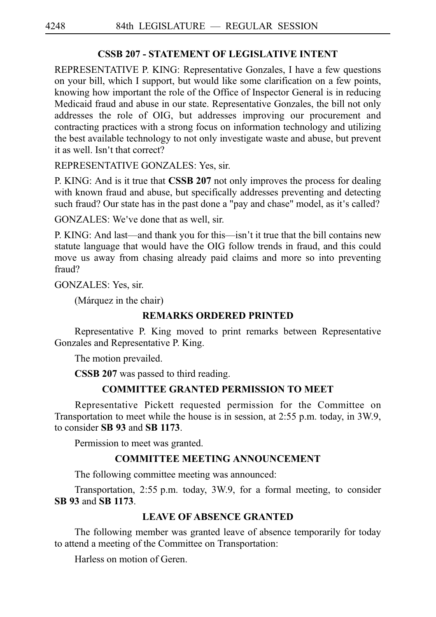# **CSSB 207 - STATEMENT OF LEGISLATIVE INTENT**

REPRESENTATIVE P. KING: Representative Gonzales, I have a few questions on your bill, which I support, but would like some clarification on a few points, knowing how important the role of the Office of Inspector General is in reducing Medicaid fraud and abuse in our state. Representative Gonzales, the bill not only addresses the role of OIG, but addresses improving our procurement and contracting practices with a strong focus on information technology and utilizing the best available technology to not only investigate waste and abuse, but prevent it as well. Isn't that correct?

REPRESENTATIVE GONZALES: Yes, sir.

P. KING: And is it true that **CSSB 207** not only improves the process for dealing with known fraud and abuse, but specifically addresses preventing and detecting such fraud? Our state has in the past done a "pay and chase" model, as it's called?

GONZALES: We've done that as well, sir.

P. KING: And last—and thank you for this—isn't it true that the bill contains new statute language that would have the OIG follow trends in fraud, and this could move us away from chasing already paid claims and more so into preventing fraud?

GONZALES: Yes, sir.

(Márquez in the chair)

### **REMARKS ORDERED PRINTED**

Representative P. King moved to print remarks between Representative Gonzales and Representative P. King.

The motion prevailed.

**CSSB 207** was passed to third reading.

### **COMMITTEE GRANTED PERMISSION TO MEET**

Representative Pickett requested permission for the Committee on Transportation to meet while the house is in session, at 2:55 p.m. today, in 3W.9, to consider **SBi93** and **SBi1173**.

Permission to meet was granted.

### **COMMITTEE MEETING ANNOUNCEMENT**

The following committee meeting was announced:

Transportation, 2:55 p.m. today, 3W.9, for a formal meeting, to consider **SBi93** and **SBi1173**.

### **LEAVE OF ABSENCE GRANTED**

The following member was granted leave of absence temporarily for today to attend a meeting of the Committee on Transportation:

Harless on motion of Geren.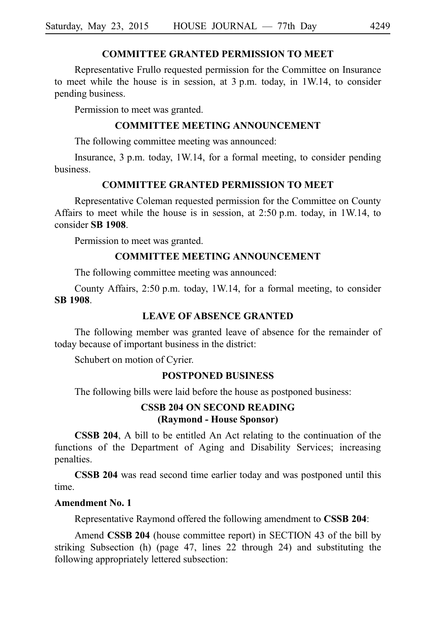# **COMMITTEE GRANTED PERMISSION TO MEET**

Representative Frullo requested permission for the Committee on Insurance to meet while the house is in session, at  $3 p.m.$  today, in  $1W.14$ , to consider pending business.

Permission to meet was granted.

### **COMMITTEE MEETING ANNOUNCEMENT**

The following committee meeting was announced:

Insurance,  $3$  p.m. today,  $1W.14$ , for a formal meeting, to consider pending business.

### **COMMITTEE GRANTED PERMISSION TO MEET**

Representative Coleman requested permission for the Committee on County Affairs to meet while the house is in session, at  $2:50$  p.m. today, in 1W.14, to consider **SBi1908**.

Permission to meet was granted.

# **COMMITTEE MEETING ANNOUNCEMENT**

The following committee meeting was announced:

County Affairs,  $2:50$  p.m. today, 1W.14, for a formal meeting, to consider **SBi1908**.

# **LEAVE OF ABSENCE GRANTED**

The following member was granted leave of absence for the remainder of today because of important business in the district:

Schubert on motion of Cyrier.

### **POSTPONED BUSINESS**

The following bills were laid before the house as postponed business:

# **CSSB 204 ON SECOND READING (Raymond - House Sponsor)**

**CSSB 204**, A bill to be entitled An Act relating to the continuation of the functions of the Department of Aging and Disability Services; increasing penalties.

**CSSB 204** was read second time earlier today and was postponed until this time.

# **Amendment No. 1**

Representative Raymond offered the following amendment to **CSSB 204**:

Amend **CSSB 204** (house committee report) in SECTION 43 of the bill by striking Subsection (h) (page 47, lines 22 through 24) and substituting the following appropriately lettered subsection: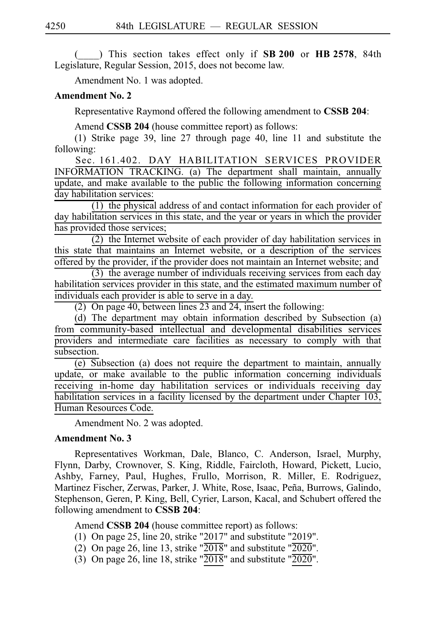( $\blacksquare$ ) This section takes effect only if **SB 200** or **HB 2578**, 84th Legislature, Regular Session, 2015, does not become law.

Amendment No. 1 was adopted.

# **Amendment No. 2**

Representative Raymond offered the following amendment to **CSSB 204**:

Amend **CSSB 204** (house committee report) as follows:

(1) Strike page 39, line 27 through page 40, line 11 and substitute the following:

Sec. 161.402. DAY HABILITATION SERVICES PROVIDER INFORMATION TRACKING. (a) The department shall maintain, annually update, and make available to the public the following information concerning day habilitation services:

 $(1)$  the physical address of and contact information for each provider of day habilitation services in this state, and the year or years in which the provider has provided those services;

 $(2)$  the Internet website of each provider of day habilitation services in this state that maintains an Internet website, or a description of the services offered by the provider, if the provider does not maintain an Internet website; and

 $(3)$  the average number of individuals receiving services from each day habilitation services provider in this state, and the estimated maximum number of individuals each provider is able to serve in a day.

(2) On page 40, between lines 23 and 24, insert the following:

(d) The department may obtain information described by Subsection (a) from community-based intellectual and developmental disabilities services providers and intermediate care facilities as necessary to comply with that subsection.

 $\overline{e}$ ) Subsection (a) does not require the department to maintain, annually update, or make available to the public information concerning individuals receiving in-home day habilitation services or individuals receiving day habilitation services in a facility licensed by the department under Chapter 103, Human Resources Code.

Amendment No. 2 was adopted.

# **Amendment No. 3**

Representatives Workman, Dale, Blanco, C. Anderson, Israel, Murphy, Flynn, Darby, Crownover, S. King, Riddle, Faircloth, Howard, Pickett, Lucio, Ashby, Farney, Paul, Hughes, Frullo, Morrison, R. Miller, E. Rodriguez, Martinez Fischer, Zerwas, Parker, J. White, Rose, Isaac, Peña, Burrows, Galindo, Stephenson, Geren, P. King, Bell, Cyrier, Larson, Kacal, and Schubert offered the following amendment to **CSSB 204**:

Amend **CSSB 204** (house committee report) as follows:

- (1) On page 25, line 20, strike "2017" and substitute "2019".
- (2) On page 26, line 13, strike " $\overline{2018}$ " and substitute " $\overline{2020}$ ".
- (3) On page 26, line 18, strike " $\overline{2018}$ " and substitute " $\overline{2020}$ ".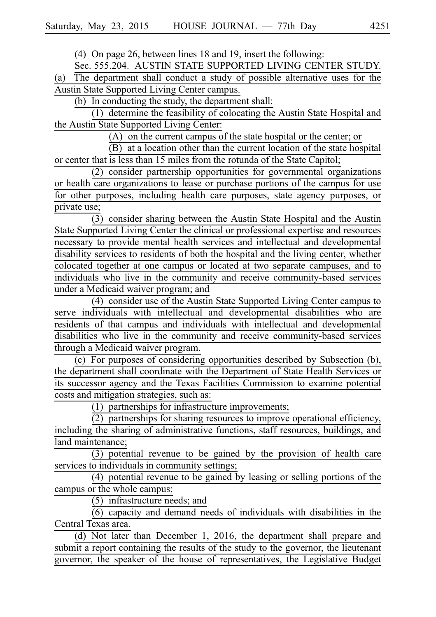(4) On page 26, between lines 18 and 19, insert the following:

Sec. 555.204. AUSTIN STATE SUPPORTED LIVING CENTER STUDY.

(a) The department shall conduct a study of possible alternative uses for the Austin State Supported Living Center campus.

(b) In conducting the study, the department shall:

 $(1)$  determine the feasibility of colocating the Austin State Hospital and the Austin State Supported Living Center:

 $(A)$  on the current campus of the state hospital or the center; or

 $(B)$  at a location other than the current location of the state hospital or center that is less than 15 miles from the rotunda of the State Capitol;

(2) consider partnership opportunities for governmental organizations or health care organizations to lease or purchase portions of the campus for use for other purposes, including health care purposes, state agency purposes, or private use;

(3) consider sharing between the Austin State Hospital and the Austin State Supported Living Center the clinical or professional expertise and resources necessary to provide mental health services and intellectual and developmental disability services to residents of both the hospital and the living center, whether colocated together at one campus or located at two separate campuses, and to individuals who live in the community and receive community-based services under a Medicaid waiver program; and

 $(4)$  consider use of the Austin State Supported Living Center campus to serve individuals with intellectual and developmental disabilities who are residents of that campus and individuals with intellectual and developmental disabilities who live in the community and receive community-based services through a Medicaid waiver program.

 $(c)$  For purposes of considering opportunities described by Subsection (b), the department shall coordinate with the Department of State Health Services or its successor agency and the Texas Facilities Commission to examine potential costs and mitigation strategies, such as:

 $(1)$  partnerships for infrastructure improvements;

 $(2)$  partnerships for sharing resources to improve operational efficiency, including the sharing of administrative functions, staff resources, buildings, and land maintenance;

 $(3)$  potential revenue to be gained by the provision of health care services to individuals in community settings;

 $(4)$  potential revenue to be gained by leasing or selling portions of the campus or the whole campus;

 $(5)$  infrastructure needs; and

 $\overline{(6)}$  capacity and demand needs of individuals with disabilities in the Central Texas area.

 $(d)$  Not later than December 1, 2016, the department shall prepare and submit a report containing the results of the study to the governor, the lieutenant governor, the speaker of the house of representatives, the Legislative Budget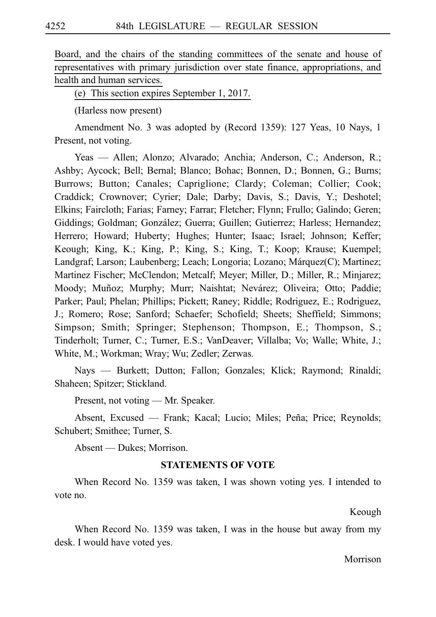Board, and the chairs of the standing committees of the senate and house of representatives with primary jurisdiction over state finance, appropriations, and health and human services.

(e) This section expires September 1, 2017.

(Harless now present)

Amendment No. 3 was adopted by (Record 1359): 127 Yeas, 10 Nays, 1 Present, not voting.

Yeas — Allen; Alonzo; Alvarado; Anchia; Anderson, C.; Anderson, R.; Ashby; Aycock; Bell; Bernal; Blanco; Bohac; Bonnen, D.; Bonnen, G.; Burns; Burrows; Button; Canales; Capriglione; Clardy; Coleman; Collier; Cook; Craddick; Crownover; Cyrier; Dale; Darby; Davis, S.; Davis, Y.; Deshotel; Elkins; Faircloth; Farias; Farney; Farrar; Fletcher; Flynn; Frullo; Galindo; Geren; Giddings; Goldman; González; Guerra; Guillen; Gutierrez; Harless; Hernandez; Herrero; Howard; Huberty; Hughes; Hunter; Isaac; Israel; Johnson; Keffer; Keough; King, K.; King, P.; King, S.; King, T.; Koop; Krause; Kuempel; Landgraf; Larson; Laubenberg; Leach; Longoria; Lozano; Márquez(C); Martinez; Martinez Fischer; McClendon; Metcalf; Meyer; Miller, D.; Miller, R.; Minjarez; Moody; Muñoz; Murphy; Murr; Naishtat; Nevárez; Oliveira; Otto; Paddie; Parker; Paul; Phelan; Phillips; Pickett; Raney; Riddle; Rodriguez, E.; Rodriguez, J.; Romero; Rose; Sanford; Schaefer; Schofield; Sheets; Sheffield; Simmons; Simpson; Smith; Springer; Stephenson; Thompson, E.; Thompson, S.; Tinderholt; Turner, C.; Turner, E.S.; VanDeaver; Villalba; Vo; Walle; White, J.; White, M.; Workman; Wray; Wu; Zedler; Zerwas.

Nays — Burkett; Dutton; Fallon; Gonzales; Klick; Raymond; Rinaldi; Shaheen; Spitzer; Stickland.

Present, not voting — Mr. Speaker.

Absent, Excused — Frank; Kacal; Lucio; Miles; Peña; Price; Reynolds; Schubert; Smithee; Turner, S.

Absent — Dukes; Morrison.

# **STATEMENTS OF VOTE**

When Record No. 1359 was taken, I was shown voting yes. I intended to vote no.

Keough

When Record No. 1359 was taken, I was in the house but away from my desk. I would have voted yes.

Morrison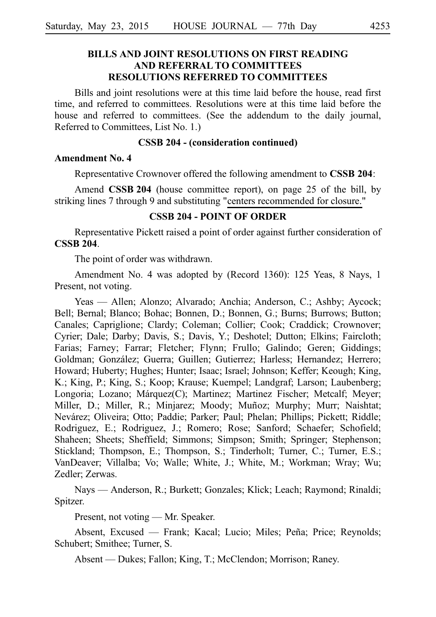# **BILLS AND JOINT RESOLUTIONS ON FIRST READING AND REFERRAL TO COMMITTEES RESOLUTIONS REFERRED TO COMMITTEES**

Bills and joint resolutions were at this time laid before the house, read first time, and referred to committees. Resolutions were at this time laid before the house and referred to committees. (See the addendum to the daily journal, Referred to Committees, List No. 1.)

# **CSSB 204 - (consideration continued)**

# **Amendment No. 4**

Representative Crownover offered the following amendment to **CSSBi204**:

Amend **CSSB 204** (house committee report), on page 25 of the bill, by striking lines 7 through 9 and substituting "centers recommended for closure."

#### **CSSB 204 - POINT OF ORDER**

Representative Pickett raised a point of order against further consideration of **CSSB 204**.

The point of order was withdrawn.

Amendment No. 4 was adopted by (Record 1360): 125 Yeas, 8 Nays, 1 Present, not voting.

Yeas — Allen; Alonzo; Alvarado; Anchia; Anderson, C.; Ashby; Aycock; Bell; Bernal; Blanco; Bohac; Bonnen, D.; Bonnen, G.; Burns; Burrows; Button; Canales; Capriglione; Clardy; Coleman; Collier; Cook; Craddick; Crownover; Cyrier; Dale; Darby; Davis, S.; Davis, Y.; Deshotel; Dutton; Elkins; Faircloth; Farias; Farney; Farrar; Fletcher; Flynn; Frullo; Galindo; Geren; Giddings; Goldman; González; Guerra; Guillen; Gutierrez; Harless; Hernandez; Herrero; Howard; Huberty; Hughes; Hunter; Isaac; Israel; Johnson; Keffer; Keough; King, K.; King, P.; King, S.; Koop; Krause; Kuempel; Landgraf; Larson; Laubenberg; Longoria; Lozano; Márquez(C); Martinez; Martinez Fischer; Metcalf; Meyer; Miller, D.; Miller, R.; Minjarez; Moody; Muñoz; Murphy; Murr; Naishtat; Nevárez; Oliveira; Otto; Paddie; Parker; Paul; Phelan; Phillips; Pickett; Riddle; Rodriguez, E.; Rodriguez, J.; Romero; Rose; Sanford; Schaefer; Schofield; Shaheen; Sheets; Sheffield; Simmons; Simpson; Smith; Springer; Stephenson; Stickland; Thompson, E.; Thompson, S.; Tinderholt; Turner, C.; Turner, E.S.; VanDeaver; Villalba; Vo; Walle; White, J.; White, M.; Workman; Wray; Wu; Zedler; Zerwas.

Nays — Anderson, R.; Burkett; Gonzales; Klick; Leach; Raymond; Rinaldi; Spitzer.

Present, not voting — Mr. Speaker.

Absent, Excused — Frank; Kacal; Lucio; Miles; Peña; Price; Reynolds; Schubert; Smithee; Turner, S.

Absent — Dukes; Fallon; King, T.; McClendon; Morrison; Raney.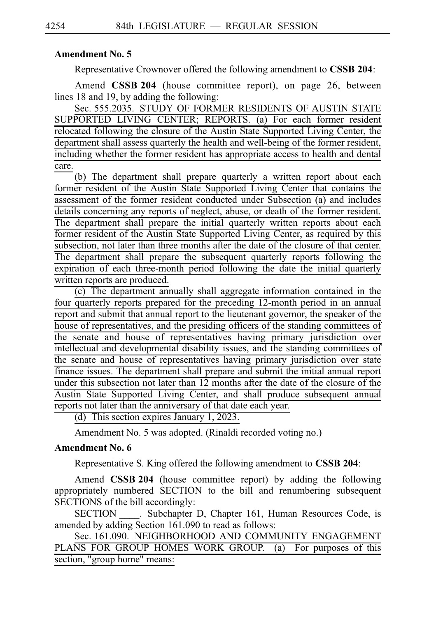### **Amendment No. 5**

Representative Crownover offered the following amendment to **CSSB 204**:

Amend **CSSB 204** (house committee report), on page 26, between lines 18 and 19, by adding the following:

Sec. 555.2035. STUDY OF FORMER RESIDENTS OF AUSTIN STATE SUPPORTED LIVING CENTER; REPORTS. (a) For each former resident relocated following the closure of the Austin State Supported Living Center, the department shall assess quarterly the health and well-being of the former resident, including whether the former resident has appropriate access to health and dental care.

(b) The department shall prepare quarterly a written report about each former resident of the Austin State Supported Living Center that contains the assessment of the former resident conducted under Subsection (a) and includes details concerning any reports of neglect, abuse, or death of the former resident. The department shall prepare the initial quarterly written reports about each former resident of the Austin State Supported Living Center, as required by this subsection, not later than three months after the date of the closure of that center. The department shall prepare the subsequent quarterly reports following the expiration of each three-month period following the date the initial quarterly written reports are produced.

(c) The department annually shall aggregate information contained in the four quarterly reports prepared for the preceding 12-month period in an annual report and submit that annual report to the lieutenant governor, the speaker of the house of representatives, and the presiding officers of the standing committees of the senate and house of representatives having primary jurisdiction over intellectual and developmental disability issues, and the standing committees of the senate and house of representatives having primary jurisdiction over state finance issues. The department shall prepare and submit the initial annual report under this subsection not later than 12 months after the date of the closure of the Austin State Supported Living Center, and shall produce subsequent annual reports not later than the anniversary of that date each year.

(d) This section expires January 1, 2023.

Amendment No. 5 was adopted. (Rinaldi recorded voting no.)

### **Amendment No. 6**

Representative S. King offered the following amendment to **CSSB 204**:

Amend **CSSB 204** (house committee report) by adding the following appropriately numbered SECTION to the bill and renumbering subsequent SECTIONS of the bill accordingly:

SECTION Subchapter D, Chapter 161, Human Resources Code, is amended by adding Section 161.090 to read as follows:

Sec. 161.090. NEIGHBORHOOD AND COMMUNITY ENGAGEMENT PLANS FOR GROUP HOMES WORK GROUP. (a) For purposes of this section, "group home" means: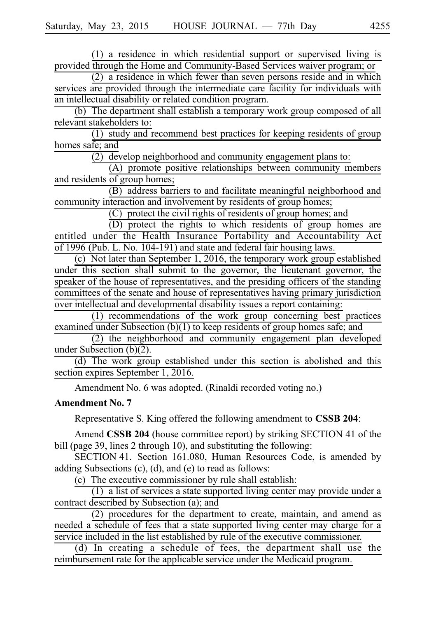$(1)$  a residence in which residential support or supervised living is provided through the Home and Community-Based Services waiver program; or

 $(2)$  a residence in which fewer than seven persons reside and in which services are provided through the intermediate care facility for individuals with an intellectual disability or related condition program.

(b) The department shall establish a temporary work group composed of all relevant stakeholders to:

 $(1)$  study and recommend best practices for keeping residents of group homes safe; and

 $\overline{(2)}$  develop neighborhood and community engagement plans to:

 $(A)$  promote positive relationships between community members and residents of group homes;

(B) address barriers to and facilitate meaningful neighborhood and community interaction and involvement by residents of group homes;

(C) protect the civil rights of residents of group homes; and

 $(D)$  protect the rights to which residents of group homes are entitled under the Health Insurance Portability and Accountability Act of 1996 (Pub. L. No. 104-191) and state and federal fair housing laws.

(c) Not later than September 1, 2016, the temporary work group established under this section shall submit to the governor, the lieutenant governor, the speaker of the house of representatives, and the presiding officers of the standing committees of the senate and house of representatives having primary jurisdiction over intellectual and developmental disability issues a report containing:

 $(1)$  recommendations of the work group concerning best practices examined under Subsection (b)(1) to keep residents of group homes safe; and

(2) the neighborhood and community engagement plan developed under Subsection  $(b)(2)$ .

(d) The work group established under this section is abolished and this section expires September 1, 2016.

Amendment No. 6 was adopted. (Rinaldi recorded voting no.)

#### **Amendment No. 7**

Representative S. King offered the following amendment to CSSB 204:

Amend **CSSB 204** (house committee report) by striking SECTION 41 of the bill (page 39, lines 2 through 10), and substituting the following:

SECTION 41. Section 161.080, Human Resources Code, is amended by adding Subsections (c), (d), and (e) to read as follows:

(c) The executive commissioner by rule shall establish:

 $(1)$  a list of services a state supported living center may provide under a contract described by Subsection (a); and

 $(2)$  procedures for the department to create, maintain, and amend as needed a schedule of fees that a state supported living center may charge for a service included in the list established by rule of the executive commissioner.

 $(d)$  In creating a schedule of fees, the department shall use the reimbursement rate for the applicable service under the Medicaid program.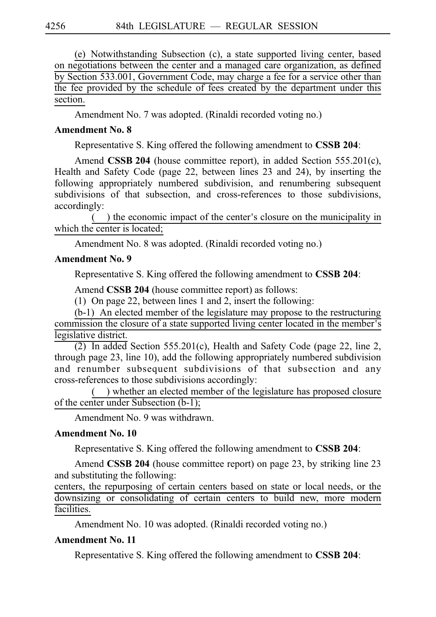(e) Notwithstanding Subsection (c), a state supported living center, based on negotiations between the center and a managed care organization, as defined by Section 533.001, Government Code, may charge a fee for a service other than the fee provided by the schedule of fees created by the department under this section.

Amendment No. 7 was adopted. (Rinaldi recorded voting no.)

# **Amendment No. 8**

Representative S. King offered the following amendment to **CSSB 204**:

Amend **CSSB 204** (house committee report), in added Section 555.201(c), Health and Safety Code (page 22, between lines 23 and 24), by inserting the following appropriately numbered subdivision, and renumbering subsequent subdivisions of that subsection, and cross-references to those subdivisions, accordingly:

( ) the economic impact of the center's closure on the municipality in which the center is located;

Amendment No. 8 was adopted. (Rinaldi recorded voting no.)

# **Amendment No. 9**

Representative S. King offered the following amendment to **CSSB 204**:

Amend **CSSB 204** (house committee report) as follows:

(1) On page 22, between lines 1 and 2, insert the following:

 $(b-1)$  An elected member of the legislature may propose to the restructuring commission the closure of a state supported living center located in the member's legislative district.

(2) In added Section 555.201(c), Health and Safety Code (page 22, line 2, through page 23, line 10), add the following appropriately numbered subdivision and renumber subsequent subdivisions of that subsection and any cross-references to those subdivisions accordingly:

( ) whether an elected member of the legislature has proposed closure of the center under Subsection (b-1);

Amendment No. 9 was withdrawn.

# **Amendment No. 10**

Representative S. King offered the following amendment to **CSSB 204**:

Amend **CSSB 204** (house committee report) on page 23, by striking line 23 and substituting the following:

centers, the repurposing of certain centers based on state or local needs, or the downsizing or consolidating of certain centers to build new, more modern facilities.

Amendment No. 10 was adopted. (Rinaldi recorded voting no.)

# **Amendment No. 11**

Representative S. King offered the following amendment to **CSSB 204**: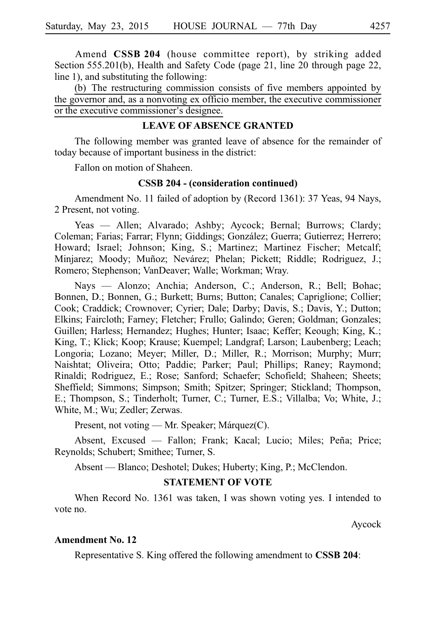Amend **CSSB 204** (house committee report), by striking added Section 555.201(b), Health and Safety Code (page 21, line 20 through page 22, line 1), and substituting the following:

(b) The restructuring commission consists of five members appointed by the governor and, as a nonvoting ex officio member, the executive commissioner or the executive commissioner's designee.

#### **LEAVE OF ABSENCE GRANTED**

The following member was granted leave of absence for the remainder of today because of important business in the district:

Fallon on motion of Shaheen.

#### **CSSB 204 - (consideration continued)**

Amendment No. 11 failed of adoption by (Record 1361): 37 Yeas, 94 Nays, 2 Present, not voting.

Yeas — Allen; Alvarado; Ashby; Aycock; Bernal; Burrows; Clardy; Coleman; Farias; Farrar; Flynn; Giddings; González; Guerra; Gutierrez; Herrero; Howard; Israel; Johnson; King, S.; Martinez; Martinez Fischer; Metcalf; Minjarez; Moody; Muñoz; Nevárez; Phelan; Pickett; Riddle; Rodriguez, J.; Romero; Stephenson; VanDeaver; Walle; Workman; Wray.

Nays — Alonzo; Anchia; Anderson, C.; Anderson, R.; Bell; Bohac; Bonnen, D.; Bonnen, G.; Burkett; Burns; Button; Canales; Capriglione; Collier; Cook; Craddick; Crownover; Cyrier; Dale; Darby; Davis, S.; Davis, Y.; Dutton; Elkins; Faircloth; Farney; Fletcher; Frullo; Galindo; Geren; Goldman; Gonzales; Guillen; Harless; Hernandez; Hughes; Hunter; Isaac; Keffer; Keough; King, K.; King, T.; Klick; Koop; Krause; Kuempel; Landgraf; Larson; Laubenberg; Leach; Longoria; Lozano; Meyer; Miller, D.; Miller, R.; Morrison; Murphy; Murr; Naishtat; Oliveira; Otto; Paddie; Parker; Paul; Phillips; Raney; Raymond; Rinaldi; Rodriguez, E.; Rose; Sanford; Schaefer; Schofield; Shaheen; Sheets; Sheffield; Simmons; Simpson; Smith; Spitzer; Springer; Stickland; Thompson, E.; Thompson, S.; Tinderholt; Turner, C.; Turner, E.S.; Villalba; Vo; White, J.; White, M.; Wu; Zedler; Zerwas.

Present, not voting — Mr. Speaker; Márquez $(C)$ .

Absent, Excused — Fallon; Frank; Kacal; Lucio; Miles; Peña; Price; Reynolds; Schubert; Smithee; Turner, S.

Absent — Blanco; Deshotel; Dukes; Huberty; King, P.; McClendon.

### **STATEMENT OF VOTE**

When Record No. 1361 was taken, I was shown voting yes. I intended to vote no.

Aycock

#### **Amendment No. 12**

Representative S. King offered the following amendment to **CSSB 204**: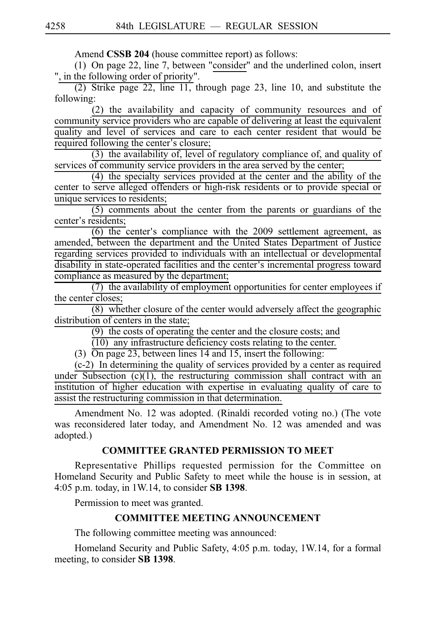Amend **CSSB 204** (house committee report) as follows:

(1) On page 22, line 7, between "consider" and the underlined colon, insert ", in the following order of priority".

(2) Strike page 22, line 11, through page 23, line 10, and substitute the following:

 $(2)$  the availability and capacity of community resources and of community service providers who are capable of delivering at least the equivalent quality and level of services and care to each center resident that would be required following the center's closure;

 $(3)$  the availability of, level of regulatory compliance of, and quality of services of community service providers in the area served by the center;

 $(4)$  the specialty services provided at the center and the ability of the center to serve alleged offenders or high-risk residents or to provide special or unique services to residents;

 $(5)$  comments about the center from the parents or guardians of the center's residents;

 $(6)$  the center's compliance with the 2009 settlement agreement, as amended, between the department and the United States Department of Justice regarding services provided to individuals with an intellectual or developmental disability in state-operated facilities and the center's incremental progress toward compliance as measured by the department;

 $(7)$  the availability of employment opportunities for center employees if the center closes;

 $(8)$  whether closure of the center would adversely affect the geographic distribution of centers in the state;

 $(9)$  the costs of operating the center and the closure costs; and

 $(10)$  any infrastructure deficiency costs relating to the center.

(3)  $\overline{On}$  page 23, between lines 14 and 15, insert the following:

 $(c-2)$  In determining the quality of services provided by a center as required under Subsection  $(c)(1)$ , the restructuring commission shall contract with an institution of higher education with expertise in evaluating quality of care to assist the restructuring commission in that determination.

Amendment No. 12 was adopted. (Rinaldi recorded voting no.) (The vote was reconsidered later today, and Amendment No. 12 was amended and was adopted.)

# **COMMITTEE GRANTED PERMISSION TO MEET**

Representative Phillips requested permission for the Committee on Homeland Security and Public Safety to meet while the house is in session, at 4:05 p.m. today, in 1W.14, to consider **SB 1398**.

Permission to meet was granted.

# **COMMITTEE MEETING ANNOUNCEMENT**

The following committee meeting was announced:

Homeland Security and Public Safety, 4:05 p.m. today, 1W.14, for a formal meeting, to consider **SB 1398**.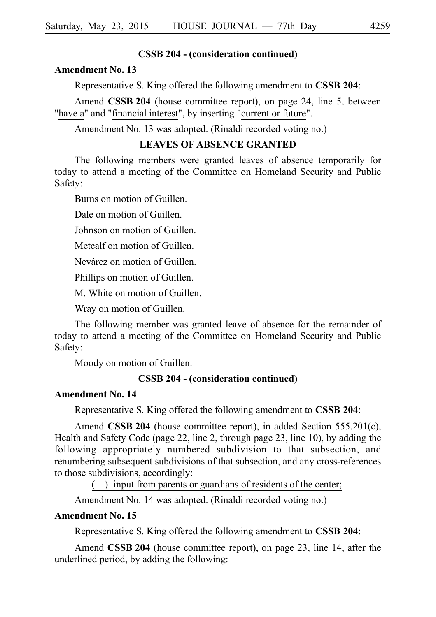#### **CSSB 204 - (consideration continued)**

### **Amendment No. 13**

Representative S. King offered the following amendment to **CSSB 204**:

Amend **CSSB 204** (house committee report), on page 24, line 5, between "have a" and "financial interest", by inserting "current or future".

Amendment No. 13 was adopted. (Rinaldi recorded voting no.)

## **LEAVES OF ABSENCE GRANTED**

The following members were granted leaves of absence temporarily for today to attend a meeting of the Committee on Homeland Security and Public Safety:

Burns on motion of Guillen.

Dale on motion of Guillen.

Johnson on motion of Guillen.

Metcalf on motion of Guillen.

Nevárez on motion of Guillen.

Phillips on motion of Guillen.

M. White on motion of Guillen.

Wray on motion of Guillen.

The following member was granted leave of absence for the remainder of today to attend a meeting of the Committee on Homeland Security and Public Safety:

Moody on motion of Guillen.

#### **CSSB 204 - (consideration continued)**

#### **Amendment No. 14**

Representative S. King offered the following amendment to **CSSB 204**:

Amend **CSSB 204** (house committee report), in added Section 555.201(c), Health and Safety Code (page 22, line 2, through page 23, line 10), by adding the following appropriately numbered subdivision to that subsection, and renumbering subsequent subdivisions of that subsection, and any cross-references to those subdivisions, accordingly:

 $($ ) input from parents or guardians of residents of the center;

Amendment No. 14 was adopted. (Rinaldi recorded voting no.)

## **Amendment No. 15**

Representative S. King offered the following amendment to **CSSB 204**:

Amend **CSSB 204** (house committee report), on page 23, line 14, after the underlined period, by adding the following: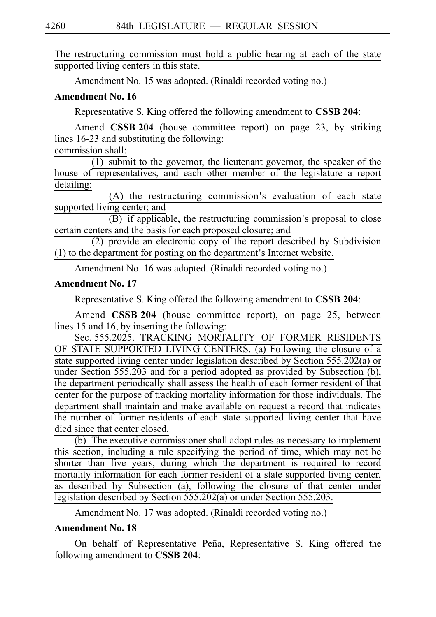The restructuring commission must hold a public hearing at each of the state supported living centers in this state.

Amendment No. 15 was adopted. (Rinaldi recorded voting no.)

# **Amendment No. 16**

Representative S. King offered the following amendment to **CSSB 204**:

Amend **CSSB 204** (house committee report) on page 23, by striking lines 16-23 and substituting the following:

commission shall:

 $(1)$  submit to the governor, the lieutenant governor, the speaker of the house of representatives, and each other member of the legislature a report detailing:

(A) the restructuring commission's evaluation of each state supported living center; and

 $(B)$  if applicable, the restructuring commission's proposal to close certain centers and the basis for each proposed closure; and

(2) provide an electronic copy of the report described by Subdivision (1) to the department for posting on the department's Internet website.

Amendment No. 16 was adopted. (Rinaldi recorded voting no.)

## **Amendment No. 17**

Representative S. King offered the following amendment to **CSSB 204**:

Amend **CSSB 204** (house committee report), on page 25, between lines  $15$  and  $16$ , by inserting the following:

Sec. 555.2025. TRACKING MORTALITY OF FORMER RESIDENTS OF STATE SUPPORTED LIVING CENTERS. (a) Following the closure of a state supported living center under legislation described by Section 555.202(a) or under Section 555.203 and for a period adopted as provided by Subsection (b), the department periodically shall assess the health of each former resident of that center for the purpose of tracking mortality information for those individuals. The department shall maintain and make available on request a record that indicates the number of former residents of each state supported living center that have died since that center closed.

 $(b)$  The executive commissioner shall adopt rules as necessary to implement this section, including a rule specifying the period of time, which may not be shorter than five years, during which the department is required to record mortality information for each former resident of a state supported living center, as described by Subsection (a), following the closure of that center under legislation described by Section 555.202(a) or under Section 555.203.

Amendment No. 17 was adopted. (Rinaldi recorded voting no.)

# **Amendment No. 18**

On behalf of Representative Peña, Representative S. King offered the following amendment to **CSSB 204**: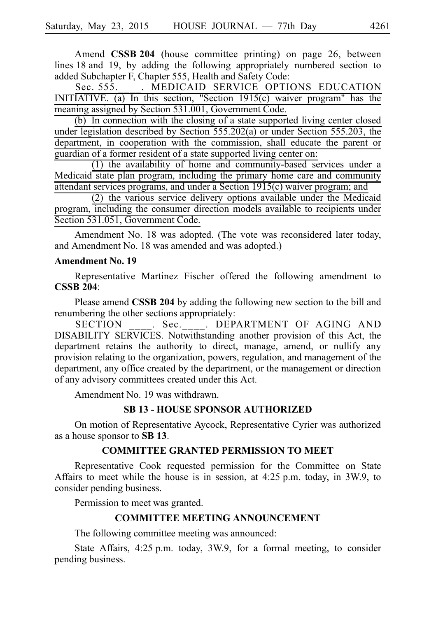Amend **CSSB 204** (house committee printing) on page 26, between lines 18 and 19, by adding the following appropriately numbered section to added Subchapter F, Chapter 555, Health and Safety Code:

Sec. 555. MEDICAID SERVICE OPTIONS EDUCATION INITIATIVE. (a) In this section, "Section 1915(c) waiver program" has the meaning assigned by Section 531.001, Government Code.

 $(b)$  In connection with the closing of a state supported living center closed under legislation described by Section 555.202(a) or under Section 555.203, the department, in cooperation with the commission, shall educate the parent or guardian of a former resident of a state supported living center on:

 $(1)$  the availability of home and community-based services under a Medicaid state plan program, including the primary home care and community attendant services programs, and under a Section 1915(c) waiver program; and

 $(2)$  the various service delivery options available under the Medicaid program, including the consumer direction models available to recipients under Section 531.051, Government Code.

Amendment No. 18 was adopted. (The vote was reconsidered later today, and Amendment No. 18 was amended and was adopted.)

### **Amendment No. 19**

Representative Martinez Fischer offered the following amendment to **CSSBi204**:

Please amend **CSSB 204** by adding the following new section to the bill and renumbering the other sections appropriately:

SECTION \_\_\_\_. Sec.\_\_\_\_. DEPARTMENT OF AGING AND DISABILITY SERVICES. Notwithstanding another provision of this Act, the department retains the authority to direct, manage, amend, or nullify any provision relating to the organization, powers, regulation, and management of the department, any office created by the department, or the management or direction of any advisory committees created under this Act.

Amendment No. 19 was withdrawn.

# **SB 13 - HOUSE SPONSOR AUTHORIZED**

On motion of Representative Aycock, Representative Cyrier was authorized as a house sponsor to **SBi13**.

#### **COMMITTEE GRANTED PERMISSION TO MEET**

Representative Cook requested permission for the Committee on State Affairs to meet while the house is in session, at  $4:25$  p.m. today, in 3W.9, to consider pending business.

Permission to meet was granted.

#### **COMMITTEE MEETING ANNOUNCEMENT**

The following committee meeting was announced:

State Affairs, 4:25 p.m. today, 3W.9, for a formal meeting, to consider pending business.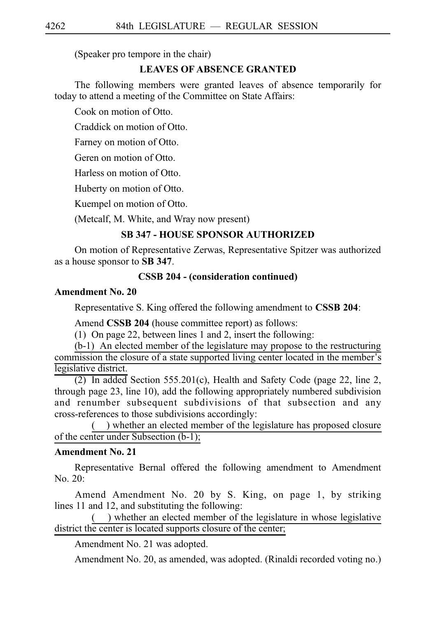(Speaker pro tempore in the chair)

#### **LEAVES OF ABSENCE GRANTED**

The following members were granted leaves of absence temporarily for today to attend a meeting of the Committee on State Affairs:

Cook on motion of Otto.

Craddick on motion of Otto.

Farney on motion of Otto.

Geren on motion of Otto.

Harless on motion of Otto.

Huberty on motion of Otto.

Kuempel on motion of Otto.

(Metcalf, M. White, and Wray now present)

## **SB 347 - HOUSE SPONSOR AUTHORIZED**

On motion of Representative Zerwas, Representative Spitzer was authorized as a house sponsor to **SBi347**.

#### **CSSB 204 - (consideration continued)**

### **Amendment No. 20**

Representative S. King offered the following amendment to **CSSB 204**:

Amend **CSSB 204** (house committee report) as follows:

(1) On page 22, between lines 1 and 2, insert the following:

 $(b-1)$  An elected member of the legislature may propose to the restructuring commission the closure of a state supported living center located in the member's legislative district.

(2) In added Section 555.201(c), Health and Safety Code (page 22, line 2, through page 23, line 10), add the following appropriately numbered subdivision and renumber subsequent subdivisions of that subsection and any cross-references to those subdivisions accordingly:

( ) whether an elected member of the legislature has proposed closure of the center under Subsection (b-1);

# **Amendment No. 21**

Representative Bernal offered the following amendment to Amendment  $No. 20:$ 

Amend Amendment No. 20 by S. King, on page 1, by striking lines  $11$  and  $12$ , and substituting the following:

( ) whether an elected member of the legislature in whose legislative district the center is located supports closure of the center;

Amendment No. 21 was adopted.

Amendment No. 20, as amended, was adopted. (Rinaldi recorded voting no.)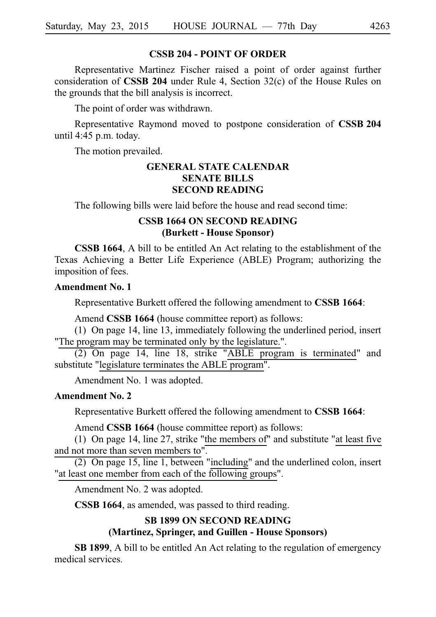#### **CSSB 204 - POINT OF ORDER**

Representative Martinez Fischer raised a point of order against further consideration of **CSSB 204** under Rule 4, Section 32(c) of the House Rules on the grounds that the bill analysis is incorrect.

The point of order was withdrawn.

Representative Raymond moved to postpone consideration of **CSSB 204** until  $4:45$  p.m. today.

The motion prevailed.

## **GENERAL STATE CALENDAR SENATE BILLS SECOND READING**

The following bills were laid before the house and read second time:

### **CSSB 1664 ON SECOND READING (Burkett - House Sponsor)**

**CSSB 1664**, A bill to be entitled An Act relating to the establishment of the Texas Achieving a Better Life Experience (ABLE) Program; authorizing the imposition of fees.

#### **Amendment No. 1**

Representative Burkett offered the following amendment to **CSSB 1664**:

Amend **CSSB 1664** (house committee report) as follows:

(1) On page 14, line 13, immediately following the underlined period, insert "The program may be terminated only by the legislature.".

 $(2)$  On page 14, line 18, strike "ABLE program is terminated" and substitute "legislature terminates the ABLE program".

Amendment No. 1 was adopted.

### **Amendment No. 2**

Representative Burkett offered the following amendment to **CSSB 1664**:

Amend **CSSB 1664** (house committee report) as follows:

(1) On page 14, line 27, strike "the members of" and substitute "at least five and not more than seven members to".

(2) On page 15, line 1, between "including" and the underlined colon, insert "at least one member from each of the following groups".

Amendment No. 2 was adopted.

**CSSB 1664**, as amended, was passed to third reading.

# **SB 1899 ON SECOND READING (Martinez, Springer, and Guillen - House Sponsors)**

**SB 1899**, A bill to be entitled An Act relating to the regulation of emergency medical services.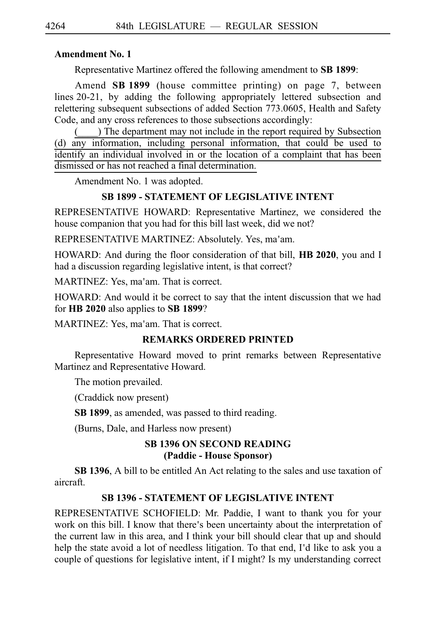## **Amendment No. 1**

Representative Martinez offered the following amendment to **SB 1899**:

Amend **SB 1899** (house committee printing) on page 7, between lines 20-21, by adding the following appropriately lettered subsection and relettering subsequent subsections of added Section 773.0605, Health and Safety Code, and any cross references to those subsections accordingly:

) The department may not include in the report required by Subsection (d) any information, including personal information, that could be used to identify an individual involved in or the location of a complaint that has been dismissed or has not reached a final determination.

Amendment No. 1 was adopted.

# **SB 1899 - STATEMENT OF LEGISLATIVE INTENT**

REPRESENTATIVE HOWARD: Representative Martinez, we considered the house companion that you had for this bill last week, did we not?

REPRESENTATIVE MARTINEZ: Absolutely. Yes, ma'am.

HOWARD: And during the floor consideration of that bill, **HB 2020**, you and I had a discussion regarding legislative intent, is that correct?

MARTINEZ: Yes, ma'am. That is correct.

HOWARD: And would it be correct to say that the intent discussion that we had for **HBi2020** also applies to **SBi1899**?

MARTINEZ: Yes, ma'am. That is correct.

# **REMARKS ORDERED PRINTED**

Representative Howard moved to print remarks between Representative Martinez and Representative Howard.

The motion prevailed.

(Craddick now present)

**SB 1899**, as amended, was passed to third reading.

(Burns, Dale, and Harless now present)

## **SB 1396 ON SECOND READING (Paddie - House Sponsor)**

**SB 1396**, A bill to be entitled An Act relating to the sales and use taxation of aircraft.

# **SB 1396 - STATEMENT OF LEGISLATIVE INTENT**

REPRESENTATIVE SCHOFIELD: Mr. Paddie, I want to thank you for your work on this bill. I know that there's been uncertainty about the interpretation of the current law in this area, and I think your bill should clear that up and should help the state avoid a lot of needless litigation. To that end, I'd like to ask you a couple of questions for legislative intent, if I might? Is my understanding correct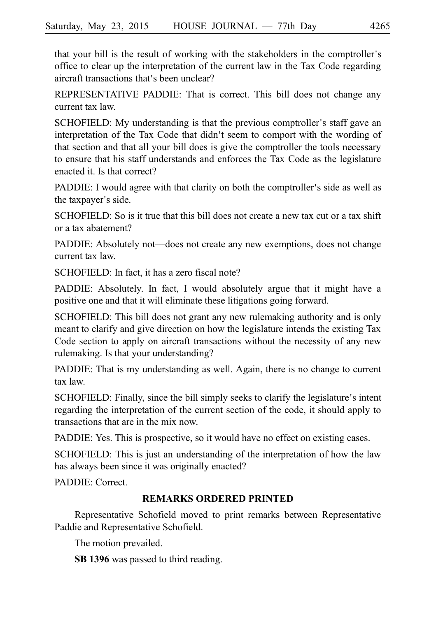that your bill is the result of working with the stakeholders in the comptroller's office to clear up the interpretation of the current law in the Tax Code regarding aircraft transactions that's been unclear?

REPRESENTATIVE PADDIE: That is correct. This bill does not change any current tax law.

SCHOFIELD: My understanding is that the previous comptroller's staff gave an interpretation of the Tax Code that didn't seem to comport with the wording of that section and that all your bill does is give the comptroller the tools necessary to ensure that his staff understands and enforces the Tax Code as the legislature enacted it. Is that correct?

PADDIE: I would agree with that clarity on both the comptroller's side as well as the taxpayer's side.

SCHOFIELD: So is it true that this bill does not create a new tax cut or a tax shift or a tax abatement?

PADDIE: Absolutely not—does not create any new exemptions, does not change current tax law.

SCHOFIELD: In fact, it has a zero fiscal note?

PADDIE: Absolutely. In fact, I would absolutely argue that it might have a positive one and that it will eliminate these litigations going forward.

SCHOFIELD: This bill does not grant any new rulemaking authority and is only meant to clarify and give direction on how the legislature intends the existing Tax Code section to apply on aircraft transactions without the necessity of any new rulemaking. Is that your understanding?

PADDIE: That is my understanding as well. Again, there is no change to current tax law.

SCHOFIELD: Finally, since the bill simply seeks to clarify the legislature's intent regarding the interpretation of the current section of the code, it should apply to transactions that are in the mix now.

PADDIE: Yes. This is prospective, so it would have no effect on existing cases.

SCHOFIELD: This is just an understanding of the interpretation of how the law has always been since it was originally enacted?

PADDIE: Correct.

# **REMARKS ORDERED PRINTED**

Representative Schofield moved to print remarks between Representative Paddie and Representative Schofield.

The motion prevailed.

**SB 1396** was passed to third reading.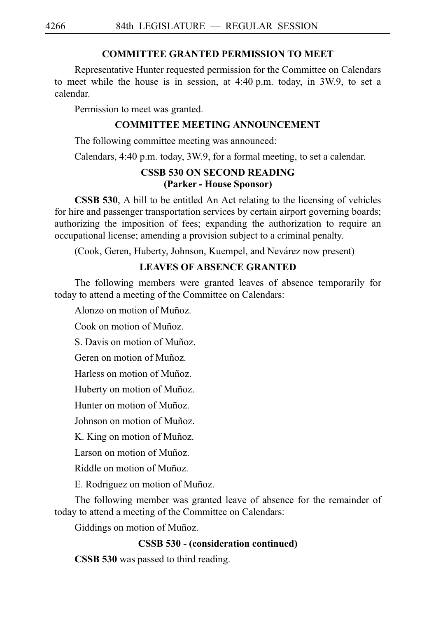### **COMMITTEE GRANTED PERMISSION TO MEET**

Representative Hunter requested permission for the Committee on Calendars to meet while the house is in session, at  $4:40$  p.m. today, in 3W.9, to set a calendar.

Permission to meet was granted.

# **COMMITTEE MEETING ANNOUNCEMENT**

The following committee meeting was announced:

Calendars,  $4:40$  p.m. today,  $3W.9$ , for a formal meeting, to set a calendar.

# **CSSB 530 ON SECOND READING (Parker - House Sponsor)**

**CSSB 530**, A bill to be entitled An Act relating to the licensing of vehicles for hire and passenger transportation services by certain airport governing boards; authorizing the imposition of fees; expanding the authorization to require an occupational license; amending a provision subject to a criminal penalty.

(Cook, Geren, Huberty, Johnson, Kuempel, and Nevárez now present)

# **LEAVES OF ABSENCE GRANTED**

The following members were granted leaves of absence temporarily for today to attend a meeting of the Committee on Calendars:

Alonzo on motion of Muñoz.

Cook on motion of Muñoz.

S. Davis on motion of Muñoz.

Geren on motion of Muñoz.

Harless on motion of Muñoz.

Huberty on motion of Muñoz.

Hunter on motion of Muñoz.

Johnson on motion of Muñoz.

K. King on motion of Muñoz.

Larson on motion of Muñoz.

Riddle on motion of Muñoz.

E. Rodriguez on motion of Muñoz.

The following member was granted leave of absence for the remainder of today to attend a meeting of the Committee on Calendars:

Giddings on motion of Muñoz.

# **CSSB 530 - (consideration continued)**

**CSSB 530** was passed to third reading.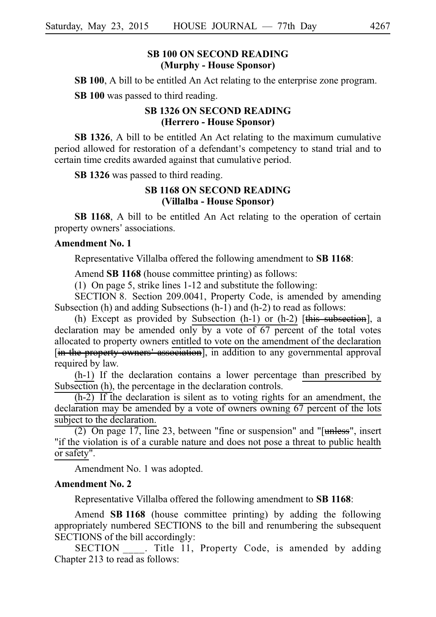## **SB 100 ON SECOND READING (Murphy - House Sponsor)**

**SB 100**, A bill to be entitled An Act relating to the enterprise zone program.

**SB 100** was passed to third reading.

# **SB 1326 ON SECOND READING (Herrero - House Sponsor)**

**SB 1326**, A bill to be entitled An Act relating to the maximum cumulative period allowed for restoration of a defendant's competency to stand trial and to certain time credits awarded against that cumulative period.

**SBi1326** was passed to third reading.

### **SB 1168 ON SECOND READING (Villalba - House Sponsor)**

**SB 1168**, A bill to be entitled An Act relating to the operation of certain property owners' associations.

### **Amendment No. 1**

Representative Villalba offered the following amendment to **SB 1168**:

Amend **SB 1168** (house committee printing) as follows:

(1) On page 5, strike lines  $1-12$  and substitute the following:

SECTION 8. Section 209.0041, Property Code, is amended by amending Subsection (h) and adding Subsections (h-1) and (h-2) to read as follows:

(h) Except as provided by Subsection (h-1) or (h-2)  $[$ this subsection], a declaration may be amended only by a vote of  $67$  percent of the total votes allocated to property owners entitled to vote on the amendment of the declaration [in the property owners' association], in addition to any governmental approval required by law.

 $(h-1)$  If the declaration contains a lower percentage than prescribed by Subsection (h), the percentage in the declaration controls.

 $(h-2)$  If the declaration is silent as to voting rights for an amendment, the declaration may be amended by a vote of owners owning 67 percent of the lots subject to the declaration.

(2) On page 17, line 23, between "fine or suspension" and "[ $u$ nless", insert "if the violation is of a curable nature and does not pose a threat to public health or safety".

Amendment No. 1 was adopted.

#### **Amendment No. 2**

Representative Villalba offered the following amendment to **SB 1168**:

Amend **SBi1168** (house committee printing) by adding the following appropriately numbered SECTIONS to the bill and renumbering the subsequent SECTIONS of the bill accordingly:

SECTION . Title 11, Property Code, is amended by adding Chapter 213 to read as follows: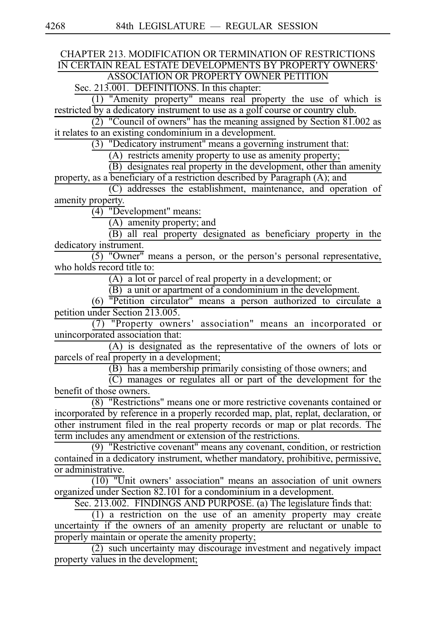### CHAPTER 213. MODIFICATION OR TERMINATION OF RESTRICTIONS IN CERTAIN REAL ESTATE DEVELOPMENTS BY PROPERTY OWNERS ' ASSOCIATION OR PROPERTY OWNER PETITION

Sec. 213.001. DEFINITIONS. In this chapter:

 $(1)$  "Amenity property" means real property the use of which is restricted by a dedicatory instrument to use as a golf course or country club.

(2) "Council of owners" has the meaning assigned by Section  $81.002$  as it relates to an existing condominium in a development.

 $(3)$  "Dedicatory instrument" means a governing instrument that:

(A) restricts amenity property to use as amenity property;

 $\overline{B}$ ) designates real property in the development, other than amenity property, as a beneficiary of a restriction described by Paragraph (A); and

(C) addresses the establishment, maintenance, and operation of amenity property.

 $(4)$  "Development" means:

(A) amenity property; and

(B) all real property designated as beneficiary property in the dedicatory instrument.

 $\frac{1}{(5)}$  "Owner" means a person, or the person's personal representative, who holds record title to:

 $(A)$  a lot or parcel of real property in a development; or

(B) a unit or apartment of a condominium in the development.

 $(6)$   $\overline{P}$ Petition circulator" means a person authorized to circulate a petition under Section 213.005.

(7) "Property owners' association" means an incorporated or unincorporated association that:

 $(A)$  is designated as the representative of the owners of lots or parcels of real property in a development;

(B) has a membership primarily consisting of those owners; and

(C) interactive comparison produces all or part of the development for the benefit of those owners.

(8) "Restrictions" means one or more restrictive covenants contained or incorporated by reference in a properly recorded map, plat, replat, declaration, or other instrument filed in the real property records or map or plat records. The term includes any amendment or extension of the restrictions.

(9) "Restrictive covenant" means any covenant, condition, or restriction contained in a dedicatory instrument, whether mandatory, prohibitive, permissive, or administrative.

 $(10)$  "Unit owners' association" means an association of unit owners organized under Section 82.101 for a condominium in a development.

Sec. 213.002. FINDINGS AND PURPOSE. (a) The legislature finds that:

 $(1)$  a restriction on the use of an amenity property may create uncertainty if the owners of an amenity property are reluctant or unable to properly maintain or operate the amenity property;

 $(2)$  such uncertainty may discourage investment and negatively impact property values in the development;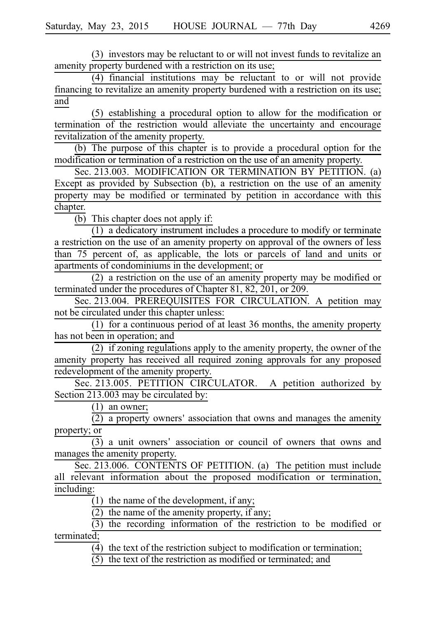(3) investors may be reluctant to or will not invest funds to revitalize an amenity property burdened with a restriction on its use;

 $(4)$  financial institutions may be reluctant to or will not provide financing to revitalize an amenity property burdened with a restriction on its use; and

(5) establishing a procedural option to allow for the modification or termination of the restriction would alleviate the uncertainty and encourage revitalization of the amenity property.

(b) The purpose of this chapter is to provide a procedural option for the modification or termination of a restriction on the use of an amenity property.

Sec. 213.003. MODIFICATION OR TERMINATION BY PETITION. (a) Except as provided by Subsection (b), a restriction on the use of an amenity property may be modified or terminated by petition in accordance with this chapter.

(b) This chapter does not apply if:

 $(1)$  a dedicatory instrument includes a procedure to modify or terminate a restriction on the use of an amenity property on approval of the owners of less than 75 percent of, as applicable, the lots or parcels of land and units or apartments of condominiums in the development; or

 $(2)$  a restriction on the use of an amenity property may be modified or terminated under the procedures of Chapter 81, 82, 201, or 209.

Sec. 213.004. PREREQUISITES FOR CIRCULATION. A petition may not be circulated under this chapter unless:

(1) for a continuous period of at least 36 months, the amenity property has not been in operation; and

 $(2)$  if zoning regulations apply to the amenity property, the owner of the amenity property has received all required zoning approvals for any proposed redevelopment of the amenity property.

Sec. 213.005. PETITION CIRCULATOR. A petition authorized by Section 213.003 may be circulated by:

 $(1)$  an owner;

 $(2)$  a property owners' association that owns and manages the amenity property; or

 $(3)$  a unit owners' association or council of owners that owns and manages the amenity property.

Sec. 213.006. CONTENTS OF PETITION. (a) The petition must include all relevant information about the proposed modification or termination, including:

(1) the name of the development, if any;

(2) the name of the amenity property, if any;

 $(3)$  the recording information of the restriction to be modified or terminated;

 $\overline{(4)}$  the text of the restriction subject to modification or termination;

 $(5)$  the text of the restriction as modified or terminated; and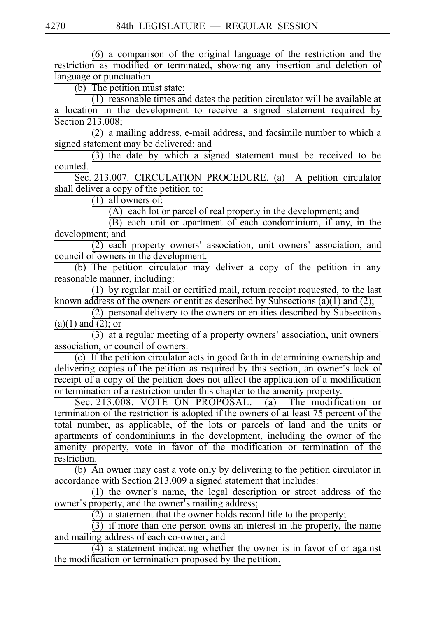$(6)$  a comparison of the original language of the restriction and the restriction as modified or terminated, showing any insertion and deletion of language or punctuation.

 $(b)$  The petition must state:

 $(1)$  reasonable times and dates the petition circulator will be available at a location in the development to receive a signed statement required by Section 213.008:

 $(2)$  a mailing address, e-mail address, and facsimile number to which a signed statement may be delivered; and

 $(3)$  the date by which a signed statement must be received to be counted.

Sec. 213.007. CIRCULATION PROCEDURE. (a) A petition circulator shall deliver a copy of the petition to:

 $(1)$  all owners of:

 $(A)$  each lot or parcel of real property in the development; and

 $(B)$  each unit or apartment of each condominium, if any, in the development; and

 $(2)$  each property owners' association, unit owners' association, and council of owners in the development.

(b) The petition circulator may deliver a copy of the petition in any reasonable manner, including:

 $(1)$  by regular mail or certified mail, return receipt requested, to the last known address of the owners or entities described by Subsections  $(a)(1)$  and  $(2)$ ;

 $(2)$  personal delivery to the owners or entities described by Subsections  $(a)(1)$  and  $(2)$ ; or

 $(3)$  at a regular meeting of a property owners' association, unit owners' association, or council of owners.

(c) If the petition circulator acts in good faith in determining ownership and delivering copies of the petition as required by this section, an owner's lack of receipt of a copy of the petition does not affect the application of a modification or termination of a restriction under this chapter to the amenity property.

Sec. 213.008. VOTE ON PROPOSAL. (a) The modification or termination of the restriction is adopted if the owners of at least 75 percent of the total number, as applicable, of the lots or parcels of land and the units or apartments of condominiums in the development, including the owner of the amenity property, vote in favor of the modification or termination of the restriction.

 $(b)$  An owner may cast a vote only by delivering to the petition circulator in accordance with Section 213.009 a signed statement that includes:

 $(1)$  the owner's name, the legal description or street address of the owner's property, and the owner's mailing address;

 $(2)$  a statement that the owner holds record title to the property;

 $\overline{(3)}$  if more than one person owns an interest in the property, the name and mailing address of each co-owner; and

 $\overline{(4)}$  a statement indicating whether the owner is in favor of or against the modification or termination proposed by the petition.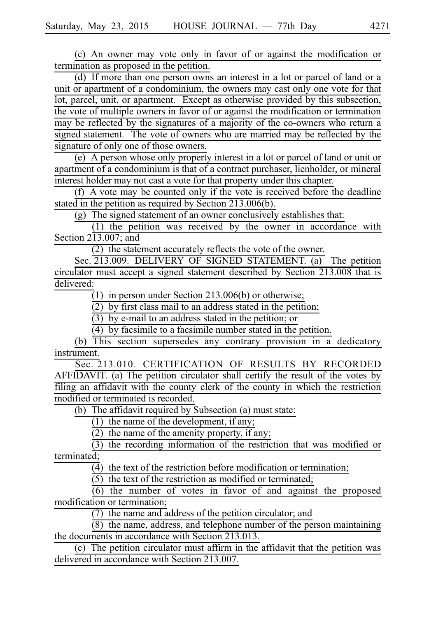(c) An owner may vote only in favor of or against the modification or termination as proposed in the petition.

(d) If more than one person owns an interest in a lot or parcel of land or a unit or apartment of a condominium, the owners may cast only one vote for that lot, parcel, unit, or apartment. Except as otherwise provided by this subsection, the vote of multiple owners in favor of or against the modification or termination may be reflected by the signatures of a majority of the co-owners who return a signed statement. The vote of owners who are married may be reflected by the signature of only one of those owners.

 $(e)$  A person whose only property interest in a lot or parcel of land or unit or apartment of a condominium is that of a contract purchaser, lienholder, or mineral interest holder may not cast a vote for that property under this chapter.

 $(f)$  A vote may be counted only if the vote is received before the deadline stated in the petition as required by Section 213.006(b).

 $(g)$  The signed statement of an owner conclusively establishes that:

 $(1)$  the petition was received by the owner in accordance with Section  $213.007$ ; and

 $(2)$  the statement accurately reflects the vote of the owner.

Sec.  $213.009$ . DELIVERY OF SIGNED STATEMENT. (a) The petition circulator must accept a signed statement described by Section 213.008 that is delivered:

(1) in person under Section 213.006(b) or otherwise;

 $(2)$  by first class mail to an address stated in the petition;

 $(3)$  by e-mail to an address stated in the petition; or

 $(4)$  by facsimile to a facsimile number stated in the petition.

(b) This section supersedes any contrary provision in a dedicatory instrument.

Sec. 213.010. CERTIFICATION OF RESULTS BY RECORDED AFFIDAVIT. (a) The petition circulator shall certify the result of the votes by filing an affidavit with the county clerk of the county in which the restriction modified or terminated is recorded.

(b) The affidavit required by Subsection (a) must state:

(1) the name of the development, if any;

 $\overline{2}$ ) the name of the amenity property, if any;

 $(3)$  the recording information of the restriction that was modified or terminated;

 $\overline{(4)}$  the text of the restriction before modification or termination;

 $(5)$  the text of the restriction as modified or terminated;

 $(6)$  the number of votes in favor of and against the proposed modification or termination;

 $(7)$  the name and address of the petition circulator; and

 $\overline{(8)}$  the name, address, and telephone number of the person maintaining the documents in accordance with Section 213.013.

(c) The petition circulator must affirm in the affidavit that the petition was delivered in accordance with Section 213.007.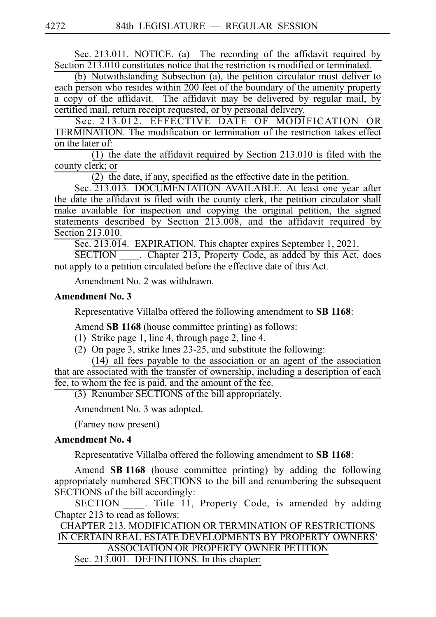Sec. 213.011. NOTICE. (a) The recording of the affidavit required by Section 213.010 constitutes notice that the restriction is modified or terminated.

 $(b)$  Notwithstanding Subsection (a), the petition circulator must deliver to each person who resides within 200 feet of the boundary of the amenity property a copy of the affidavit. The affidavit may be delivered by regular mail, by certified mail, return receipt requested, or by personal delivery.

Sec. 213.012. EFFECTIVE DATE OF MODIFICATION OR TERMINATION. The modification or termination of the restriction takes effect on the later of:

 $(1)$  the date the affidavit required by Section 213.010 is filed with the county clerk; or

 $(2)$  the date, if any, specified as the effective date in the petition.

Sec. 213.013. DOCUMENTATION AVAILABLE. At least one year after the date the affidavit is filed with the county clerk, the petition circulator shall make available for inspection and copying the original petition, the signed statements described by Section 213.008, and the affidavit required by Section 213.010.

Sec. 213.014. EXPIRATION. This chapter expires September 1, 2021.

SECTION Chapter 213, Property Code, as added by this Act, does not apply to a petition circulated before the effective date of this Act.

Amendment No. 2 was withdrawn.

# **Amendment No. 3**

Representative Villalba offered the following amendment to **SB 1168**:

Amend **SB 1168** (house committee printing) as follows:

- (1) Strike page 1, line 4, through page 2, line 4.
- (2) On page 3, strike lines  $23-25$ , and substitute the following:

 $(14)$  all fees payable to the association or an agent of the association that are associated with the transfer of ownership, including a description of each fee, to whom the fee is paid, and the amount of the fee.

(3) Renumber SECTIONS of the bill appropriately.

Amendment No. 3 was adopted.

(Farney now present)

# **Amendment No. 4**

Representative Villalba offered the following amendment to **SB 1168**:

Amend **SBi1168** (house committee printing) by adding the following appropriately numbered SECTIONS to the bill and renumbering the subsequent SECTIONS of the bill accordingly:

SECTION . Title 11, Property Code, is amended by adding Chapter 213 to read as follows:

CHAPTER 213. MODIFICATION OR TERMINATION OF RESTRICTIONS IN CERTAIN REAL ESTATE DEVELOPMENTS BY PROPERTY OWNERS ' ASSOCIATION OR PROPERTY OWNER PETITION Sec. 213.001. DEFINITIONS. In this chapter: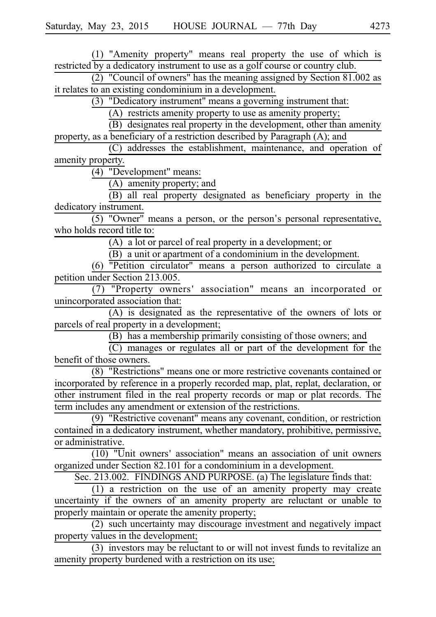$(1)$  "Amenity property" means real property the use of which is restricted by a dedicatory instrument to use as a golf course or country club.

 $(2)$  "Council of owners" has the meaning assigned by Section 81.002 as it relates to an existing condominium in a development.

 $(3)$  "Dedicatory instrument" means a governing instrument that:

(A) restricts amenity property to use as amenity property;

(B) designates real property in the development, other than amenity property, as a beneficiary of a restriction described by Paragraph (A); and

(C) addresses the establishment, maintenance, and operation of amenity property.

 $(4)$  "Development" means:

 $(A)$  amenity property; and

(B) all real property designated as beneficiary property in the dedicatory instrument.

 $(5)$  "Owner" means a person, or the person's personal representative, who holds record title to:

 $(A)$  a lot or parcel of real property in a development; or

(B) a unit or apartment of a condominium in the development.

 $(6)$  **"Petition circulator"** means a person authorized to circulate a petition under Section 213.005.

(7) "Property owners' association" means an incorporated or unincorporated association that:

(A) is designated as the representative of the owners of lots or parcels of real property in a development;

(B) has a membership primarily consisting of those owners; and

 $\overline{C}$  manages or regulates all or part of the development for the benefit of those owners.

 $(8)$  "Restrictions" means one or more restrictive covenants contained or incorporated by reference in a properly recorded map, plat, replat, declaration, or other instrument filed in the real property records or map or plat records. The term includes any amendment or extension of the restrictions.

 $(9)$  "Restrictive covenant" means any covenant, condition, or restriction contained in a dedicatory instrument, whether mandatory, prohibitive, permissive, or administrative.

 $\overline{(10)}$  "Unit owners' association" means an association of unit owners organized under Section 82.101 for a condominium in a development.

Sec. 213.002. FINDINGS AND PURPOSE. (a) The legislature finds that:

 $(1)$  a restriction on the use of an amenity property may create uncertainty if the owners of an amenity property are reluctant or unable to properly maintain or operate the amenity property;

 $(2)$  such uncertainty may discourage investment and negatively impact property values in the development;

 $(3)$  investors may be reluctant to or will not invest funds to revitalize an amenity property burdened with a restriction on its use;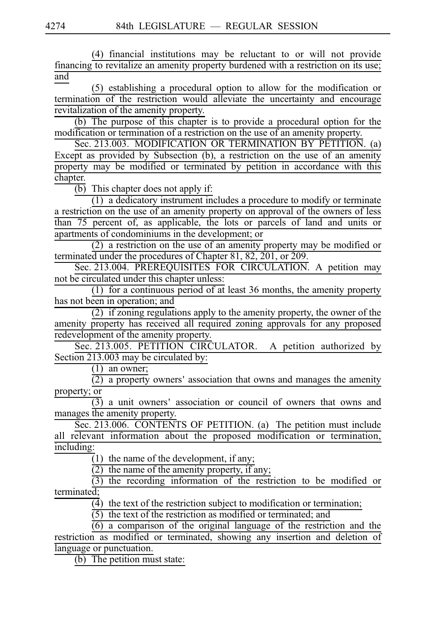(4) financial institutions may be reluctant to or will not provide financing to revitalize an amenity property burdened with a restriction on its use; and

 $(5)$  establishing a procedural option to allow for the modification or termination of the restriction would alleviate the uncertainty and encourage revitalization of the amenity property.

 $(b)$  The purpose of this chapter is to provide a procedural option for the modification or termination of a restriction on the use of an amenity property.

Sec. 213.003. MODIFICATION OR TERMINATION BY PETITION. (a) Except as provided by Subsection (b), a restriction on the use of an amenity property may be modified or terminated by petition in accordance with this chapter.

 $\overline{(b)}$  This chapter does not apply if:

 $(1)$  a dedicatory instrument includes a procedure to modify or terminate a restriction on the use of an amenity property on approval of the owners of less than 75 percent of, as applicable, the lots or parcels of land and units or apartments of condominiums in the development; or

 $(2)$  a restriction on the use of an amenity property may be modified or terminated under the procedures of Chapter 81, 82, 201, or 209.

Sec. 213.004. PREREQUISITES FOR CIRCULATION. A petition may not be circulated under this chapter unless:

(1) for a continuous period of at least 36 months, the amenity property has not been in operation; and

 $(2)$  if zoning regulations apply to the amenity property, the owner of the amenity property has received all required zoning approvals for any proposed redevelopment of the amenity property.

Sec. 213.005. PETITION CIRCULATOR. A petition authorized by Section 213.003 may be circulated by:

 $(1)$  an owner;

 $(2)$  a property owners' association that owns and manages the amenity property; or

 $\overline{(3)}$  a unit owners' association or council of owners that owns and manages the amenity property.

Sec. 213.006. CONTENTS OF PETITION. (a) The petition must include all relevant information about the proposed modification or termination, including:

(1) the name of the development, if any;

 $\overline{2}$ ) the name of the amenity property, if any;

 $(3)$  the recording information of the restriction to be modified or terminated;

 $\overline{4}$ ) the text of the restriction subject to modification or termination;

 $(5)$  the text of the restriction as modified or terminated; and

 $(6)$  a comparison of the original language of the restriction and the restriction as modified or terminated, showing any insertion and deletion of

language or punctuation.

(b) The petition must state: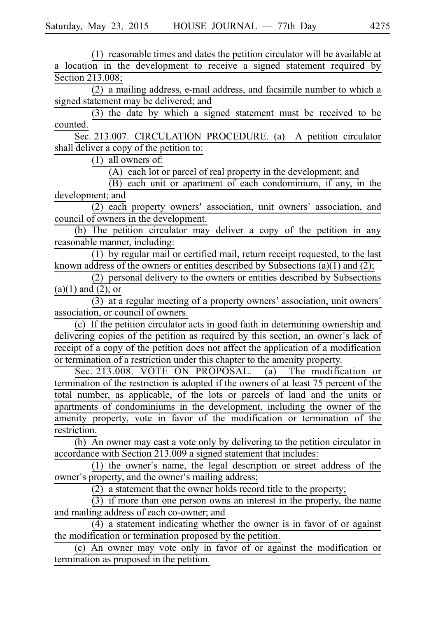$(1)$  reasonable times and dates the petition circulator will be available at a location in the development to receive a signed statement required by Section 213.008;  $\overline{(2)}$  a mailing address, e-mail address, and facsimile number to which a signed statement may be delivered; and  $(3)$  the date by which a signed statement must be received to be counted. Sec. 213.007. CIRCULATION PROCEDURE. (a) A petition circulator shall deliver a copy of the petition to:  $(1)$  all owners of:  $(A)$  each lot or parcel of real property in the development; and  $(B)$  each unit or apartment of each condominium, if any, in the development; and  $(2)$  each property owners' association, unit owners' association, and council of owners in the development. (b) The petition circulator may deliver a copy of the petition in any reasonable manner, including:  $(1)$  by regular mail or certified mail, return receipt requested, to the last known address of the owners or entities described by Subsections  $(a)(1)$  and  $(2)$ ; (2) personal delivery to the owners or entities described by Subsections (a)(1) and  $\overline{(2)}$ ; or  $(3)$  at a regular meeting of a property owners' association, unit owners' association, or council of owners. (c) If the petition circulator acts in good faith in determining ownership and delivering copies of the petition as required by this section, an owner's lack of receipt of a copy of the petition does not affect the application of a modification or termination of a restriction under this chapter to the amenity property.<br>Sec. 213.008. VOTE ON PROPOSAL. (a) The modification or Sec. 213.008. VOTE ON PROPOSAL. (a) termination of the restriction is adopted if the owners of at least 75 percent of the total number, as applicable, of the lots or parcels of land and the units or apartments of condominiums in the development, including the owner of the amenity property, vote in favor of the modification or termination of the restriction. (b) An owner may cast a vote only by delivering to the petition circulator in accordance with Section 213.009 a signed statement that includes:  $(1)$  the owner's name, the legal description or street address of the owner's property, and the owner's mailing address; (2) a statement that the owner holds record title to the property;  $(3)$  if more than one person owns an interest in the property, the name and mailing address of each co-owner; and

 $(4)$  a statement indicating whether the owner is in favor of or against the modification or termination proposed by the petition.

(c) An owner may vote only in favor of or against the modification or termination as proposed in the petition.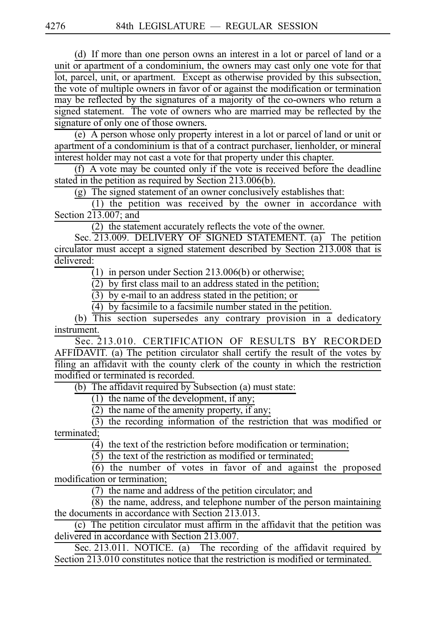(d) If more than one person owns an interest in a lot or parcel of land or a unit or apartment of a condominium, the owners may cast only one vote for that lot, parcel, unit, or apartment. Except as otherwise provided by this subsection, the vote of multiple owners in favor of or against the modification or termination may be reflected by the signatures of a majority of the co-owners who return a signed statement. The vote of owners who are married may be reflected by the signature of only one of those owners.

(e) A person whose only property interest in a lot or parcel of land or unit or apartment of a condominium is that of a contract purchaser, lienholder, or mineral interest holder may not cast a vote for that property under this chapter.

 $(f)$  A vote may be counted only if the vote is received before the deadline stated in the petition as required by Section 213.006(b).

 $(g)$  The signed statement of an owner conclusively establishes that:

 $(1)$  the petition was received by the owner in accordance with Section  $213.007$ ; and

 $(2)$  the statement accurately reflects the vote of the owner.

Sec. 213.009. DELIVERY OF SIGNED STATEMENT. (a) The petition circulator must accept a signed statement described by Section 213.008 that is delivered:

 $\overline{(1)}$  in person under Section 213.006(b) or otherwise;

 $\overline{(2)}$  by first class mail to an address stated in the petition;

 $(3)$  by e-mail to an address stated in the petition; or

 $\overline{(4)}$  by facsimile to a facsimile number stated in the petition.

(b) This section supersedes any contrary provision in a dedicatory instrument.

Sec. 213.010. CERTIFICATION OF RESULTS BY RECORDED AFFIDAVIT. (a) The petition circulator shall certify the result of the votes by filing an affidavit with the county clerk of the county in which the restriction modified or terminated is recorded.

(b) The affidavit required by Subsection (a) must state:

(1) the name of the development, if any;

 $(2)$  the name of the amenity property, if any;

 $(3)$  the recording information of the restriction that was modified or terminated;

 $\overline{(4)}$  the text of the restriction before modification or termination;

 $(5)$  the text of the restriction as modified or terminated;

 $\overline{(6)}$  the number of votes in favor of and against the proposed modification or termination;

 $(7)$  the name and address of the petition circulator; and

 $(8)$  the name, address, and telephone number of the person maintaining the documents in accordance with Section 213.013.

 $(c)$  The petition circulator must affirm in the affidavit that the petition was delivered in accordance with Section 213.007.

Sec. 213.011. NOTICE. (a) The recording of the affidavit required by Section 213.010 constitutes notice that the restriction is modified or terminated.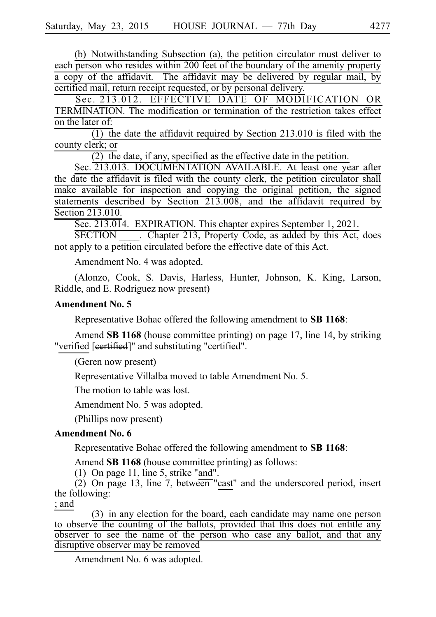(b) Notwithstanding Subsection (a), the petition circulator must deliver to each person who resides within 200 feet of the boundary of the amenity property a copy of the affidavit. The affidavit may be delivered by regular mail, by certified mail, return receipt requested, or by personal delivery.

Sec. 213.012. EFFECTIVE DATE OF MODIFICATION OR TERMINATION. The modification or termination of the restriction takes effect on the later of:

 $(1)$  the date the affidavit required by Section 213.010 is filed with the county clerk; or

 $(2)$  the date, if any, specified as the effective date in the petition.

Sec. 213.013. DOCUMENTATION AVAILABLE. At least one year after the date the affidavit is filed with the county clerk, the petition circulator shall make available for inspection and copying the original petition, the signed statements described by Section 213.008, and the affidavit required by Section 213.010.

Sec. 213.014. EXPIRATION. This chapter expires September 1, 2021.

SECTION Chapter 213, Property Code, as added by this Act, does not apply to a petition circulated before the effective date of this Act.

Amendment No. 4 was adopted.

(Alonzo, Cook, S. Davis, Harless, Hunter, Johnson, K. King, Larson, Riddle, and E. Rodriguez now present)

#### **Amendment No. 5**

Representative Bohac offered the following amendment to **SB 1168**:

Amend **SB 1168** (house committee printing) on page 17, line 14, by striking "verified [eertified]" and substituting "certified".

(Geren now present)

Representative Villalba moved to table Amendment No. 5.

The motion to table was lost.

Amendment No. 5 was adopted.

(Phillips now present)

#### **Amendment No. 6**

Representative Bohac offered the following amendment to **SB 1168**:

Amend **SB 1168** (house committee printing) as follows:

(1) On page 11, line 5, strike "and".

(2) On page 13, line 7, between "cast" and the underscored period, insert the following:

; and

(3) in any election for the board, each candidate may name one person to observe the counting of the ballots, provided that this does not entitle any observer to see the name of the person who case any ballot, and that any disruptive observer may be removed

Amendment No. 6 was adopted.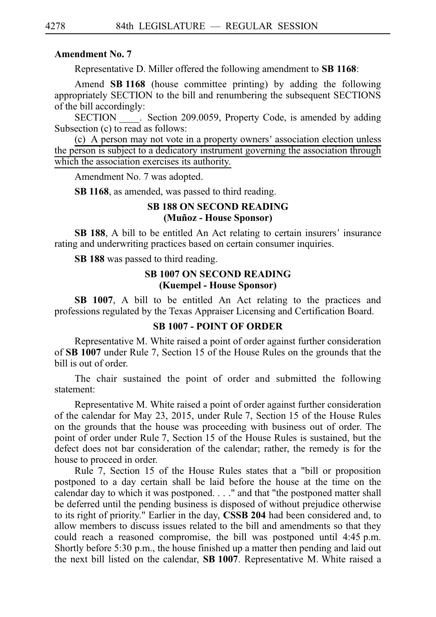### **Amendment No. 7**

Representative D. Miller offered the following amendment to **SB 1168**:

Amend **SB 1168** (house committee printing) by adding the following appropriately SECTION to the bill and renumbering the subsequent SECTIONS of the bill accordingly:

SECTION Section 209.0059, Property Code, is amended by adding Subsection (c) to read as follows:

(c) A person may not vote in a property owners' association election unless the person is subject to a dedicatory instrument governing the association through which the association exercises its authority.

Amendment No. 7 was adopted.

**SB 1168**, as amended, was passed to third reading.

### **SB 188 ON SECOND READING (Mun˜ oz - House Sponsor)**

**SB 188**, A bill to be entitled An Act relating to certain insurers' insurance rating and underwriting practices based on certain consumer inquiries.

**SBi188** was passed to third reading.

### **SB 1007 ON SECOND READING (Kuempel - House Sponsor)**

**SB 1007**, A bill to be entitled An Act relating to the practices and professions regulated by the Texas Appraiser Licensing and Certification Board.

### **SB 1007 - POINT OF ORDER**

Representative M. White raised a point of order against further consideration of **SB 1007** under Rule 7, Section 15 of the House Rules on the grounds that the bill is out of order.

The chair sustained the point of order and submitted the following statement:

Representative M. White raised a point of order against further consideration of the calendar for May 23, 2015, under Rule 7, Section 15 of the House Rules on the grounds that the house was proceeding with business out of order. The point of order under Rule 7, Section 15 of the House Rules is sustained, but the defect does not bar consideration of the calendar; rather, the remedy is for the house to proceed in order.

Rule 7, Section 15 of the House Rules states that a "bill or proposition postponed to a day certain shall be laid before the house at the time on the calendar day to which it was postponed...." and that "the postponed matter shall be deferred until the pending business is disposed of without prejudice otherwise to its right of priority." Earlier in the day, **CSSB 204** had been considered and, to allow members to discuss issues related to the bill and amendments so that they could reach a reasoned compromise, the bill was postponed until  $4:45$  p.m. Shortly before 5:30 p.m., the house finished up a matter then pending and laid out the next bill listed on the calendar, SB 1007. Representative M. White raised a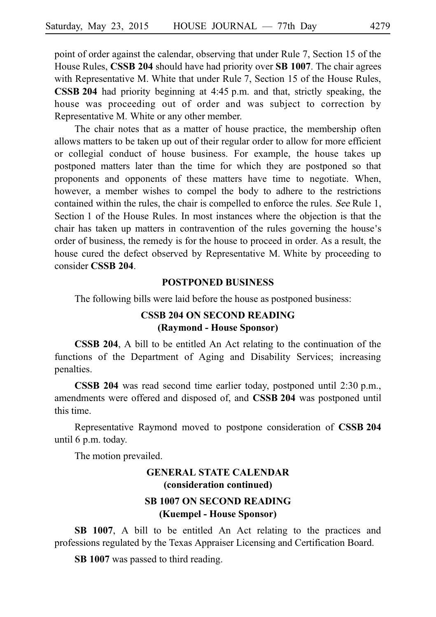point of order against the calendar, observing that under Rule 7, Section 15 of the House Rules, **CSSBi204** should have had priority over **SBi1007**. The chair agrees with Representative M. White that under Rule  $7$ , Section 15 of the House Rules, **CSSB 204** had priority beginning at 4:45 p.m. and that, strictly speaking, the house was proceeding out of order and was subject to correction by Representative M. White or any other member.

The chair notes that as a matter of house practice, the membership often allows matters to be taken up out of their regular order to allow for more efficient or collegial conduct of house business. For example, the house takes up postponed matters later than the time for which they are postponed so that proponents and opponents of these matters have time to negotiate. When, however, a member wishes to compel the body to adhere to the restrictions contained within the rules, the chair is compelled to enforce the rules. See Rule 1, Section 1 of the House Rules. In most instances where the objection is that the chair has taken up matters in contravention of the rules governing the house's order of business, the remedy is for the house to proceed in order. As a result, the house cured the defect observed by Representative M. White by proceeding to consider **CSSB** 204.

#### **POSTPONED BUSINESS**

The following bills were laid before the house as postponed business:

# **CSSB 204 ON SECOND READING (Raymond - House Sponsor)**

**CSSB 204**, A bill to be entitled An Act relating to the continuation of the functions of the Department of Aging and Disability Services; increasing penalties.

**CSSB 204** was read second time earlier today, postponed until 2:30 p.m., amendments were offered and disposed of, and **CSSB 204** was postponed until this time.

Representative Raymond moved to postpone consideration of CSSB 204 until 6 p.m. today.

The motion prevailed.

# **GENERAL STATE CALENDAR (consideration continued) SB 1007 ON SECOND READING (Kuempel - House Sponsor)**

**SB 1007**, A bill to be entitled An Act relating to the practices and professions regulated by the Texas Appraiser Licensing and Certification Board.

**SB 1007** was passed to third reading.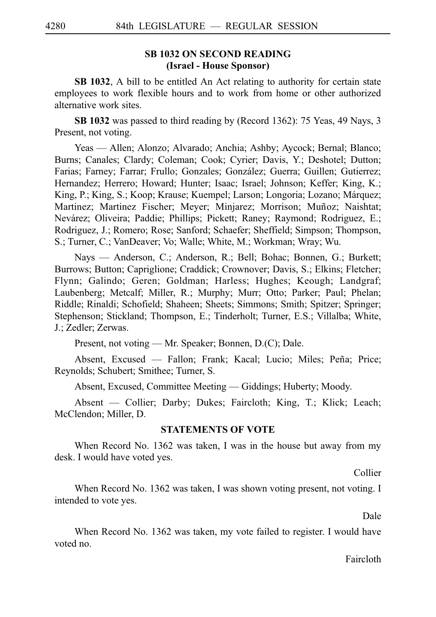### **SB 1032 ON SECOND READING (Israel - House Sponsor)**

**SB 1032**, A bill to be entitled An Act relating to authority for certain state employees to work flexible hours and to work from home or other authorized alternative work sites.

**SBi1032** was passed to third reading by (Record 1362): 75 Yeas, 49 Nays, 3 Present, not voting.

Yeas — Allen; Alonzo; Alvarado; Anchia; Ashby; Aycock; Bernal; Blanco; Burns; Canales; Clardy; Coleman; Cook; Cyrier; Davis, Y.; Deshotel; Dutton; Farias; Farney; Farrar; Frullo; Gonzales; González; Guerra; Guillen; Gutierrez; Hernandez; Herrero; Howard; Hunter; Isaac; Israel; Johnson; Keffer; King, K.; King, P.; King, S.; Koop; Krause; Kuempel; Larson; Longoria; Lozano; Márquez; Martinez; Martinez Fischer; Meyer; Minjarez; Morrison; Muñoz; Naishtat; Nevárez; Oliveira; Paddie; Phillips; Pickett; Raney; Raymond; Rodriguez, E.; Rodriguez, J.; Romero; Rose; Sanford; Schaefer; Sheffield; Simpson; Thompson, S.; Turner, C.; VanDeaver; Vo; Walle; White, M.; Workman; Wray; Wu.

Nays — Anderson, C.; Anderson, R.; Bell; Bohac; Bonnen, G.; Burkett; Burrows; Button; Capriglione; Craddick; Crownover; Davis, S.; Elkins; Fletcher; Flynn; Galindo; Geren; Goldman; Harless; Hughes; Keough; Landgraf; Laubenberg; Metcalf; Miller, R.; Murphy; Murr; Otto; Parker; Paul; Phelan; Riddle; Rinaldi; Schofield; Shaheen; Sheets; Simmons; Smith; Spitzer; Springer; Stephenson; Stickland; Thompson, E.; Tinderholt; Turner, E.S.; Villalba; White, J.; Zedler; Zerwas.

Present, not voting — Mr. Speaker; Bonnen, D.(C); Dale.

Absent, Excused — Fallon; Frank; Kacal; Lucio; Miles; Peña; Price; Reynolds; Schubert; Smithee; Turner, S.

Absent, Excused, Committee Meeting — Giddings; Huberty; Moody.

Absent — Collier; Darby; Dukes; Faircloth; King, T.; Klick; Leach; McClendon; Miller, D.

#### **STATEMENTS OF VOTE**

When Record No. 1362 was taken, I was in the house but away from my desk. I would have voted yes.

Collier

When Record No. 1362 was taken, I was shown voting present, not voting. I intended to vote yes.

Dale

When Record No. 1362 was taken, my vote failed to register. I would have voted no.

Faircloth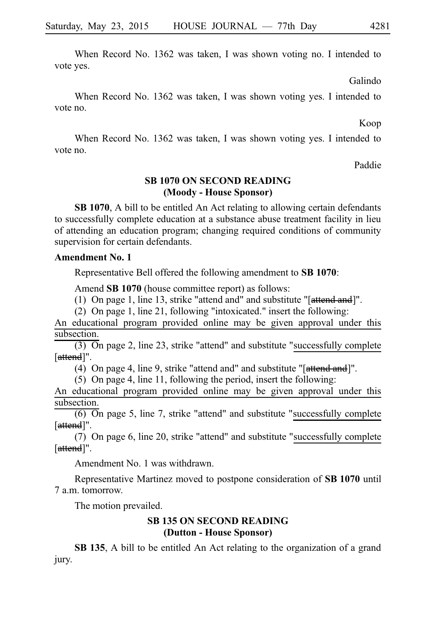When Record No. 1362 was taken, I was shown voting no. I intended to vote yes.

Galindo

When Record No. 1362 was taken, I was shown voting yes. I intended to vote no.

Koop

When Record No. 1362 was taken, I was shown voting yes. I intended to vote no.

Paddie

### **SB 1070 ON SECOND READING (Moody - House Sponsor)**

**SB 1070**, A bill to be entitled An Act relating to allowing certain defendants to successfully complete education at a substance abuse treatment facility in lieu of attending an education program; changing required conditions of community supervision for certain defendants.

### **Amendment No. 1**

Representative Bell offered the following amendment to **SB 1070**:

Amend **SB 1070** (house committee report) as follows:

(1) On page 1, line 13, strike "attend and" and substitute " $[$ attend and $]$ ".

(2) On page 1, line 21, following "intoxicated." insert the following:

An educational program provided online may be given approval under this subsection.

 $\overline{(3)}$  On page 2, line 23, strike "attend" and substitute "successfully complete [attend]".

(4) On page 4, line 9, strike "attend and" and substitute " $[$ attend and]".

 $(5)$  On page 4, line 11, following the period, insert the following:

An educational program provided online may be given approval under this subsection.

 $\overline{(6)}$  On page 5, line 7, strike "attend" and substitute "successfully complete [attend]".

(7) On page 6, line 20, strike "attend" and substitute "successfully complete [attend]".

Amendment No. 1 was withdrawn.

Representative Martinez moved to postpone consideration of **SBi1070** until 7 a.m. tomorrow.

The motion prevailed.

## **SB 135 ON SECOND READING (Dutton - House Sponsor)**

**SB 135**, A bill to be entitled An Act relating to the organization of a grand jury.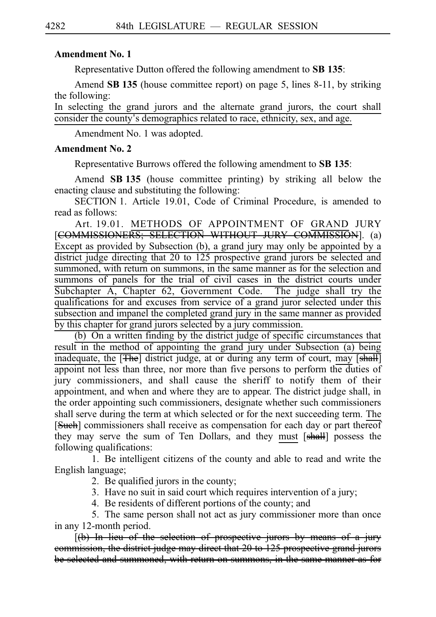### **Amendment No. 1**

Representative Dutton offered the following amendment to **SB 135**:

Amend **SB 135** (house committee report) on page 5, lines 8-11, by striking the following:

In selecting the grand jurors and the alternate grand jurors, the court shall consider the county's demographics related to race, ethnicity, sex, and age.

Amendment No. 1 was adopted.

#### **Amendment No. 2**

Representative Burrows offered the following amendment to SB 135:

Amend **SBi135** (house committee printing) by striking all below the enacting clause and substituting the following:

SECTION 1. Article 19.01, Code of Criminal Procedure, is amended to read as follows:

Art. 19.01. METHODS OF APPOINTMENT OF GRAND JURY [COMMISSIONERS; SELECTION WITHOUT JURY COMMISSION]. (a) Except as provided by Subsection (b), a grand jury may only be appointed by a district judge directing that 20 to 125 prospective grand jurors be selected and summoned, with return on summons, in the same manner as for the selection and summons of panels for the trial of civil cases in the district courts under Subchapter A, Chapter 62, Government Code. The judge shall try the qualifications for and excuses from service of a grand juror selected under this subsection and impanel the completed grand jury in the same manner as provided by this chapter for grand jurors selected by a jury commission.

(b) On a written finding by the district judge of specific circumstances that result in the method of appointing the grand jury under Subsection (a) being inadequate, the [The] district judge, at or during any term of court, may [shall] appoint not less than three, nor more than five persons to perform the duties of jury commissioners, and shall cause the sheriff to notify them of their appointment, and when and where they are to appear. The district judge shall, in the order appointing such commissioners, designate whether such commissioners shall serve during the term at which selected or for the next succeeding term. The [Such] commissioners shall receive as compensation for each day or part thereof they may serve the sum of Ten Dollars, and they must [shall] possess the following qualifications:

1. Be intelligent citizens of the county and able to read and write the English language;

2. Be qualified jurors in the county;

3. Have no suit in said court which requires intervention of a jury;

4. Be residents of different portions of the county; and

5. The same person shall not act as jury commissioner more than once in any 12-month period.

 $[4b)$  In lieu of the selection of prospective jurors by means of a jury commission, the district judge may direct that 20 to 125 prospective grand jurors be selected and summoned, with return on summons, in the same manner as for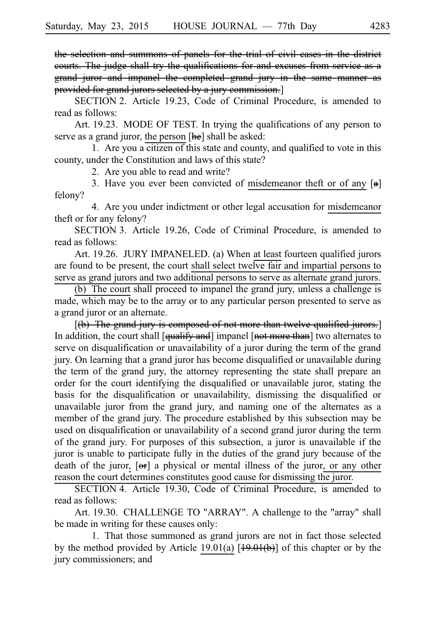the selection and summons of panels for the trial of civil cases in the district eourts. The judge shall try the qualifications for and excuses from service as grand juror and impanel the completed grand jury in the same manner provided for grand jurors selected by a jury commission.]

SECTION 2. Article 19.23, Code of Criminal Procedure, is amended to read as follows:

Art. 19.23. MODE OF TEST. In trying the qualifications of any person to serve as a grand juror, the person [he] shall be asked:

1. Are you a citizen of this state and county, and qualified to vote in this county, under the Constitution and laws of this state?

2. Are you able to read and write?

3. Have you ever been convicted of misdemeanor theft or of any  $[a]$ felony?

4. Are you under indictment or other legal accusation for misdemeanor theft or for any felony?

SECTION 3. Article 19.26, Code of Criminal Procedure, is amended to read as follows:

Art. 19.26. JURY IMPANELED. (a) When at least fourteen qualified jurors are found to be present, the court shall select twelve fair and impartial persons to serve as grand jurors and two additional persons to serve as alternate grand jurors.

(b) The court shall proceed to impanel the grand jury, unless a challenge is made, which may be to the array or to any particular person presented to serve as a grand juror or an alternate.

 $[$ (b) The grand jury is composed of not more than twelve qualified jurors. $]$ In addition, the court shall [qualify and] impanel [not more than] two alternates to serve on disqualification or unavailability of a juror during the term of the grand jury. On learning that a grand juror has become disqualified or unavailable during the term of the grand jury, the attorney representing the state shall prepare an order for the court identifying the disqualified or unavailable juror, stating the basis for the disqualification or unavailability, dismissing the disqualified or unavailable juror from the grand jury, and naming one of the alternates as a member of the grand jury. The procedure established by this subsection may be used on disqualification or unavailability of a second grand juror during the term of the grand jury. For purposes of this subsection, a juror is unavailable if the juror is unable to participate fully in the duties of the grand jury because of the death of the juror,  $[\Theta$  a physical or mental illness of the juror, or any other reason the court determines constitutes good cause for dismissing the juror.

SECTION 4. Article 19.30, Code of Criminal Procedure, is amended to read as follows:

Art. 19.30. CHALLENGE TO "ARRAY". A challenge to the "array" shall be made in writing for these causes only:

1. That those summoned as grand jurors are not in fact those selected by the method provided by Article 19.01(a)  $[19.01(4)]$  of this chapter or by the jury commissioners; and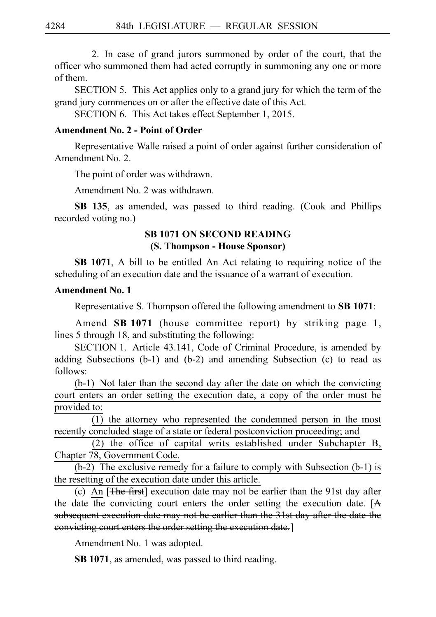2. In case of grand jurors summoned by order of the court, that the officer who summoned them had acted corruptly in summoning any one or more of them.

SECTION 5. This Act applies only to a grand jury for which the term of the grand jury commences on or after the effective date of this Act.

SECTION 6. This Act takes effect September 1, 2015.

## **Amendment No. 2 - Point of Order**

Representative Walle raised a point of order against further consideration of Amendment No. 2.

The point of order was withdrawn.

Amendment No. 2 was withdrawn.

**SB 135**, as amended, was passed to third reading. (Cook and Phillips recorded voting no.)

# **SB 1071 ON SECOND READING (S. Thompson - House Sponsor)**

**SB 1071**, A bill to be entitled An Act relating to requiring notice of the scheduling of an execution date and the issuance of a warrant of execution.

#### **Amendment No. 1**

Representative S. Thompson offered the following amendment to **SB 1071**:

Amend **SB 1071** (house committee report) by striking page 1, lines 5 through 18, and substituting the following:

SECTION 1. Article 43.141, Code of Criminal Procedure, is amended by adding Subsections  $(b-1)$  and  $(b-2)$  and amending Subsection  $(c)$  to read as follows:

 $(b-1)$  Not later than the second day after the date on which the convicting court enters an order setting the execution date, a copy of the order must be provided to:

 $(1)$  the attorney who represented the condemned person in the most recently concluded stage of a state or federal postconviction proceeding; and

 $(2)$  the office of capital writs established under Subchapter B, Chapter 78, Government Code.

(b-2) The exclusive remedy for a failure to comply with Subsection (b-1) is the resetting of the execution date under this article.

(c) An  $[**The first**]$  execution date may not be earlier than the 91st day after the date the convicting court enters the order setting the execution date. [A subsequent execution date may not be earlier than the 31st day after the date the convicting court enters the order setting the execution date.]

Amendment No. 1 was adopted.

**SB 1071**, as amended, was passed to third reading.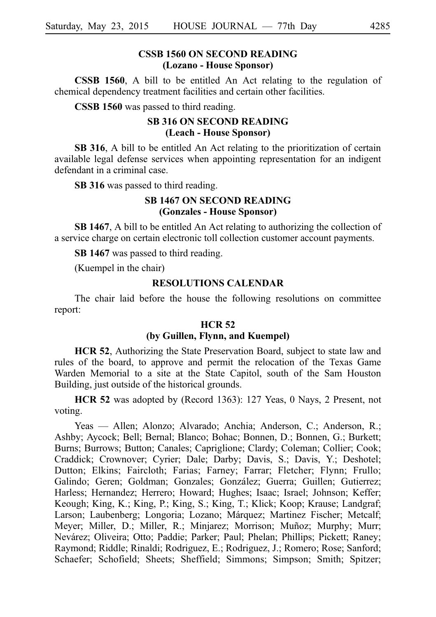#### **CSSB 1560 ON SECOND READING (Lozano - House Sponsor)**

**CSSB 1560**, A bill to be entitled An Act relating to the regulation of chemical dependency treatment facilities and certain other facilities.

**CSSBi1560** was passed to third reading.

## **SB 316 ON SECOND READING (Leach - House Sponsor)**

**SB 316**, A bill to be entitled An Act relating to the prioritization of certain available legal defense services when appointing representation for an indigent defendant in a criminal case.

**SB 316** was passed to third reading.

### **SB 1467 ON SECOND READING (Gonzales - House Sponsor)**

**SB 1467**, A bill to be entitled An Act relating to authorizing the collection of a service charge on certain electronic toll collection customer account payments.

**SB 1467** was passed to third reading.

(Kuempel in the chair)

# **RESOLUTIONS CALENDAR**

The chair laid before the house the following resolutions on committee report:

#### **HCR 52**

### **(by Guillen, Flynn, and Kuempel)**

**HCR 52**, Authorizing the State Preservation Board, subject to state law and rules of the board, to approve and permit the relocation of the Texas Game Warden Memorial to a site at the State Capitol, south of the Sam Houston Building, just outside of the historical grounds.

**HCR 52** was adopted by (Record 1363): 127 Yeas, 0 Nays, 2 Present, not voting.

Yeas — Allen; Alonzo; Alvarado; Anchia; Anderson, C.; Anderson, R.; Ashby; Aycock; Bell; Bernal; Blanco; Bohac; Bonnen, D.; Bonnen, G.; Burkett; Burns; Burrows; Button; Canales; Capriglione; Clardy; Coleman; Collier; Cook; Craddick; Crownover; Cyrier; Dale; Darby; Davis, S.; Davis, Y.; Deshotel; Dutton; Elkins; Faircloth; Farias; Farney; Farrar; Fletcher; Flynn; Frullo; Galindo; Geren; Goldman; Gonzales; González; Guerra; Guillen; Gutierrez; Harless; Hernandez; Herrero; Howard; Hughes; Isaac; Israel; Johnson; Keffer; Keough; King, K.; King, P.; King, S.; King, T.; Klick; Koop; Krause; Landgraf; Larson; Laubenberg; Longoria; Lozano; Márquez; Martinez Fischer; Metcalf; Meyer; Miller, D.; Miller, R.; Minjarez; Morrison; Muñoz; Murphy; Murr; Nevárez; Oliveira; Otto; Paddie; Parker; Paul; Phelan; Phillips; Pickett; Raney; Raymond; Riddle; Rinaldi; Rodriguez, E.; Rodriguez, J.; Romero; Rose; Sanford; Schaefer; Schofield; Sheets; Sheffield; Simmons; Simpson; Smith; Spitzer;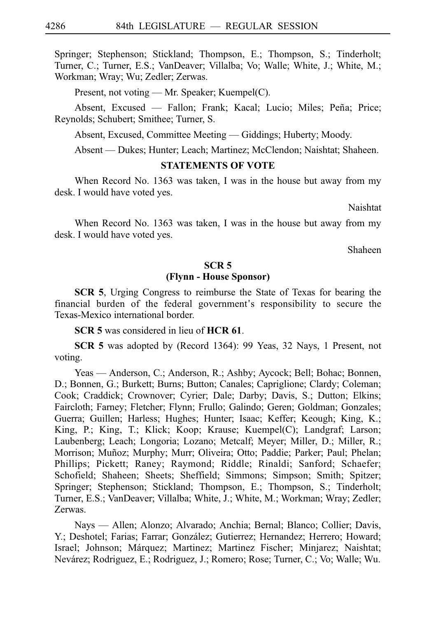Springer; Stephenson; Stickland; Thompson, E.; Thompson, S.; Tinderholt; Turner, C.; Turner, E.S.; VanDeaver; Villalba; Vo; Walle; White, J.; White, M.; Workman; Wray; Wu; Zedler; Zerwas.

Present, not voting — Mr. Speaker; Kuempel(C).

Absent, Excused — Fallon; Frank; Kacal; Lucio; Miles; Peña; Price; Reynolds; Schubert; Smithee; Turner, S.

Absent, Excused, Committee Meeting — Giddings; Huberty; Moody.

Absent — Dukes; Hunter; Leach; Martinez; McClendon; Naishtat; Shaheen.

#### **STATEMENTS OF VOTE**

When Record No. 1363 was taken, I was in the house but away from my desk. I would have voted yes.

Naishtat

When Record No. 1363 was taken, I was in the house but away from my desk. I would have voted yes.

Shaheen

#### **SCR 5**

#### **(Flynn - House Sponsor)**

**SCR 5**, Urging Congress to reimburse the State of Texas for bearing the financial burden of the federal government's responsibility to secure the Texas-Mexico international border.

**SCR 5** was considered in lieu of **HCR 61**.

**SCR 5** was adopted by (Record 1364): 99 Yeas, 32 Nays, 1 Present, not voting.

Yeas — Anderson, C.; Anderson, R.; Ashby; Aycock; Bell; Bohac; Bonnen, D.; Bonnen, G.; Burkett; Burns; Button; Canales; Capriglione; Clardy; Coleman; Cook; Craddick; Crownover; Cyrier; Dale; Darby; Davis, S.; Dutton; Elkins; Faircloth; Farney; Fletcher; Flynn; Frullo; Galindo; Geren; Goldman; Gonzales; Guerra; Guillen; Harless; Hughes; Hunter; Isaac; Keffer; Keough; King, K.; King, P.; King, T.; Klick; Koop; Krause; Kuempel(C); Landgraf; Larson; Laubenberg; Leach; Longoria; Lozano; Metcalf; Meyer; Miller, D.; Miller, R.; Morrison; Muñoz; Murphy; Murr; Oliveira; Otto; Paddie; Parker; Paul; Phelan; Phillips; Pickett; Raney; Raymond; Riddle; Rinaldi; Sanford; Schaefer; Schofield; Shaheen; Sheets; Sheffield; Simmons; Simpson; Smith; Spitzer; Springer; Stephenson; Stickland; Thompson, E.; Thompson, S.; Tinderholt; Turner, E.S.; VanDeaver; Villalba; White, J.; White, M.; Workman; Wray; Zedler; Zerwas.

Nays — Allen; Alonzo; Alvarado; Anchia; Bernal; Blanco; Collier; Davis, Y.; Deshotel; Farias; Farrar; González; Gutierrez; Hernandez; Herrero; Howard; Israel; Johnson; Márquez; Martinez; Martinez Fischer; Minjarez; Naishtat; Nevárez; Rodriguez, E.; Rodriguez, J.; Romero; Rose; Turner, C.; Vo; Walle; Wu.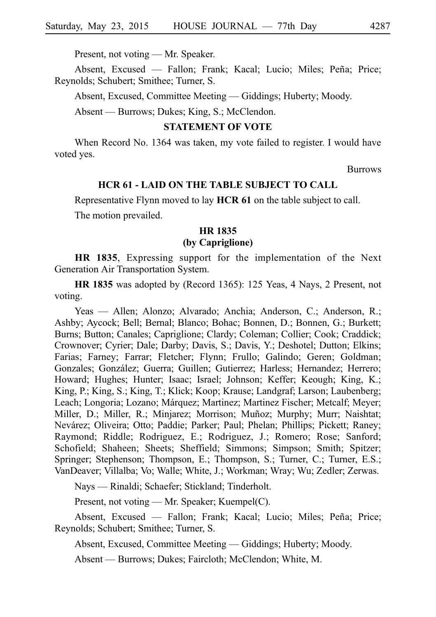Present, not voting — Mr. Speaker.

Absent, Excused — Fallon; Frank; Kacal; Lucio; Miles; Peña; Price; Reynolds; Schubert; Smithee; Turner, S.

Absent, Excused, Committee Meeting — Giddings; Huberty; Moody.

Absent — Burrows; Dukes; King, S.; McClendon.

### **STATEMENT OF VOTE**

When Record No. 1364 was taken, my vote failed to register. I would have voted yes.

Burrows

### **HCR 61 - LAID ON THE TABLE SUBJECT TO CALL**

Representative Flynn moved to lay **HCR 61** on the table subject to call.

The motion prevailed.

## **HR 1835**

#### **(by Capriglione)**

**HR 1835**, Expressing support for the implementation of the Next Generation Air Transportation System.

**HR 1835** was adopted by (Record 1365): 125 Yeas, 4 Nays, 2 Present, not voting.

Yeas — Allen; Alonzo; Alvarado; Anchia; Anderson, C.; Anderson, R.; Ashby; Aycock; Bell; Bernal; Blanco; Bohac; Bonnen, D.; Bonnen, G.; Burkett; Burns; Button; Canales; Capriglione; Clardy; Coleman; Collier; Cook; Craddick; Crownover; Cyrier; Dale; Darby; Davis, S.; Davis, Y.; Deshotel; Dutton; Elkins; Farias; Farney; Farrar; Fletcher; Flynn; Frullo; Galindo; Geren; Goldman; Gonzales; González; Guerra; Guillen; Gutierrez; Harless; Hernandez; Herrero; Howard; Hughes; Hunter; Isaac; Israel; Johnson; Keffer; Keough; King, K.; King, P.; King, S.; King, T.; Klick; Koop; Krause; Landgraf; Larson; Laubenberg; Leach; Longoria; Lozano; Márquez; Martinez; Martinez Fischer; Metcalf; Meyer; Miller, D.; Miller, R.; Minjarez; Morrison; Muñoz; Murphy; Murr; Naishtat; Nevárez; Oliveira; Otto; Paddie; Parker; Paul; Phelan; Phillips; Pickett; Raney; Raymond; Riddle; Rodriguez, E.; Rodriguez, J.; Romero; Rose; Sanford; Schofield; Shaheen; Sheets; Sheffield; Simmons; Simpson; Smith; Spitzer; Springer; Stephenson; Thompson, E.; Thompson, S.; Turner, C.; Turner, E.S.; VanDeaver; Villalba; Vo; Walle; White, J.; Workman; Wray; Wu; Zedler; Zerwas.

Nays — Rinaldi; Schaefer; Stickland; Tinderholt.

Present, not voting — Mr. Speaker; Kuempel(C).

Absent, Excused — Fallon; Frank; Kacal; Lucio; Miles; Peña; Price; Reynolds; Schubert; Smithee; Turner, S.

Absent, Excused, Committee Meeting — Giddings; Huberty; Moody.

Absent — Burrows; Dukes; Faircloth; McClendon; White, M.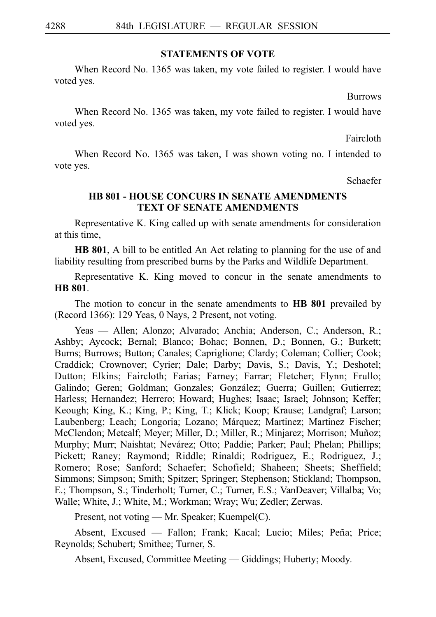### **STATEMENTS OF VOTE**

When Record No. 1365 was taken, my vote failed to register. I would have voted yes.

Burrows

When Record No. 1365 was taken, my vote failed to register. I would have voted yes.

Faircloth

When Record No. 1365 was taken, I was shown voting no. I intended to vote yes.

Schaefer

### **HB 801 - HOUSE CONCURS IN SENATE AMENDMENTS TEXT OF SENATE AMENDMENTS**

Representative K. King called up with senate amendments for consideration at this time,

**HB 801**, A bill to be entitled An Act relating to planning for the use of and liability resulting from prescribed burns by the Parks and Wildlife Department.

Representative K. King moved to concur in the senate amendments to **HBi801**.

The motion to concur in the senate amendments to **HB 801** prevailed by (Record 1366): 129 Yeas, 0 Nays, 2 Present, not voting.

Yeas — Allen; Alonzo; Alvarado; Anchia; Anderson, C.; Anderson, R.; Ashby; Aycock; Bernal; Blanco; Bohac; Bonnen, D.; Bonnen, G.; Burkett; Burns; Burrows; Button; Canales; Capriglione; Clardy; Coleman; Collier; Cook; Craddick; Crownover; Cyrier; Dale; Darby; Davis, S.; Davis, Y.; Deshotel; Dutton; Elkins; Faircloth; Farias; Farney; Farrar; Fletcher; Flynn; Frullo; Galindo; Geren; Goldman; Gonzales; González; Guerra; Guillen; Gutierrez; Harless; Hernandez; Herrero; Howard; Hughes; Isaac; Israel; Johnson; Keffer; Keough; King, K.; King, P.; King, T.; Klick; Koop; Krause; Landgraf; Larson; Laubenberg; Leach; Longoria; Lozano; Márquez; Martinez; Martinez Fischer; McClendon; Metcalf; Meyer; Miller, D.; Miller, R.; Minjarez; Morrison; Muñoz; Murphy; Murr; Naishtat; Nevárez; Otto; Paddie; Parker; Paul; Phelan; Phillips; Pickett; Raney; Raymond; Riddle; Rinaldi; Rodriguez, E.; Rodriguez, J.; Romero; Rose; Sanford; Schaefer; Schofield; Shaheen; Sheets; Sheffield; Simmons; Simpson; Smith; Spitzer; Springer; Stephenson; Stickland; Thompson, E.; Thompson, S.; Tinderholt; Turner, C.; Turner, E.S.; VanDeaver; Villalba; Vo; Walle; White, J.; White, M.; Workman; Wray; Wu; Zedler; Zerwas.

Present, not voting — Mr. Speaker; Kuempel(C).

Absent, Excused — Fallon; Frank; Kacal; Lucio; Miles; Peña; Price; Reynolds; Schubert; Smithee; Turner, S.

Absent, Excused, Committee Meeting — Giddings; Huberty; Moody.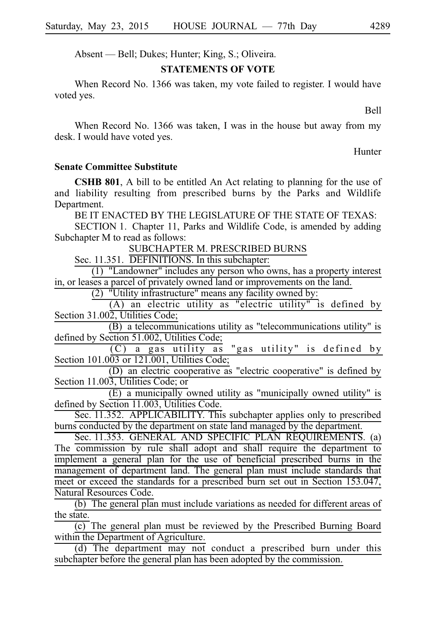Absent — Bell; Dukes; Hunter; King, S.; Oliveira.

### **STATEMENTS OF VOTE**

When Record No. 1366 was taken, my vote failed to register. I would have voted yes.

Bell

When Record No. 1366 was taken, I was in the house but away from my desk. I would have voted yes.

Hunter

#### **Senate Committee Substitute**

**CSHB 801**, A bill to be entitled An Act relating to planning for the use of and liability resulting from prescribed burns by the Parks and Wildlife Department.

BE IT ENACTED BY THE LEGISLATURE OF THE STATE OF TEXAS:

SECTION 1. Chapter 11, Parks and Wildlife Code, is amended by adding Subchapter M to read as follows:

SUBCHAPTER M. PRESCRIBED BURNS

Sec. 11.351. DEFINITIONS. In this subchapter:

 $(1)$  "Landowner" includes any person who owns, has a property interest in, or leases a parcel of privately owned land or improvements on the land.

 $(2)$  "Utility infrastructure" means any facility owned by:

 $(A)$  an electric utility as "electric utility" is defined by Section 31.002, Utilities Code;

 $(B)$  a telecommunications utility as "telecommunications utility" is defined by Section 51.002, Utilities Code;

 $(C)$  a gas utility as "gas utility" is defined by Section 101.003 or 121.001, Utilities Code;

 $(D)$  an electric cooperative as "electric cooperative" is defined by Section 11.003, Utilities Code; or

 $(E)$  a municipally owned utility as "municipally owned utility" is defined by Section 11.003, Utilities Code.

Sec. 11.352. APPLICABILITY. This subchapter applies only to prescribed burns conducted by the department on state land managed by the department.

Sec. 11.353. GENERAL AND SPECIFIC PLAN REQUIREMENTS. (a) The commission by rule shall adopt and shall require the department to implement a general plan for the use of beneficial prescribed burns in the management of department land. The general plan must include standards that meet or exceed the standards for a prescribed burn set out in Section 153.047, Natural Resources Code.

(b) The general plan must include variations as needed for different areas of the state.

 $\overline{(c)}$  The general plan must be reviewed by the Prescribed Burning Board within the Department of Agriculture.

(d) The department may not conduct a prescribed burn under this subchapter before the general plan has been adopted by the commission.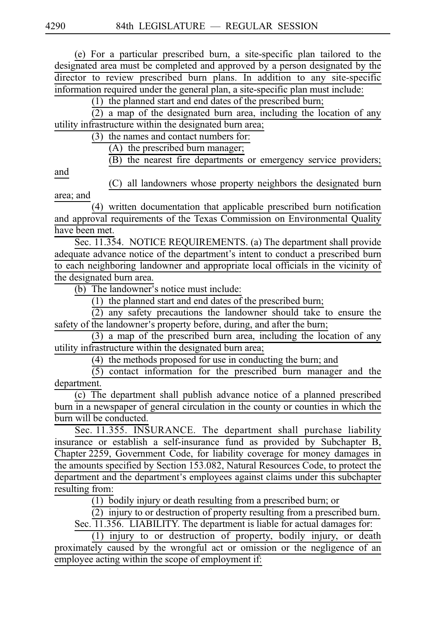(e) For a particular prescribed burn, a site-specific plan tailored to the designated area must be completed and approved by a person designated by the director to review prescribed burn plans. In addition to any site-specific information required under the general plan, a site-specific plan must include:

 $(1)$  the planned start and end dates of the prescribed burn;

 $(2)$  a map of the designated burn area, including the location of any utility infrastructure within the designated burn area;

 $(3)$  the names and contact numbers for:

 $(A)$  the prescribed burn manager;

(B) the nearest fire departments or emergency service providers;

and

(C) all landowners whose property neighbors the designated burn area; and

(4) written documentation that applicable prescribed burn notification and approval requirements of the Texas Commission on Environmental Quality have been met.

Sec. 11.354. NOTICE REQUIREMENTS. (a) The department shall provide adequate advance notice of the department's intent to conduct a prescribed burn to each neighboring landowner and appropriate local officials in the vicinity of the designated burn area.

 $(b)$  The landowner's notice must include:

(1) the planned start and end dates of the prescribed burn;

 $(2)$  any safety precautions the landowner should take to ensure the safety of the landowner's property before, during, and after the burn;

 $(3)$  a map of the prescribed burn area, including the location of any utility infrastructure within the designated burn area;

 $(4)$  the methods proposed for use in conducting the burn; and

 $\overrightarrow{(5)}$  contact information for the prescribed burn manager and the department.

 $(c)$  The department shall publish advance notice of a planned prescribed burn in a newspaper of general circulation in the county or counties in which the burn will be conducted.

Sec. 11.355. INSURANCE. The department shall purchase liability insurance or establish a self-insurance fund as provided by Subchapter B, Chapter 2259, Government Code, for liability coverage for money damages in the amounts specified by Section 153.082, Natural Resources Code, to protect the department and the department's employees against claims under this subchapter resulting from:

 $\overline{(1)}$  bodily injury or death resulting from a prescribed burn; or

 $(2)$  injury to or destruction of property resulting from a prescribed burn.

Sec. 11.356. LIABILITY. The department is liable for actual damages for:

 $(1)$  injury to or destruction of property, bodily injury, or death proximately caused by the wrongful act or omission or the negligence of an employee acting within the scope of employment if: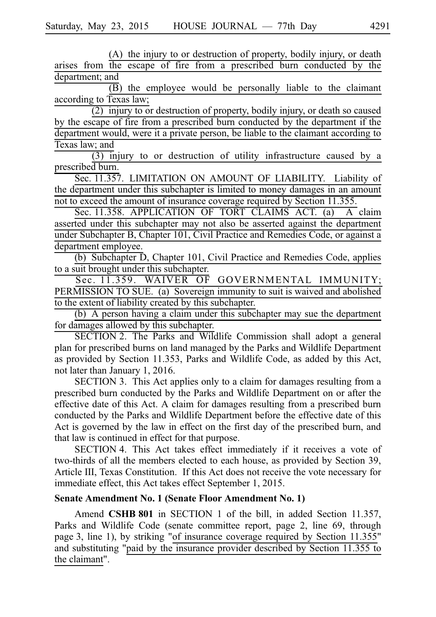(A) the injury to or destruction of property, bodily injury, or death arises from the escape of fire from a prescribed burn conducted by the department; and

 $\overline{B}$ ) the employee would be personally liable to the claimant according to Texas law;

 $(2)$  injury to or destruction of property, bodily injury, or death so caused by the escape of fire from a prescribed burn conducted by the department if the department would, were it a private person, be liable to the claimant according to Texas law; and

 $\overline{(3)}$  injury to or destruction of utility infrastructure caused by a prescribed burn.

Sec. 11.357. LIMITATION ON AMOUNT OF LIABILITY. Liability of the department under this subchapter is limited to money damages in an amount not to exceed the amount of insurance coverage required by Section 11.355.

Sec. 11.358. APPLICATION OF TORT CLAIMS ACT. (a) A claim asserted under this subchapter may not also be asserted against the department under Subchapter B, Chapter 101, Civil Practice and Remedies Code, or against a department employee.

(b) Subchapter D, Chapter 101, Civil Practice and Remedies Code, applies to a suit brought under this subchapter.

Sec. 11.359. WAIVER OF GOVERNMENTAL IMMUNITY; PERMISSION TO SUE. (a) Sovereign immunity to suit is waived and abolished to the extent of liability created by this subchapter.

(b) A person having a claim under this subchapter may sue the department for damages allowed by this subchapter.

SECTION 2. The Parks and Wildlife Commission shall adopt a general plan for prescribed burns on land managed by the Parks and Wildlife Department as provided by Section 11.353, Parks and Wildlife Code, as added by this Act, not later than January 1, 2016.

SECTION 3. This Act applies only to a claim for damages resulting from a prescribed burn conducted by the Parks and Wildlife Department on or after the effective date of this Act. A claim for damages resulting from a prescribed burn conducted by the Parks and Wildlife Department before the effective date of this Act is governed by the law in effect on the first day of the prescribed burn, and that law is continued in effect for that purpose.

SECTION 4. This Act takes effect immediately if it receives a vote of two-thirds of all the members elected to each house, as provided by Section 39, Article III, Texas Constitution. If this Act does not receive the vote necessary for immediate effect, this Act takes effect September 1, 2015.

#### **Senate Amendment No. 1 (Senate Floor Amendment No. 1)**

Amend **CSHB 801** in SECTION 1 of the bill, in added Section 11.357, Parks and Wildlife Code (senate committee report, page 2, line 69, through page 3, line 1), by striking "of insurance coverage required by Section 11.355" and substituting "paid by the insurance provider described by Section 11.355 to the claimant".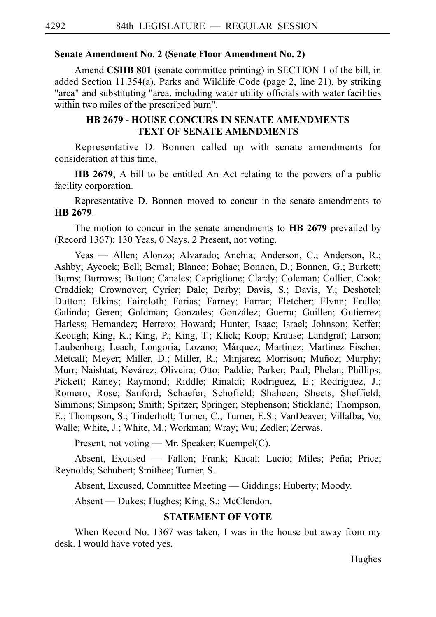#### **Senate Amendment No. 2 (Senate Floor Amendment No. 2)**

Amend **CSHB 801** (senate committee printing) in SECTION 1 of the bill, in added Section 11.354(a), Parks and Wildlife Code (page 2, line 21), by striking "area" and substituting "area, including water utility officials with water facilities within two miles of the prescribed burn".

# **HB 2679 - HOUSE CONCURS IN SENATE AMENDMENTS TEXT OF SENATE AMENDMENTS**

Representative D. Bonnen called up with senate amendments for consideration at this time,

**HB 2679**, A bill to be entitled An Act relating to the powers of a public facility corporation.

Representative D. Bonnen moved to concur in the senate amendments to **HBi2679**.

The motion to concur in the senate amendments to **HB 2679** prevailed by (Record 1367): 130 Yeas, 0 Nays, 2 Present, not voting.

Yeas — Allen; Alonzo; Alvarado; Anchia; Anderson, C.; Anderson, R.; Ashby; Aycock; Bell; Bernal; Blanco; Bohac; Bonnen, D.; Bonnen, G.; Burkett; Burns; Burrows; Button; Canales; Capriglione; Clardy; Coleman; Collier; Cook; Craddick; Crownover; Cyrier; Dale; Darby; Davis, S.; Davis, Y.; Deshotel; Dutton; Elkins; Faircloth; Farias; Farney; Farrar; Fletcher; Flynn; Frullo; Galindo; Geren; Goldman; Gonzales; González; Guerra; Guillen; Gutierrez; Harless; Hernandez; Herrero; Howard; Hunter; Isaac; Israel; Johnson; Keffer; Keough; King, K.; King, P.; King, T.; Klick; Koop; Krause; Landgraf; Larson; Laubenberg; Leach; Longoria; Lozano; Márquez; Martinez; Martinez Fischer; Metcalf; Meyer; Miller, D.; Miller, R.; Minjarez; Morrison; Muñoz; Murphy; Murr; Naishtat; Nevárez; Oliveira; Otto; Paddie; Parker; Paul; Phelan; Phillips; Pickett; Raney; Raymond; Riddle; Rinaldi; Rodriguez, E.; Rodriguez, J.; Romero; Rose; Sanford; Schaefer; Schofield; Shaheen; Sheets; Sheffield; Simmons; Simpson; Smith; Spitzer; Springer; Stephenson; Stickland; Thompson, E.; Thompson, S.; Tinderholt; Turner, C.; Turner, E.S.; VanDeaver; Villalba; Vo; Walle; White, J.; White, M.; Workman; Wray; Wu; Zedler; Zerwas.

Present, not voting — Mr. Speaker; Kuempel(C).

Absent, Excused — Fallon; Frank; Kacal; Lucio; Miles; Peña; Price; Reynolds; Schubert; Smithee; Turner, S.

Absent, Excused, Committee Meeting — Giddings; Huberty; Moody.

Absent — Dukes; Hughes; King, S.; McClendon.

### **STATEMENT OF VOTE**

When Record No. 1367 was taken, I was in the house but away from my desk. I would have voted yes.

Hughes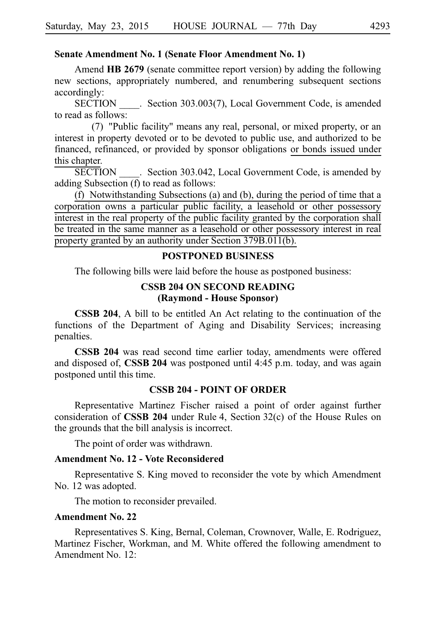#### **Senate Amendment No. 1 (Senate Floor Amendment No. 1)**

Amend **HB 2679** (senate committee report version) by adding the following new sections, appropriately numbered, and renumbering subsequent sections accordingly:

SECTION Section 303.003(7), Local Government Code, is amended to read as follows:

(7) "Public facility" means any real, personal, or mixed property, or an interest in property devoted or to be devoted to public use, and authorized to be financed, refinanced, or provided by sponsor obligations or bonds issued under this chapter.

SECTION Section 303.042, Local Government Code, is amended by adding Subsection (f) to read as follows:

(f) Notwithstanding Subsections (a) and (b), during the period of time that a corporation owns a particular public facility, a leasehold or other possessory interest in the real property of the public facility granted by the corporation shall be treated in the same manner as a leasehold or other possessory interest in real property granted by an authority under Section 379B.011(b).

#### **POSTPONED BUSINESS**

The following bills were laid before the house as postponed business:

# **CSSB 204 ON SECOND READING (Raymond - House Sponsor)**

**CSSB 204**, A bill to be entitled An Act relating to the continuation of the functions of the Department of Aging and Disability Services; increasing penalties.

**CSSB 204** was read second time earlier today, amendments were offered and disposed of, **CSSB 204** was postponed until 4:45 p.m. today, and was again postponed until this time.

#### **CSSB 204 - POINT OF ORDER**

Representative Martinez Fischer raised a point of order against further consideration of **CSSB 204** under Rule 4, Section 32(c) of the House Rules on the grounds that the bill analysis is incorrect.

The point of order was withdrawn.

# **Amendment No. 12 - Vote Reconsidered**

Representative S. King moved to reconsider the vote by which Amendment No. 12 was adopted.

The motion to reconsider prevailed.

#### **Amendment No. 22**

Representatives S. King, Bernal, Coleman, Crownover, Walle, E. Rodriguez, Martinez Fischer, Workman, and M. White offered the following amendment to Amendment No. 12: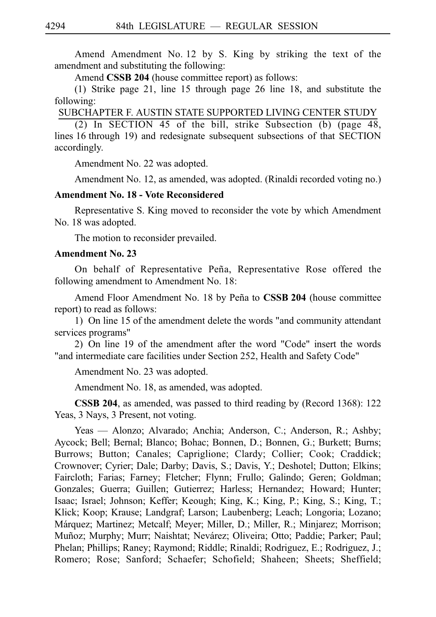Amend Amendment No. 12 by S. King by striking the text of the amendment and substituting the following:

Amend **CSSB 204** (house committee report) as follows:

(1) Strike page 21, line 15 through page 26 line 18, and substitute the following:

SUBCHAPTER F. AUSTIN STATE SUPPORTED LIVING CENTER STUDY

(2) In SECTION 45 of the bill, strike Subsection (b) (page  $48$ , lines 16 through 19) and redesignate subsequent subsections of that SECTION accordingly.

Amendment No. 22 was adopted.

Amendment No. 12, as amended, was adopted. (Rinaldi recorded voting no.)

# **Amendment No. 18 - Vote Reconsidered**

Representative S. King moved to reconsider the vote by which Amendment No. 18 was adopted.

The motion to reconsider prevailed.

# **Amendment No. 23**

On behalf of Representative Peña, Representative Rose offered the following amendment to Amendment No. 18:

Amend Floor Amendment No. 18 by Peña to **CSSB 204** (house committee report) to read as follows:

1) On line 15 of the amendment delete the words "and community attendant services programs"

2) On line 19 of the amendment after the word "Code" insert the words "and intermediate care facilities under Section 252, Health and Safety Code"

Amendment No. 23 was adopted.

Amendment No. 18, as amended, was adopted.

**CSSB 204**, as amended, was passed to third reading by (Record 1368): 122 Yeas, 3 Nays, 3 Present, not voting.

Yeas — Alonzo; Alvarado; Anchia; Anderson, C.; Anderson, R.; Ashby; Aycock; Bell; Bernal; Blanco; Bohac; Bonnen, D.; Bonnen, G.; Burkett; Burns; Burrows; Button; Canales; Capriglione; Clardy; Collier; Cook; Craddick; Crownover; Cyrier; Dale; Darby; Davis, S.; Davis, Y.; Deshotel; Dutton; Elkins; Faircloth; Farias; Farney; Fletcher; Flynn; Frullo; Galindo; Geren; Goldman; Gonzales; Guerra; Guillen; Gutierrez; Harless; Hernandez; Howard; Hunter; Isaac; Israel; Johnson; Keffer; Keough; King, K.; King, P.; King, S.; King, T.; Klick; Koop; Krause; Landgraf; Larson; Laubenberg; Leach; Longoria; Lozano; Márquez; Martinez; Metcalf; Meyer; Miller, D.; Miller, R.; Minjarez; Morrison; Muñoz; Murphy; Murr; Naishtat; Nevárez; Oliveira; Otto; Paddie; Parker; Paul; Phelan; Phillips; Raney; Raymond; Riddle; Rinaldi; Rodriguez, E.; Rodriguez, J.; Romero; Rose; Sanford; Schaefer; Schofield; Shaheen; Sheets; Sheffield;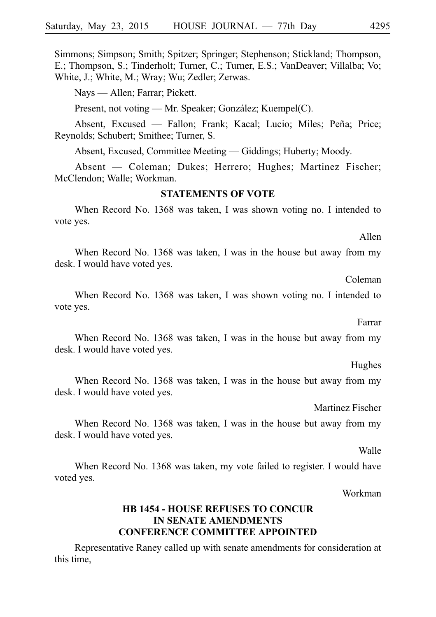Simmons; Simpson; Smith; Spitzer; Springer; Stephenson; Stickland; Thompson, E.; Thompson, S.; Tinderholt; Turner, C.; Turner, E.S.; VanDeaver; Villalba; Vo; White, J.; White, M.; Wray; Wu; Zedler; Zerwas.

Nays — Allen; Farrar; Pickett.

Present, not voting — Mr. Speaker; González; Kuempel(C).

Absent, Excused — Fallon; Frank; Kacal; Lucio; Miles; Peña; Price; Reynolds; Schubert; Smithee; Turner, S.

Absent, Excused, Committee Meeting — Giddings; Huberty; Moody.

Absent — Coleman; Dukes; Herrero; Hughes; Martinez Fischer; McClendon; Walle; Workman.

#### **STATEMENTS OF VOTE**

When Record No. 1368 was taken, I was shown voting no. I intended to vote yes.

When Record No. 1368 was taken, I was in the house but away from my desk. I would have voted yes.

When Record No. 1368 was taken, I was shown voting no. I intended to

vote yes.

When Record No. 1368 was taken, I was in the house but away from my desk. I would have voted yes.

Hughes When Record No. 1368 was taken, I was in the house but away from my

desk. I would have voted yes. Martinez Fischer

When Record No. 1368 was taken, I was in the house but away from my desk. I would have voted yes.

When Record No. 1368 was taken, my vote failed to register. I would have voted yes.

Workman

# **HB 1454 - HOUSE REFUSES TO CONCUR IN SENATE AMENDMENTS CONFERENCE COMMITTEE APPOINTED**

Representative Raney called up with senate amendments for consideration at this time,

#### Farrar

Coleman

Allen

Walle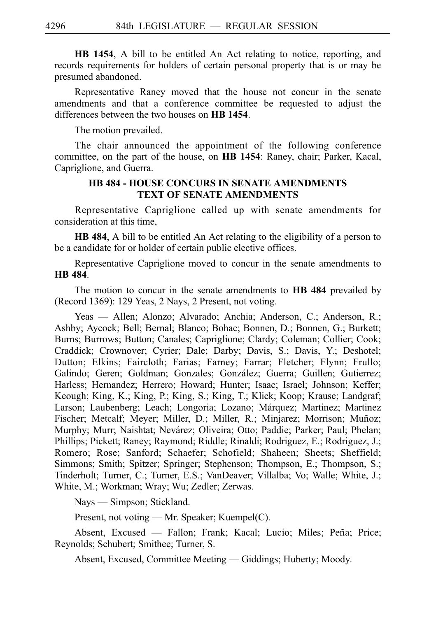**HB 1454**, A bill to be entitled An Act relating to notice, reporting, and records requirements for holders of certain personal property that is or may be presumed abandoned.

Representative Raney moved that the house not concur in the senate amendments and that a conference committee be requested to adjust the differences between the two houses on **HB 1454**.

The motion prevailed.

The chair announced the appointment of the following conference committee, on the part of the house, on **HB 1454**: Raney, chair; Parker, Kacal, Capriglione, and Guerra.

# **HB 484 - HOUSE CONCURS IN SENATE AMENDMENTS TEXT OF SENATE AMENDMENTS**

Representative Capriglione called up with senate amendments for consideration at this time,

**HB 484**, A bill to be entitled An Act relating to the eligibility of a person to be a candidate for or holder of certain public elective offices.

Representative Capriglione moved to concur in the senate amendments to **HB** 484.

The motion to concur in the senate amendments to **HB 484** prevailed by (Record 1369): 129 Yeas, 2 Nays, 2 Present, not voting.

Yeas — Allen; Alonzo; Alvarado; Anchia; Anderson, C.; Anderson, R.; Ashby; Aycock; Bell; Bernal; Blanco; Bohac; Bonnen, D.; Bonnen, G.; Burkett; Burns; Burrows; Button; Canales; Capriglione; Clardy; Coleman; Collier; Cook; Craddick; Crownover; Cyrier; Dale; Darby; Davis, S.; Davis, Y.; Deshotel; Dutton; Elkins; Faircloth; Farias; Farney; Farrar; Fletcher; Flynn; Frullo; Galindo; Geren; Goldman; Gonzales; González; Guerra; Guillen; Gutierrez; Harless; Hernandez; Herrero; Howard; Hunter; Isaac; Israel; Johnson; Keffer; Keough; King, K.; King, P.; King, S.; King, T.; Klick; Koop; Krause; Landgraf; Larson; Laubenberg; Leach; Longoria; Lozano; Márquez; Martinez; Martinez Fischer; Metcalf; Meyer; Miller, D.; Miller, R.; Minjarez; Morrison; Muñoz; Murphy; Murr; Naishtat; Nevárez; Oliveira; Otto; Paddie; Parker; Paul; Phelan; Phillips; Pickett; Raney; Raymond; Riddle; Rinaldi; Rodriguez, E.; Rodriguez, J.; Romero; Rose; Sanford; Schaefer; Schofield; Shaheen; Sheets; Sheffield; Simmons; Smith; Spitzer; Springer; Stephenson; Thompson, E.; Thompson, S.; Tinderholt; Turner, C.; Turner, E.S.; VanDeaver; Villalba; Vo; Walle; White, J.; White, M.; Workman; Wray; Wu; Zedler; Zerwas.

Nays — Simpson; Stickland.

Present, not voting — Mr. Speaker; Kuempel(C).

Absent, Excused — Fallon; Frank; Kacal; Lucio; Miles; Peña; Price; Reynolds; Schubert; Smithee; Turner, S.

Absent, Excused, Committee Meeting — Giddings; Huberty; Moody.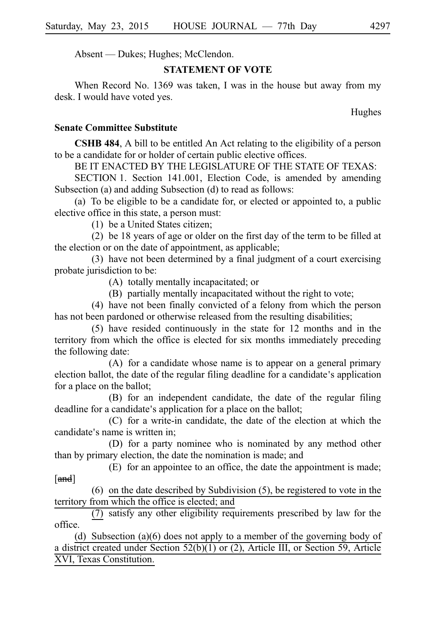Absent — Dukes; Hughes; McClendon.

# **STATEMENT OF VOTE**

When Record No. 1369 was taken, I was in the house but away from my desk. I would have voted yes.

Hughes

# **Senate Committee Substitute**

**CSHB 484**, A bill to be entitled An Act relating to the eligibility of a person to be a candidate for or holder of certain public elective offices.

BE IT ENACTED BY THE LEGISLATURE OF THE STATE OF TEXAS:

SECTION 1. Section 141.001, Election Code, is amended by amending Subsection (a) and adding Subsection (d) to read as follows:

(a) To be eligible to be a candidate for, or elected or appointed to, a public elective office in this state, a person must:

(1) be a United States citizen:

(2) be 18 years of age or older on the first day of the term to be filled at the election or on the date of appointment, as applicable;

 $(3)$  have not been determined by a final judgment of a court exercising probate jurisdiction to be:

(A) totally mentally incapacitated; or

(B) partially mentally incapacitated without the right to vote;

(4) have not been finally convicted of a felony from which the person has not been pardoned or otherwise released from the resulting disabilities;

 $(5)$  have resided continuously in the state for 12 months and in the territory from which the office is elected for six months immediately preceding the following date:

(A) for a candidate whose name is to appear on a general primary election ballot, the date of the regular filing deadline for a candidate's application for a place on the ballot;

(B) for an independent candidate, the date of the regular filing deadline for a candidate's application for a place on the ballot;

 $(C)$  for a write-in candidate, the date of the election at which the candidate's name is written in:

(D) for a party nominee who is nominated by any method other than by primary election, the date the nomination is made; and

 $(E)$  for an appointee to an office, the date the appointment is made; [and]

 $(6)$  on the date described by Subdivision  $(5)$ , be registered to vote in the territory from which the office is elected; and

 $(7)$  satisfy any other eligibility requirements prescribed by law for the office.

(d) Subsection (a)(6) does not apply to a member of the governing body of a district created under Section 52(b)(1) or (2), Article III, or Section 59, Article XVI, Texas Constitution.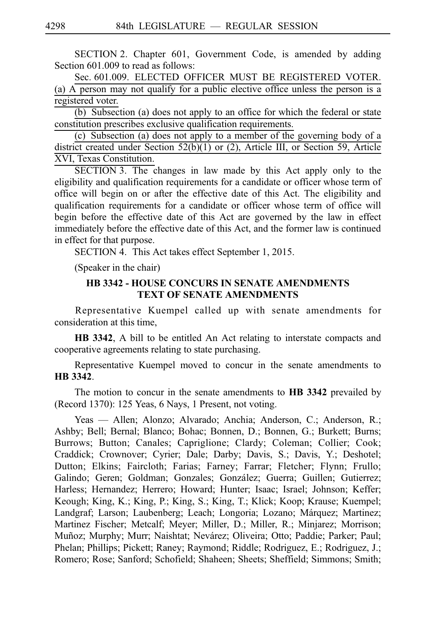SECTION 2. Chapter 601, Government Code, is amended by adding Section 601.009 to read as follows:

Sec. 601.009. ELECTED OFFICER MUST BE REGISTERED VOTER. (a) A person may not qualify for a public elective office unless the person is a registered voter.

 $(b)$  Subsection (a) does not apply to an office for which the federal or state constitution prescribes exclusive qualification requirements.

(c) Subsection (a) does not apply to a member of the governing body of a district created under Section 52(b)(1) or (2), Article III, or Section 59, Article XVI, Texas Constitution.

SECTION 3. The changes in law made by this Act apply only to the eligibility and qualification requirements for a candidate or officer whose term of office will begin on or after the effective date of this Act. The eligibility and qualification requirements for a candidate or officer whose term of office will begin before the effective date of this Act are governed by the law in effect immediately before the effective date of this Act, and the former law is continued in effect for that purpose.

SECTION 4. This Act takes effect September 1, 2015.

(Speaker in the chair)

# **HB 3342 - HOUSE CONCURS IN SENATE AMENDMENTS TEXT OF SENATE AMENDMENTS**

Representative Kuempel called up with senate amendments for consideration at this time,

**HB 3342**, A bill to be entitled An Act relating to interstate compacts and cooperative agreements relating to state purchasing.

Representative Kuempel moved to concur in the senate amendments to **HBi3342**.

The motion to concur in the senate amendments to **HB 3342** prevailed by (Record 1370): 125 Yeas, 6 Nays, 1 Present, not voting.

Yeas — Allen; Alonzo; Alvarado; Anchia; Anderson, C.; Anderson, R.; Ashby; Bell; Bernal; Blanco; Bohac; Bonnen, D.; Bonnen, G.; Burkett; Burns; Burrows; Button; Canales; Capriglione; Clardy; Coleman; Collier; Cook; Craddick; Crownover; Cyrier; Dale; Darby; Davis, S.; Davis, Y.; Deshotel; Dutton; Elkins; Faircloth; Farias; Farney; Farrar; Fletcher; Flynn; Frullo; Galindo; Geren; Goldman; Gonzales; González; Guerra; Guillen; Gutierrez; Harless; Hernandez; Herrero; Howard; Hunter; Isaac; Israel; Johnson; Keffer; Keough; King, K.; King, P.; King, S.; King, T.; Klick; Koop; Krause; Kuempel; Landgraf; Larson; Laubenberg; Leach; Longoria; Lozano; Márquez; Martinez; Martinez Fischer; Metcalf; Meyer; Miller, D.; Miller, R.; Minjarez; Morrison; Muñoz; Murphy; Murr; Naishtat; Nevárez; Oliveira; Otto; Paddie; Parker; Paul; Phelan; Phillips; Pickett; Raney; Raymond; Riddle; Rodriguez, E.; Rodriguez, J.; Romero; Rose; Sanford; Schofield; Shaheen; Sheets; Sheffield; Simmons; Smith;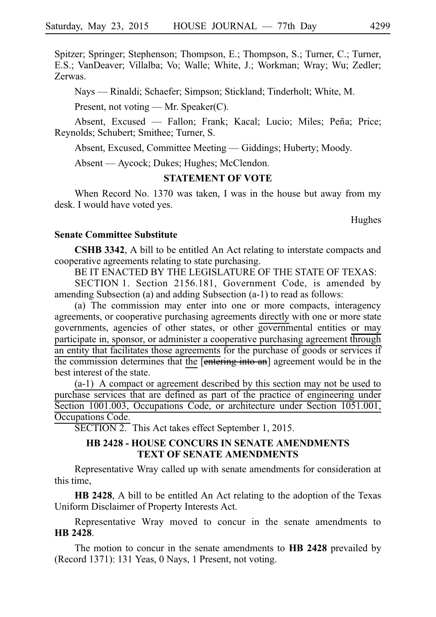Spitzer; Springer; Stephenson; Thompson, E.; Thompson, S.; Turner, C.; Turner, E.S.; VanDeaver; Villalba; Vo; Walle; White, J.; Workman; Wray; Wu; Zedler; Zerwas.

Nays — Rinaldi; Schaefer; Simpson; Stickland; Tinderholt; White, M.

Present, not voting — Mr. Speaker(C).

Absent, Excused — Fallon; Frank; Kacal; Lucio; Miles; Peña; Price; Reynolds; Schubert; Smithee; Turner, S.

Absent, Excused, Committee Meeting — Giddings; Huberty; Moody.

Absent — Aycock; Dukes; Hughes; McClendon.

# **STATEMENT OF VOTE**

When Record No. 1370 was taken, I was in the house but away from my desk. I would have voted yes.

Hughes

#### **Senate Committee Substitute**

**CSHB 3342**, A bill to be entitled An Act relating to interstate compacts and cooperative agreements relating to state purchasing.

BE IT ENACTED BY THE LEGISLATURE OF THE STATE OF TEXAS:

SECTION 1. Section 2156.181, Government Code, is amended by amending Subsection (a) and adding Subsection (a-1) to read as follows:

 $(a)$  The commission may enter into one or more compacts, interagency agreements, or cooperative purchasing agreements directly with one or more state governments, agencies of other states, or other governmental entities or may participate in, sponsor, or administer a cooperative purchasing agreement through an entity that facilitates those agreements for the purchase of goods or services if the commission determines that the [entering into an] agreement would be in the best interest of the state.

 $(a-1)$  A compact or agreement described by this section may not be used to purchase services that are defined as part of the practice of engineering under Section 1001.003, Occupations Code, or architecture under Section 1051.001, Occupations Code.

SECTION 2. This Act takes effect September 1, 2015.

# **HB 2428 - HOUSE CONCURS IN SENATE AMENDMENTS TEXT OF SENATE AMENDMENTS**

Representative Wray called up with senate amendments for consideration at this time,

**HB 2428**, A bill to be entitled An Act relating to the adoption of the Texas Uniform Disclaimer of Property Interests Act.

Representative Wray moved to concur in the senate amendments to **HBi2428**.

The motion to concur in the senate amendments to **HB 2428** prevailed by (Record 1371): 131 Yeas, 0 Nays, 1 Present, not voting.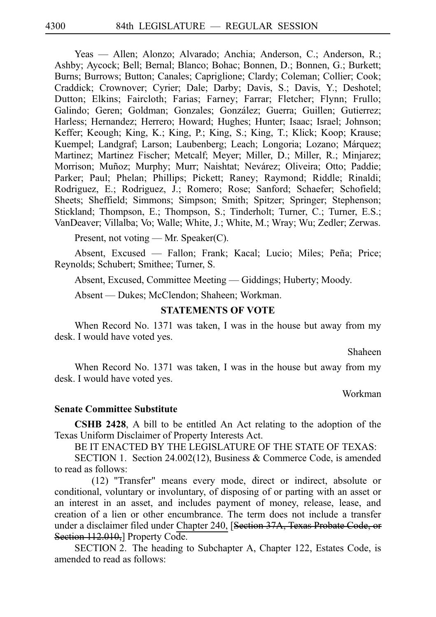Yeas — Allen; Alonzo; Alvarado; Anchia; Anderson, C.; Anderson, R.; Ashby; Aycock; Bell; Bernal; Blanco; Bohac; Bonnen, D.; Bonnen, G.; Burkett; Burns; Burrows; Button; Canales; Capriglione; Clardy; Coleman; Collier; Cook; Craddick; Crownover; Cyrier; Dale; Darby; Davis, S.; Davis, Y.; Deshotel; Dutton; Elkins; Faircloth; Farias; Farney; Farrar; Fletcher; Flynn; Frullo; Galindo; Geren; Goldman; Gonzales; González; Guerra; Guillen; Gutierrez; Harless; Hernandez; Herrero; Howard; Hughes; Hunter; Isaac; Israel; Johnson; Keffer; Keough; King, K.; King, P.; King, S.; King, T.; Klick; Koop; Krause; Kuempel; Landgraf; Larson; Laubenberg; Leach; Longoria; Lozano; Márquez; Martinez; Martinez Fischer; Metcalf; Meyer; Miller, D.; Miller, R.; Minjarez; Morrison; Muñoz; Murphy; Murr; Naishtat; Nevárez; Oliveira; Otto; Paddie; Parker; Paul; Phelan; Phillips; Pickett; Raney; Raymond; Riddle; Rinaldi; Rodriguez, E.; Rodriguez, J.; Romero; Rose; Sanford; Schaefer; Schofield; Sheets; Sheffield; Simmons; Simpson; Smith; Spitzer; Springer; Stephenson; Stickland; Thompson, E.; Thompson, S.; Tinderholt; Turner, C.; Turner, E.S.; VanDeaver; Villalba; Vo; Walle; White, J.; White, M.; Wray; Wu; Zedler; Zerwas.

Present, not voting — Mr. Speaker(C).

Absent, Excused — Fallon; Frank; Kacal; Lucio; Miles; Peña; Price; Reynolds; Schubert; Smithee; Turner, S.

Absent, Excused, Committee Meeting — Giddings; Huberty; Moody.

Absent — Dukes; McClendon; Shaheen; Workman.

# **STATEMENTS OF VOTE**

When Record No. 1371 was taken, I was in the house but away from my desk. I would have voted yes.

Shaheen

When Record No. 1371 was taken, I was in the house but away from my desk. I would have voted yes.

Workman

#### **Senate Committee Substitute**

**CSHB 2428**, A bill to be entitled An Act relating to the adoption of the Texas Uniform Disclaimer of Property Interests Act.

BE IT ENACTED BY THE LEGISLATURE OF THE STATE OF TEXAS:

SECTION 1. Section 24.002(12), Business & Commerce Code, is amended to read as follows:

(12) "Transfer" means every mode, direct or indirect, absolute or conditional, voluntary or involuntary, of disposing of or parting with an asset or an interest in an asset, and includes payment of money, release, lease, and creation of a lien or other encumbrance. The term does not include a transfer under a disclaimer filed under Chapter 240, [Seetion 37A, Texas Probate Code, or Section 112.010, Property Code.

SECTION 2. The heading to Subchapter A, Chapter 122, Estates Code, is amended to read as follows: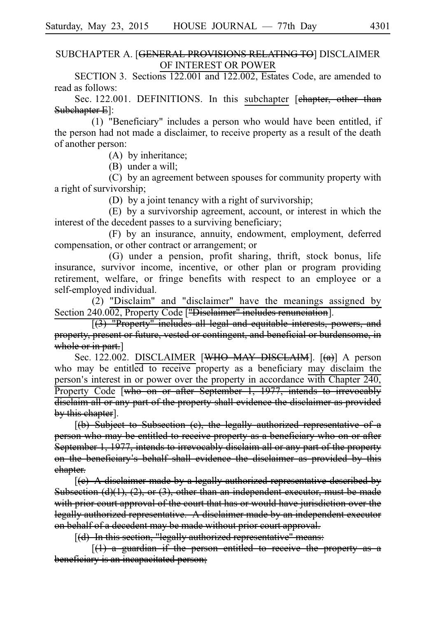# SUBCHAPTER A. [GENERAL PROVISIONS RELATING TO] DISCLAIMER OF INTEREST OR POWER

SECTION 3. Sections 122.001 and 122.002, Estates Code, are amended to read as follows:

Sec. 122.001. DEFINITIONS. In this subchapter [chapter, other than Subchapter E]:

 $(1)$  "Beneficiary" includes a person who would have been entitled, if the person had not made a disclaimer, to receive property as a result of the death of another person:

 $(A)$  by inheritance;

(B) under a will:

(C) by an agreement between spouses for community property with a right of survivorship;

(D) by a joint tenancy with a right of survivorship;

(E) by a survivorship agreement, account, or interest in which the interest of the decedent passes to a surviving beneficiary;

(F) by an insurance, annuity, endowment, employment, deferred compensation, or other contract or arrangement; or

(G) under a pension, profit sharing, thrift, stock bonus, life insurance, survivor income, incentive, or other plan or program providing retirement, welfare, or fringe benefits with respect to an employee or a self-employed individual.

 $(2)$  "Disclaim" and "disclaimer" have the meanings assigned by Section 240.002, Property Code ["Disclaimer" includes renunciation].

 $[3]$  "Property" includes all legal and equitable interests, powers, and property, present or future, vested or contingent, and beneficial or burdensome, in whole or in part.

Sec. 122.002. DISCLAIMER [WHO MAY DISCLAIM]. [(a)] A person who may be entitled to receive property as a beneficiary may disclaim the person's interest in or power over the property in accordance with Chapter 240, Property Code [who on or after September 1, 1977, intends to irrevocably disclaim all or any part of the property shall evidence the disclaimer as provided by this chapter].

 $[(b)$  Subject to Subsection (c), the legally authorized representative of a person who may be entitled to receive property as a beneficiary who on or after September 1, 1977, intends to irrevocably disclaim all or any part of the property on the beneficiary's behalf shall evidence the disclaimer as provided by this chapter.

 $[$ (e) A disclaimer made by a legally authorized representative described by Subsection  $(d)(1), (2),$  or  $(3)$ , other than an independent executor, must be made with prior court approval of the court that has or would have jurisdiction over the legally authorized representative. A disclaimer made by an independent executor on behalf of a decedent may be made without prior court approval.

[(d) In this section, "legally authorized representative" means:

 $[(1)$  a guardian if the person entitled to receive the property as a beneficiary is an incapacitated person;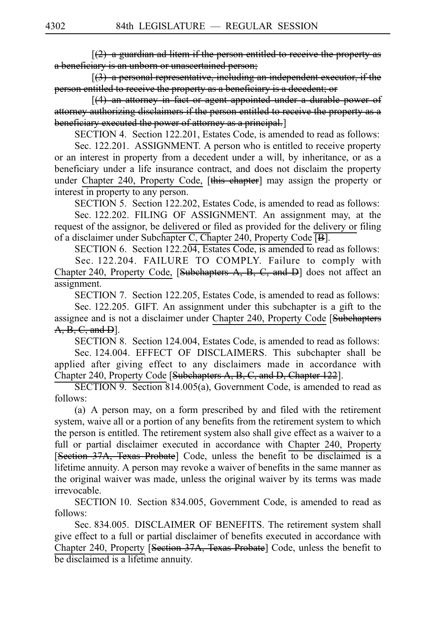$(2)$  a guardian ad litem if the person entitled to receive the property a beneficiary is an unborn or unascertained person;

 $(3)$  a personal representative, including an independent executor, if the person entitled to receive the property as a beneficiary is a decedent; or

 $[(4)$  an attorney in fact or agent appointed under a durable power attorney authorizing disclaimers if the person entitled to receive the property as a beneficiary executed the power of attorney as a principal.]

SECTION 4. Section 122.201, Estates Code, is amended to read as follows:

Sec. 122.201. ASSIGNMENT. A person who is entitled to receive property or an interest in property from a decedent under a will, by inheritance, or as a beneficiary under a life insurance contract, and does not disclaim the property under Chapter 240, Property Code, [this chapter] may assign the property or interest in property to any person.

SECTION 5. Section 122.202, Estates Code, is amended to read as follows: Sec. 122.202. FILING OF ASSIGNMENT. An assignment may, at the

request of the assignor, be delivered or filed as provided for the delivery or filing of a disclaimer under Subchapter C, Chapter 240, Property Code [B].

SECTION 6. Section 122.204, Estates Code, is amended to read as follows: Sec. 122.204. FAILURE TO COMPLY. Failure to comply with Chapter 240, Property Code,  $[Subchapters A, B, C, and D]$  does not affect an assignment.

SECTION 7. Section 122.205, Estates Code, is amended to read as follows:

Sec. 122.205. GIFT. An assignment under this subchapter is a gift to the assignee and is not a disclaimer under Chapter 240, Property Code [Subchapters  $A, B, C, and D$ .

SECTION 8. Section 124.004, Estates Code, is amended to read as follows: Sec. 124.004. EFFECT OF DISCLAIMERS. This subchapter shall be applied after giving effect to any disclaimers made in accordance with Chapter 240, Property Code [Subchapters A, B, C, and D, Chapter 122].

SECTION 9. Section 814.005(a), Government Code, is amended to read as follows:

(a) A person may, on a form prescribed by and filed with the retirement system, waive all or a portion of any benefits from the retirement system to which the person is entitled. The retirement system also shall give effect as a waiver to a full or partial disclaimer executed in accordance with Chapter 240, Property [Section 37A, Texas Probate] Code, unless the benefit to be disclaimed is a lifetime annuity. A person may revoke a waiver of benefits in the same manner as the original waiver was made, unless the original waiver by its terms was made irrevocable.

SECTION 10. Section 834.005, Government Code, is amended to read as follows:

Sec. 834.005. DISCLAIMER OF BENEFITS. The retirement system shall give effect to a full or partial disclaimer of benefits executed in accordance with Chapter 240, Property [Section 37A, Texas Probate] Code, unless the benefit to be disclaimed is a lifetime annuity.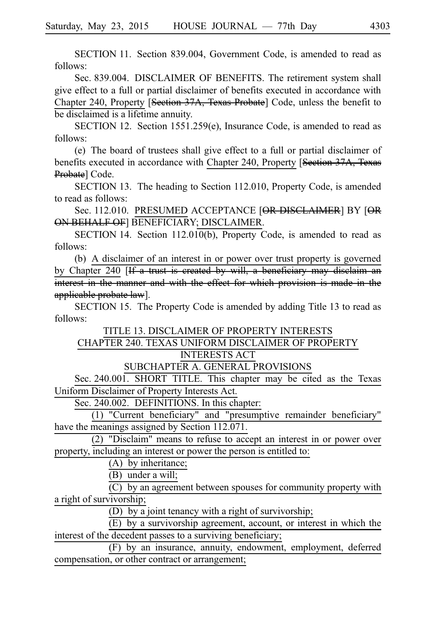SECTION 11. Section 839.004, Government Code, is amended to read as follows:

Sec. 839.004. DISCLAIMER OF BENEFITS. The retirement system shall give effect to a full or partial disclaimer of benefits executed in accordance with Chapter 240, Property [Section 37A, Texas Probate] Code, unless the benefit to be disclaimed is a lifetime annuity.

SECTION 12. Section 1551.259(e), Insurance Code, is amended to read as follows:

(e) The board of trustees shall give effect to a full or partial disclaimer of benefits executed in accordance with Chapter 240, Property [Section 37A, Texas Probate] Code.

SECTION 13. The heading to Section 112.010, Property Code, is amended to read as follows:

Sec. 112.010. PRESUMED ACCEPTANCE [OR DISCLAIMER] BY [OR ON BEHALF OF] BENEFICIARY; DISCLAIMER.

SECTION 14. Section 112.010(b), Property Code, is amended to read as follows:

(b) A disclaimer of an interest in or power over trust property is governed by Chapter 240 [If a trust is created by will, a beneficiary may disclaim an interest in the manner and with the effect for which provision is made in the applicable probate law].

SECTION 15. The Property Code is amended by adding Title 13 to read as follows:

TITLE 13. DISCLAIMER OF PROPERTY INTERESTS

# CHAPTER 240. TEXAS UNIFORM DISCLAIMER OF PROPERTY

INTERESTS ACT

SUBCHAPTER A. GENERAL PROVISIONS

Sec. 240.001. SHORT TITLE. This chapter may be cited as the Texas Uniform Disclaimer of Property Interests Act.

Sec. 240.002. DEFINITIONS. In this chapter:

 $(1)$  "Current beneficiary" and "presumptive remainder beneficiary" have the meanings assigned by Section 112.071.

 $(2)$  "Disclaim" means to refuse to accept an interest in or power over property, including an interest or power the person is entitled to:

 $(A)$  by inheritance;

 $(B)$  under a will;

 $\overline{C}$ ) by an agreement between spouses for community property with a right of survivorship;

(D) by a joint tenancy with a right of survivorship;

 $(E)$  by a survivorship agreement, account, or interest in which the interest of the decedent passes to a surviving beneficiary;

(F) by an insurance, annuity, endowment, employment, deferred compensation, or other contract or arrangement;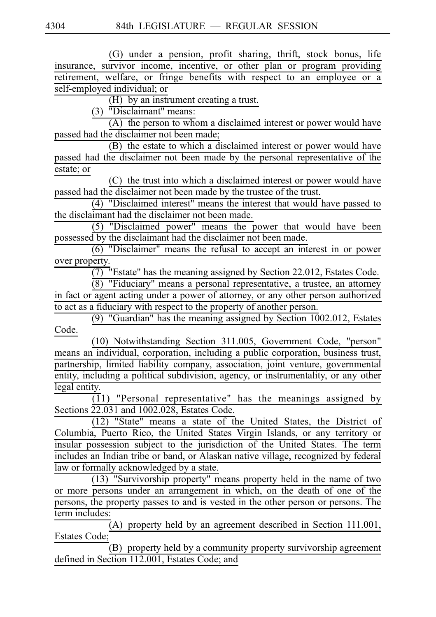(G) under a pension, profit sharing, thrift, stock bonus, life insurance, survivor income, incentive, or other plan or program providing retirement, welfare, or fringe benefits with respect to an employee or a self-employed individual; or

 $(H)$  by an instrument creating a trust.

 $(3)$  "Disclaimant" means:

 $(A)$  the person to whom a disclaimed interest or power would have passed had the disclaimer not been made;

 $(B)$  the estate to which a disclaimed interest or power would have passed had the disclaimer not been made by the personal representative of the estate; or

(C) the trust into which a disclaimed interest or power would have passed had the disclaimer not been made by the trustee of the trust.

 $(4)$  "Disclaimed interest" means the interest that would have passed to the disclaimant had the disclaimer not been made.

 $(5)$  "Disclaimed power" means the power that would have been possessed by the disclaimant had the disclaimer not been made.

 $(6)$  "Disclaimer" means the refusal to accept an interest in or power over property.

 $\overline{(7)}$  "Estate" has the meaning assigned by Section 22.012, Estates Code.

 $\overline{(8)}$  "Fiduciary" means a personal representative, a trustee, an attorney in fact or agent acting under a power of attorney, or any other person authorized to act as a fiduciary with respect to the property of another person.

 $(9)$  "Guardian" has the meaning assigned by Section 1002.012, Estates Code.

(10) Notwithstanding Section 311.005, Government Code, "person" means an individual, corporation, including a public corporation, business trust, partnership, limited liability company, association, joint venture, governmental entity, including a political subdivision, agency, or instrumentality, or any other legal entity.

 $\overline{(11)}$  "Personal representative" has the meanings assigned by Sections  $22.031$  and 1002.028, Estates Code.

 $(12)$  "State" means a state of the United States, the District of Columbia, Puerto Rico, the United States Virgin Islands, or any territory or insular possession subject to the jurisdiction of the United States. The term includes an Indian tribe or band, or Alaskan native village, recognized by federal law or formally acknowledged by a state.

 $\overline{(13)}$  "Survivorship property" means property held in the name of two or more persons under an arrangement in which, on the death of one of the persons, the property passes to and is vested in the other person or persons. The term includes:

 $(A)$  property held by an agreement described in Section 111.001, Estates Code;

(B) property held by a community property survivorship agreement defined in Section 112.001, Estates Code; and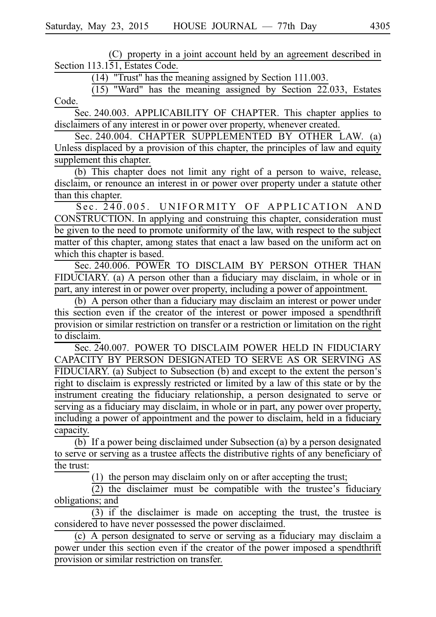(C) property in a joint account held by an agreement described in Section 113.151, Estates Code.

 $(14)$  "Trust" has the meaning assigned by Section 111.003.

 $(15)$  "Ward" has the meaning assigned by Section 22.033, Estates Code.

Sec. 240.003. APPLICABILITY OF CHAPTER. This chapter applies to disclaimers of any interest in or power over property, whenever created.

Sec. 240.004. CHAPTER SUPPLEMENTED BY OTHER LAW. (a) Unless displaced by a provision of this chapter, the principles of law and equity supplement this chapter.

(b) This chapter does not limit any right of a person to waive, release, disclaim, or renounce an interest in or power over property under a statute other than this chapter.

Sec. 240.005. UNIFORMITY OF APPLICATION AND CONSTRUCTION. In applying and construing this chapter, consideration must be given to the need to promote uniformity of the law, with respect to the subject matter of this chapter, among states that enact a law based on the uniform act on which this chapter is based.

Sec. 240.006. POWER TO DISCLAIM BY PERSON OTHER THAN FIDUCIARY. (a) A person other than a fiduciary may disclaim, in whole or in part, any interest in or power over property, including a power of appointment.

 $(b)$  A person other than a fiduciary may disclaim an interest or power under this section even if the creator of the interest or power imposed a spendthrift provision or similar restriction on transfer or a restriction or limitation on the right to disclaim.

Sec. 240.007. POWER TO DISCLAIM POWER HELD IN FIDUCIARY CAPACITY BY PERSON DESIGNATED TO SERVE AS OR SERVING AS FIDUCIARY. (a) Subject to Subsection (b) and except to the extent the person's right to disclaim is expressly restricted or limited by a law of this state or by the instrument creating the fiduciary relationship, a person designated to serve or serving as a fiduciary may disclaim, in whole or in part, any power over property, including a power of appointment and the power to disclaim, held in a fiduciary capacity.

 $\overline{(b)}$  If a power being disclaimed under Subsection (a) by a person designated to serve or serving as a trustee affects the distributive rights of any beneficiary of the trust:

 $(1)$  the person may disclaim only on or after accepting the trust;

 $(2)$  the disclaimer must be compatible with the trustee's fiduciary obligations; and

 $(3)$  if the disclaimer is made on accepting the trust, the trustee is considered to have never possessed the power disclaimed.

 $(c)$  A person designated to serve or serving as a fiduciary may disclaim a power under this section even if the creator of the power imposed a spendthrift provision or similar restriction on transfer.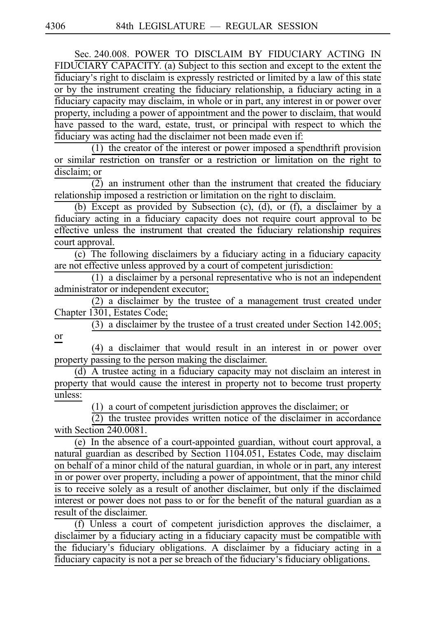Sec. 240.008. POWER TO DISCLAIM BY FIDUCIARY ACTING IN FIDUCIARY CAPACITY. (a) Subject to this section and except to the extent the fiduciary's right to disclaim is expressly restricted or limited by a law of this state or by the instrument creating the fiduciary relationship, a fiduciary acting in a fiduciary capacity may disclaim, in whole or in part, any interest in or power over property, including a power of appointment and the power to disclaim, that would have passed to the ward, estate, trust, or principal with respect to which the fiduciary was acting had the disclaimer not been made even if:

(1) the creator of the interest or power imposed a spendthrift provision or similar restriction on transfer or a restriction or limitation on the right to disclaim; or

 $(2)$  an instrument other than the instrument that created the fiduciary relationship imposed a restriction or limitation on the right to disclaim.

(b) Except as provided by Subsection (c), (d), or (f), a disclaimer by a fiduciary acting in a fiduciary capacity does not require court approval to be effective unless the instrument that created the fiduciary relationship requires court approval.

(c) The following disclaimers by a fiduciary acting in a fiduciary capacity are not effective unless approved by a court of competent jurisdiction:

 $(1)$  a disclaimer by a personal representative who is not an independent administrator or independent executor;

 $(2)$  a disclaimer by the trustee of a management trust created under Chapter 1301, Estates Code;

(3) a disclaimer by the trustee of a trust created under Section 142.005; or

(4) a disclaimer that would result in an interest in or power over property passing to the person making the disclaimer.

 $(d)$  A trustee acting in a fiduciary capacity may not disclaim an interest in property that would cause the interest in property not to become trust property unless:

(1) a court of competent jurisdiction approves the disclaimer; or

 $\overline{(2)}$  the trustee provides written notice of the disclaimer in accordance with Section 240.0081.

(e) In the absence of a court-appointed guardian, without court approval, a natural guardian as described by Section 1104.051, Estates Code, may disclaim on behalf of a minor child of the natural guardian, in whole or in part, any interest in or power over property, including a power of appointment, that the minor child is to receive solely as a result of another disclaimer, but only if the disclaimed interest or power does not pass to or for the benefit of the natural guardian as a result of the disclaimer.

(f) Unless a court of competent jurisdiction approves the disclaimer, a disclaimer by a fiduciary acting in a fiduciary capacity must be compatible with the fiduciary's fiduciary obligations. A disclaimer by a fiduciary acting in a fiduciary capacity is not a per se breach of the fiduciary's fiduciary obligations.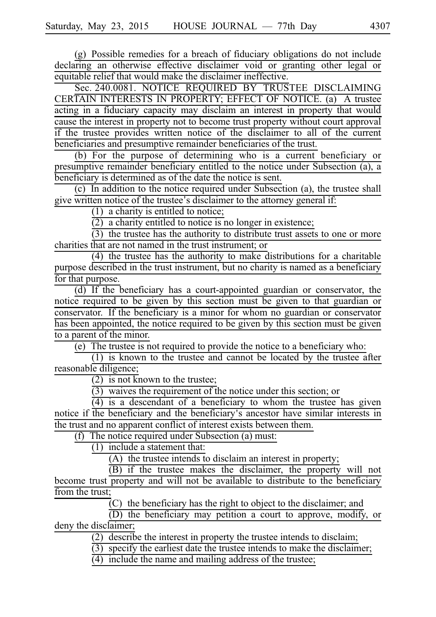$(g)$  Possible remedies for a breach of fiduciary obligations do not include declaring an otherwise effective disclaimer void or granting other legal or equitable relief that would make the disclaimer ineffective.

Sec. 240.0081. NOTICE REQUIRED BY TRUSTEE DISCLAIMING CERTAIN INTERESTS IN PROPERTY; EFFECT OF NOTICE. (a) A trustee acting in a fiduciary capacity may disclaim an interest in property that would cause the interest in property not to become trust property without court approval if the trustee provides written notice of the disclaimer to all of the current beneficiaries and presumptive remainder beneficiaries of the trust.

(b) For the purpose of determining who is a current beneficiary or presumptive remainder beneficiary entitled to the notice under Subsection (a), a beneficiary is determined as of the date the notice is sent.

(c) In addition to the notice required under Subsection (a), the trustee shall give written notice of the trustee's disclaimer to the attorney general if:

 $(1)$  a charity is entitled to notice;

 $\overrightarrow{2}$  a charity entitled to notice is no longer in existence;

 $\overline{(3)}$  the trustee has the authority to distribute trust assets to one or more charities that are not named in the trust instrument; or

 $(4)$  the trustee has the authority to make distributions for a charitable purpose described in the trust instrument, but no charity is named as a beneficiary for that purpose.

(d) If the beneficiary has a court-appointed guardian or conservator, the notice required to be given by this section must be given to that guardian or conservator. If the beneficiary is a minor for whom no guardian or conservator has been appointed, the notice required to be given by this section must be given to a parent of the minor.

 $(e)$  The trustee is not required to provide the notice to a beneficiary who:

 $(1)$  is known to the trustee and cannot be located by the trustee after reasonable diligence;

 $(2)$  is not known to the trustee;

 $(3)$  waives the requirement of the notice under this section; or

 $\overline{(4)}$  is a descendant of a beneficiary to whom the trustee has given notice if the beneficiary and the beneficiary's ancestor have similar interests in the trust and no apparent conflict of interest exists between them.

(f) The notice required under Subsection (a) must:

 $(1)$  include a statement that:

(A) the trustee intends to disclaim an interest in property;

 $(B)$  if the trustee makes the disclaimer, the property will not become trust property and will not be available to distribute to the beneficiary from the trust;

 $\overline{C}(C)$  the beneficiary has the right to object to the disclaimer; and

(D) the beneficiary may petition a court to approve, modify, or deny the disclaimer;

 $(2)$  describe the interest in property the trustee intends to disclaim;

 $\frac{1}{(3)}$  specify the earliest date the trustee intends to make the disclaimer;

 $(4)$  include the name and mailing address of the trustee;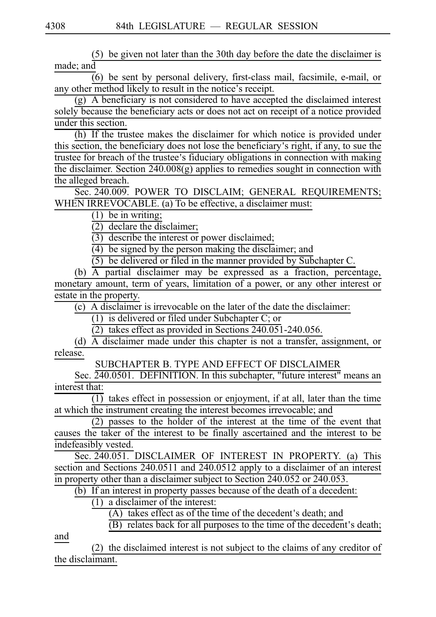$(5)$  be given not later than the 30th day before the date the disclaimer is made; and

(6) be sent by personal delivery, first-class mail, facsimile, e-mail, or any other method likely to result in the notice's receipt.

(g) A beneficiary is not considered to have accepted the disclaimed interest solely because the beneficiary acts or does not act on receipt of a notice provided under this section.

 $(h)$  If the trustee makes the disclaimer for which notice is provided under this section, the beneficiary does not lose the beneficiary's right,  $\hat{f}$  any, to sue the trustee for breach of the trustee's fiduciary obligations in connection with making the disclaimer. Section 240.008(g) applies to remedies sought in connection with the alleged breach.

Sec. 240.009. POWER TO DISCLAIM; GENERAL REQUIREMENTS; WHEN IRREVOCABLE. (a) To be effective, a disclaimer must:

 $(1)$  be in writing;

 $(2)$  declare the disclaimer;

 $(3)$  describe the interest or power disclaimed;

 $(4)$  be signed by the person making the disclaimer; and

 $(5)$  be delivered or filed in the manner provided by Subchapter C.

(b)  $\overline{A}$  partial disclaimer may be expressed as a fraction, percentage, monetary amount, term of years, limitation of a power, or any other interest or estate in the property.

 $(c)$  A disclaimer is irrevocable on the later of the date the disclaimer:

(1) is delivered or filed under Subchapter C; or

(2) takes effect as provided in Sections  $240.051$ -240.056.

(d)  $\overline{A}$  disclaimer made under this chapter is not a transfer, assignment, or release.

SUBCHAPTER B. TYPE AND EFFECT OF DISCLAIMER

Sec.  $240.0501$ . DEFINITION. In this subchapter, "future interest" means an interest that:

 $(1)$  takes effect in possession or enjoyment, if at all, later than the time at which the instrument creating the interest becomes irrevocable; and

 $(2)$  passes to the holder of the interest at the time of the event that causes the taker of the interest to be finally ascertained and the interest to be indefeasibly vested.

Sec. 240.051. DISCLAIMER OF INTEREST IN PROPERTY. (a) This section and Sections 240.0511 and 240.0512 apply to a disclaimer of an interest in property other than a disclaimer subject to Section 240.052 or 240.053.

 $(b)$  If an interest in property passes because of the death of a decedent:

 $(1)$  a disclaimer of the interest:

 $(A)$  takes effect as of the time of the decedent's death; and

 $(B)$  relates back for all purposes to the time of the decedent's death;

and

(2) the disclaimed interest is not subject to the claims of any creditor of the disclaimant.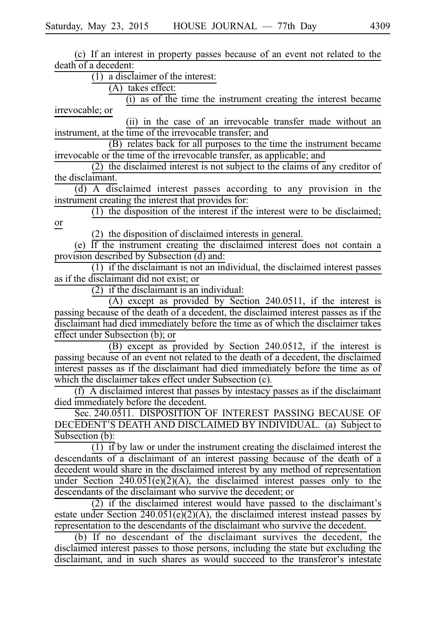(c) If an interest in property passes because of an event not related to the death of a decedent:  $(1)$  a disclaimer of the interest:  $(A)$  takes effect:  $(i)$  as of the time the instrument creating the interest became irrevocable; or (ii) in the case of an irrevocable transfer made without an instrument, at the  $\overline{\text{time of the} }$  irrevocable transfer; and (B) relates back for all purposes to the time the instrument became irrevocable or the time of the irrevocable transfer, as applicable; and (2) the disclaimed interest is not subject to the claims of any creditor of the disclaimant.  $(d)$  A disclaimed interest passes according to any provision in the instrument creating the interest that provides for: (1) the disposition of the interest if the interest were to be disclaimed; or  $(2)$  the disposition of disclaimed interests in general. (e)  $\overline{If}$  the instrument creating the disclaimed interest does not contain a provision described by Subsection (d) and:  $(1)$  if the disclaimant is not an individual, the disclaimed interest passes as if the disclaimant did not exist; or  $(2)$  if the disclaimant is an individual:  $(A)$  except as provided by Section 240.0511, if the interest is passing because of the death of a decedent, the disclaimed interest passes as if the disclaimant had died immediately before the time as of which the disclaimer takes effect under Subsection (b); or  $(B)$  except as provided by Section 240.0512, if the interest is passing because of an event not related to the death of a decedent, the disclaimed interest passes as if the disclaimant had died immediately before the time as of which the disclaimer takes effect under Subsection (c). (f) A disclaimed interest that passes by intestacy passes as if the disclaimant died immediately before the decedent. Sec. 240.0511. DISPOSITION OF INTEREST PASSING BECAUSE OF DECEDENT'S DEATH AND DISCLAIMED BY INDIVIDUAL. (a) Subject to Subsection (b):  $\overline{(1)}$  if by law or under the instrument creating the disclaimed interest the descendants of a disclaimant of an interest passing because of the death of a decedent would share in the disclaimed interest by any method of representation under Section  $240.051(e)(2)(A)$ , the disclaimed interest passes only to the descendants of the disclaimant who survive the decedent; or  $(2)$  if the disclaimed interest would have passed to the disclaimant's estate under Section 240.051(e)(2)(A), the disclaimed interest instead passes by representation to the descendants of the disclaimant who survive the decedent. (b) If no descendant of the disclaimant survives the decedent, the disclaimed interest passes to those persons, including the state but excluding the disclaimant, and in such shares as would succeed to the transferor's intestate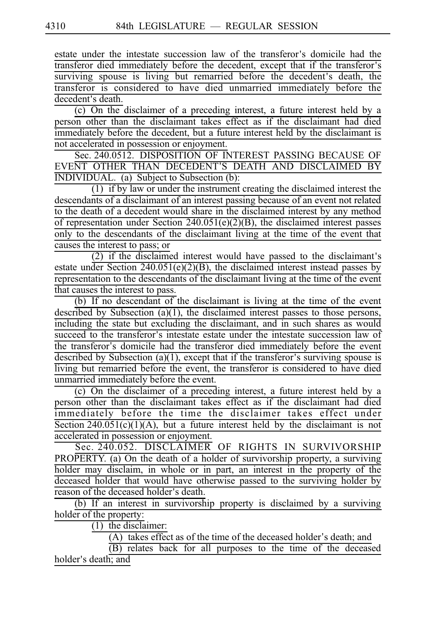estate under the intestate succession law of the transferor's domicile had the transferor died immediately before the decedent, except that if the transferor's surviving spouse is living but remarried before the decedent's death, the transferor is considered to have died unmarried immediately before the decedent's death.

 $(c)$  On the disclaimer of a preceding interest, a future interest held by a person other than the disclaimant takes effect as if the disclaimant had died immediately before the decedent, but a future interest held by the disclaimant is not accelerated in possession or enjoyment.

Sec. 240.0512. DISPOSITION OF INTEREST PASSING BECAUSE OF EVENT OTHER THAN DECEDENT'S DEATH AND DISCLAIMED BY INDIVIDUAL. (a) Subject to Subsection (b):

 $(1)$  if by law or under the instrument creating the disclaimed interest the descendants of a disclaimant of an interest passing because of an event not related to the death of a decedent would share in the disclaimed interest by any method of representation under Section 240.051(e)(2)(B), the disclaimed interest passes only to the descendants of the disclaimant living at the time of the event that causes the interest to pass; or

 $\overline{(2)}$  if the disclaimed interest would have passed to the disclaimant's estate under Section  $240.051(e)(2)(B)$ , the disclaimed interest instead passes by representation to the descendants of the disclaimant living at the time of the event that causes the interest to pass.

 $(b)$  If no descendant of the disclaimant is living at the time of the event described by Subsection (a)(1), the disclaimed interest passes to those persons, including the state but excluding the disclaimant, and in such shares as would succeed to the transferor's intestate estate under the intestate succession law of the transferor's domicile had the transferor died immediately before the event described by Subsection  $(a)(1)$ , except that if the transferor's surviving spouse is living but remarried before the event, the transferor is considered to have died unmarried immediately before the event.

 $(c)$  On the disclaimer of a preceding interest, a future interest held by a person other than the disclaimant takes effect as if the disclaimant had died immediately before the time the disclaimer takes effect under Section  $240.051(c)(1)(A)$ , but a future interest held by the disclaimant is not accelerated in possession or enjoyment.

Sec. 240.052. DISCLAIMER OF RIGHTS IN SURVIVORSHIP PROPERTY. (a) On the death of a holder of survivorship property, a surviving holder may disclaim, in whole or in part, an interest in the property of the deceased holder that would have otherwise passed to the surviving holder by reason of the deceased holder's death.

(b) If an interest in survivorship property is disclaimed by a surviving holder of the property:

 $(1)$  the disclaimer:

 $(A)$  takes effect as of the time of the deceased holder's death; and

 $\overrightarrow{B}$  relates back for all purposes to the time of the deceased holder's death; and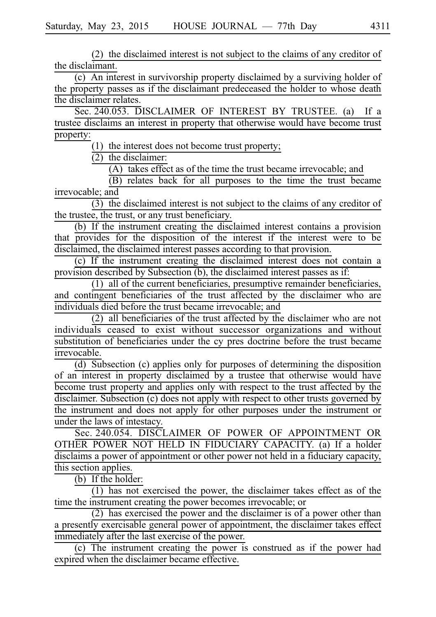(2) the disclaimed interest is not subject to the claims of any creditor of the disclaimant.

(c) An interest in survivorship property disclaimed by a surviving holder of the property passes as if the disclaimant predeceased the holder to whose death the disclaimer relates.

Sec. 240.053. DISCLAIMER OF INTEREST BY TRUSTEE. (a) If a trustee disclaims an interest in property that otherwise would have become trust property:

 $(1)$  the interest does not become trust property;

 $(2)$  the disclaimer:

 $(A)$  takes effect as of the time the trust became irrevocable; and

(B) relates back for all purposes to the time the trust became irrevocable; and

 $(3)$  the disclaimed interest is not subject to the claims of any creditor of the trustee, the trust, or any trust beneficiary.

(b) If the instrument creating the disclaimed interest contains a provision that provides for the disposition of the interest if the interest were to be disclaimed, the disclaimed interest passes according to that provision.

(c) If the instrument creating the disclaimed interest does not contain a provision described by Subsection (b), the disclaimed interest passes as if:

 $(1)$  all of the current beneficiaries, presumptive remainder beneficiaries, and contingent beneficiaries of the trust affected by the disclaimer who are individuals died before the trust became irrevocable; and

 $(2)$  all beneficiaries of the trust affected by the disclaimer who are not individuals ceased to exist without successor organizations and without substitution of beneficiaries under the cy pres doctrine before the trust became irrevocable.

 $(d)$  Subsection (c) applies only for purposes of determining the disposition of an interest in property disclaimed by a trustee that otherwise would have become trust property and applies only with respect to the trust affected by the disclaimer. Subsection (c) does not apply with respect to other trusts governed by the instrument and does not apply for other purposes under the instrument or under the laws of intestacy.

Sec. 240.054. DISCLAIMER OF POWER OF APPOINTMENT OR OTHER POWER NOT HELD IN FIDUCIARY CAPACITY. (a) If a holder disclaims a power of appointment or other power not held in a fiduciary capacity, this section applies.

(b) If the holder:

 $(1)$  has not exercised the power, the disclaimer takes effect as of the time the instrument creating the power becomes irrevocable; or

 $(2)$  has exercised the power and the disclaimer is of a power other than a presently exercisable general power of appointment, the disclaimer takes effect immediately after the last exercise of the power.

 $(c)$  The instrument creating the power is construed as if the power had expired when the disclaimer became effective.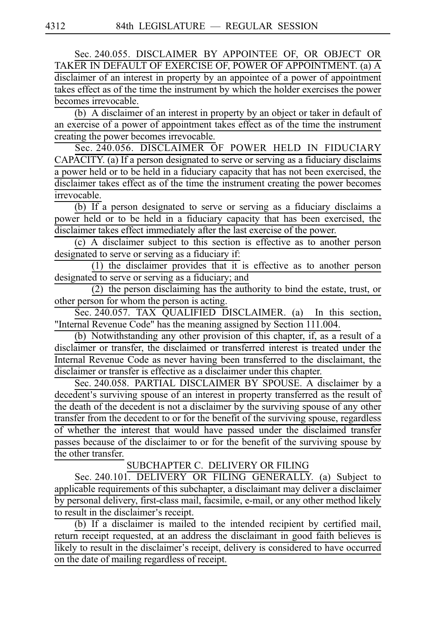Sec. 240.055. DISCLAIMER BY APPOINTEE OF, OR OBJECT OR TAKER IN DEFAULT OF EXERCISE OF, POWER OF APPOINTMENT. (a) A disclaimer of an interest in property by an appointee of a power of appointment takes effect as of the time the instrument by which the holder exercises the power becomes irrevocable.

(b) A disclaimer of an interest in property by an object or taker in default of an exercise of a power of appointment takes effect as of the time the instrument creating the power becomes irrevocable.

Sec. 240.056. DISCLAIMER OF POWER HELD IN FIDUCIARY CAPACITY. (a) If a person designated to serve or serving as a fiduciary disclaims a power held or to be held in a fiduciary capacity that has not been exercised, the disclaimer takes effect as of the time the instrument creating the power becomes irrevocable.

(b) If a person designated to serve or serving as a fiduciary disclaims a power held or to be held in a fiduciary capacity that has been exercised, the disclaimer takes effect immediately after the last exercise of the power.

 $(c)$  A disclaimer subject to this section is effective as to another person designated to serve or serving as a fiduciary if:

 $(1)$  the disclaimer provides that it is effective as to another person designated to serve or serving as a fiduciary; and

 $(2)$  the person disclaiming has the authority to bind the estate, trust, or other person for whom the person is acting.

Sec. 240.057. TAX QUALIFIED DISCLAIMER. (a) In this section, "Internal Revenue Code" has the meaning assigned by Section 111.004.

(b) Notwithstanding any other provision of this chapter, if, as a result of a disclaimer or transfer, the disclaimed or transferred interest is treated under the Internal Revenue Code as never having been transferred to the disclaimant, the disclaimer or transfer is effective as a disclaimer under this chapter.

Sec. 240.058. PARTIAL DISCLAIMER BY SPOUSE. A disclaimer by a decedent's surviving spouse of an interest in property transferred as the result of the death of the decedent is not a disclaimer by the surviving spouse of any other transfer from the decedent to or for the benefit of the surviving spouse, regardless of whether the interest that would have passed under the disclaimed transfer passes because of the disclaimer to or for the benefit of the surviving spouse by the other transfer.

SUBCHAPTER C. DELIVERY OR FILING

Sec. 240.101. DELIVERY OR FILING GENERALLY. (a) Subject to applicable requirements of this subchapter, a disclaimant may deliver a disclaimer by personal delivery, first-class mail, facsimile, e-mail, or any other method likely to result in the disclaimer's receipt.

(b) If a disclaimer is mailed to the intended recipient by certified mail, return receipt requested, at an address the disclaimant in good faith believes is likely to result in the disclaimer's receipt, delivery is considered to have occurred on the date of mailing regardless of receipt.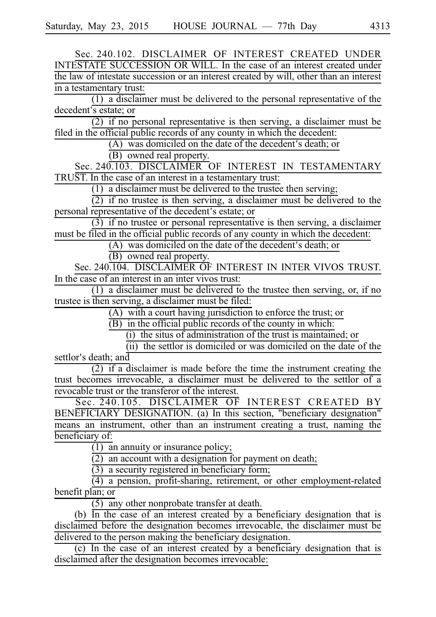Sec. 240.102. DISCLAIMER OF INTEREST CREATED UNDER INTESTATE SUCCESSION OR WILL. In the case of an interest created under the law of intestate succession or an interest created by will, other than an interest in a testamentary trust:

 $(1)$  a disclaimer must be delivered to the personal representative of the decedent's estate; or

 $(2)$  if no personal representative is then serving, a disclaimer must be filed in the official public records of any county in which the decedent:

 $(A)$  was domiciled on the date of the decedent's death; or

(B) owned real property.

Sec. 240.103. DISCLAIMER OF INTEREST IN TESTAMENTARY TRUST. In the case of an interest in a testamentary trust:

 $(1)$  a disclaimer must be delivered to the trustee then serving;

 $\overline{(2)}$  if no trustee is then serving, a disclaimer must be delivered to the personal representative of the decedent's estate; or

 $(3)$  if no trustee or personal representative is then serving, a disclaimer must be filed in the official public records of any county in which the decedent:

 $(A)$  was domiciled on the date of the decedent's death; or

(B) owned real property.

Sec. 240.104. DISCLAIMER OF INTEREST IN INTER VIVOS TRUST. In the case of an interest in an inter vivos trust:

 $(1)$  a disclaimer must be delivered to the trustee then serving, or, if no trustee is then serving, a disclaimer must be filed:

 $(A)$  with a court having jurisdiction to enforce the trust; or

 $\overline{(B)}$  in the official public records of the county in which:

 $(i)$  the situs of administration of the trust is maintained; or

 $(iii)$  the settlor is domiciled or was domiciled on the date of the settlor's death; and

 $(2)$  if a disclaimer is made before the time the instrument creating the trust becomes irrevocable, a disclaimer must be delivered to the settlor of a revocable trust or the transferor of the interest.

Sec. 240.105. DISCLAIMER OF INTEREST CREATED BY BENEFICIARY DESIGNATION. (a) In this section, "beneficiary designation" means an instrument, other than an instrument creating a trust, naming the beneficiary of:

 $(1)$  an annuity or insurance policy;

 $\overline{(2)}$  an account with a designation for payment on death;

 $(3)$  a security registered in beneficiary form;

 $(4)$  a pension, profit-sharing, retirement, or other employment-related benefit plan; or

 $\overline{(5)}$  any other nonprobate transfer at death.

(b) In the case of an interest created by a beneficiary designation that is disclaimed before the designation becomes irrevocable, the disclaimer must be delivered to the person making the beneficiary designation.

 $(c)$  In the case of an interest created by a beneficiary designation that is disclaimed after the designation becomes irrevocable: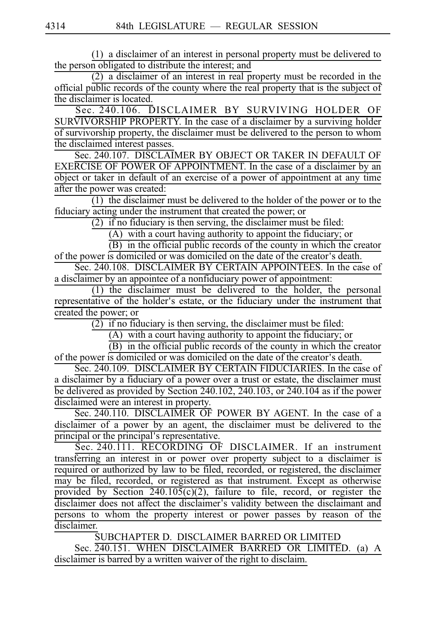$(1)$  a disclaimer of an interest in personal property must be delivered to the person obligated to distribute the interest; and

(2) a disclaimer of an interest in real property must be recorded in the official public records of the county where the real property that is the subject of the disclaimer is located.

Sec. 240.106. DISCLAIMER BY SURVIVING HOLDER OF SURVIVORSHIP PROPERTY. In the case of a disclaimer by a surviving holder of survivorship property, the disclaimer must be delivered to the person to whom the disclaimed interest passes.

Sec. 240.107. DISCLAIMER BY OBJECT OR TAKER IN DEFAULT OF EXERCISE OF POWER OF APPOINTMENT. In the case of a disclaimer by an object or taker in default of an exercise of a power of appointment at any time after the power was created:

 $(1)$  the disclaimer must be delivered to the holder of the power or to the fiduciary acting under the instrument that created the power; or

 $(2)$  if no fiduciary is then serving, the disclaimer must be filed:

 $(A)$  with a court having authority to appoint the fiduciary; or

 $\overrightarrow{B}$  in the official public records of the county in which the creator of the power is domiciled or was domiciled on the date of the creator s death. '

Sec. 240.108. DISCLAIMER BY CERTAIN APPOINTEES. In the case of a disclaimer by an appointee of a nonfiduciary power of appointment:

(1) the disclaimer must be delivered to the holder, the personal representative of the holder's estate, or the fiduciary under the instrument that created the power; or

(2) if no fiduciary is then serving, the disclaimer must be filed:

(A) with a court having authority to appoint the fiduciary; or

 $\overrightarrow{B}$  in the official public records of the county in which the creator of the power is domiciled or was domiciled on the date of the creator's death.

Sec. 240.109. DISCLAIMER BY CERTAIN FIDUCIARIES. In the case of a disclaimer by a fiduciary of a power over a trust or estate, the disclaimer must be delivered as provided by Section 240.102, 240.103, or 240.104 as if the power disclaimed were an interest in property.

Sec. 240.110. DISCLAIMER OF POWER BY AGENT. In the case of a disclaimer of a power by an agent, the disclaimer must be delivered to the principal or the principal's representative.

Sec. 240.111. RECORDING OF DISCLAIMER. If an instrument transferring an interest in or power over property subject to a disclaimer is required or authorized by law to be filed, recorded, or registered, the disclaimer may be filed, recorded, or registered as that instrument. Except as otherwise provided by Section  $240.105(c)(2)$ , failure to file, record, or register the disclaimer does not affect the disclaimer's validity between the disclaimant and persons to whom the property interest or power passes by reason of the disclaimer.

SUBCHAPTER D. DISCLAIMER BARRED OR LIMITED

Sec. 240.151. WHEN DISCLAIMER BARRED OR LIMITED. (a) A disclaimer is barred by a written waiver of the right to disclaim.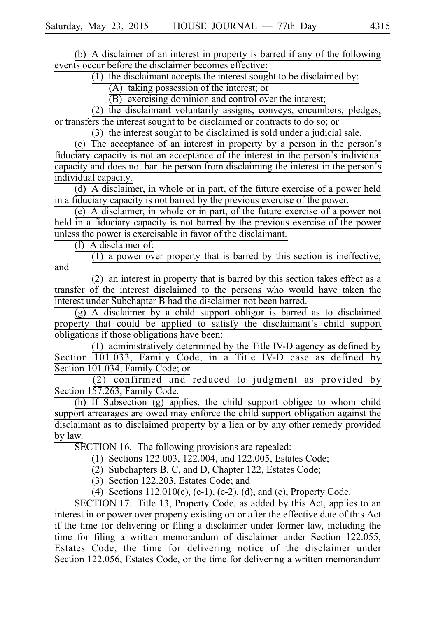(b) A disclaimer of an interest in property is barred if any of the following events occur before the disclaimer becomes effective:

 $(1)$  the disclaimant accepts the interest sought to be disclaimed by:

 $(A)$  taking possession of the interest; or

 $\overline{(B)}$  exercising dominion and control over the interest;

 $(2)$  the disclaimant voluntarily assigns, conveys, encumbers, pledges, or transfers the interest sought to be disclaimed or contracts to do so; or

 $(3)$  the interest sought to be disclaimed is sold under a judicial sale.

(c) The acceptance of an interest in property by a person in the person's fiduciary capacity is not an acceptance of the interest in the person's individual capacity and does not bar the person from disclaiming the interest in the person's individual capacity.

 $(d)$  A disclaimer, in whole or in part, of the future exercise of a power held in a fiduciary capacity is not barred by the previous exercise of the power.

(e) A disclaimer, in whole or in part, of the future exercise of a power not held in a fiduciary capacity is not barred by the previous exercise of the power unless the power is exercisable in favor of the disclaimant.

(f) A disclaimer of:

 $(1)$  a power over property that is barred by this section is ineffective; and

 $(2)$  an interest in property that is barred by this section takes effect as a transfer of the interest disclaimed to the persons who would have taken the interest under Subchapter B had the disclaimer not been barred.

(g) A disclaimer by a child support obligor is barred as to disclaimed property that could be applied to satisfy the disclaimant ' s child support obligations if those obligations have been:

 $(1)$  administratively determined by the Title IV-D agency as defined by Section 101.033, Family Code, in a Title IV-D case as defined by Section 101.034, Family Code; or

 $\overline{(2)}$  confirmed and reduced to judgment as provided by Section 157.263, Family Code.

(h) If Subsection  $(g)$  applies, the child support obligee to whom child support arrearages are owed may enforce the child support obligation against the disclaimant as to disclaimed property by a lien or by any other remedy provided by law.

SECTION 16. The following provisions are repealed:

(1) Sections 122.003, 122.004, and 122.005, Estates Code;

(2) Subchapters B, C, and D, Chapter 122, Estates Code;

(3) Section 122.203, Estates Code; and

(4) Sections  $112.010(c)$ , (c-1), (c-2), (d), and (e), Property Code.

SECTION 17. Title 13, Property Code, as added by this Act, applies to an interest in or power over property existing on or after the effective date of this Act if the time for delivering or filing a disclaimer under former law, including the time for filing a written memorandum of disclaimer under Section 122.055, Estates Code, the time for delivering notice of the disclaimer under Section 122.056, Estates Code, or the time for delivering a written memorandum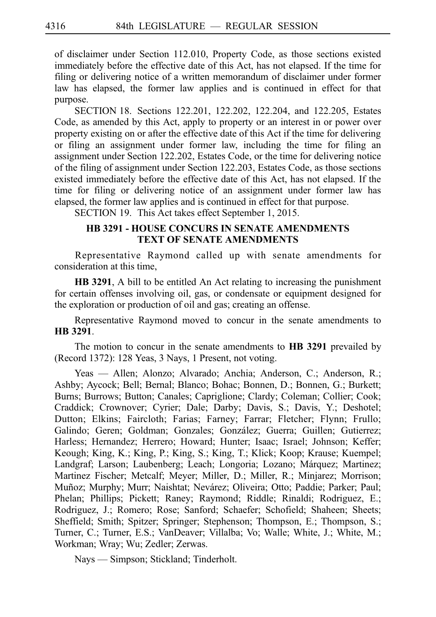of disclaimer under Section 112.010, Property Code, as those sections existed immediately before the effective date of this Act, has not elapsed. If the time for filing or delivering notice of a written memorandum of disclaimer under former law has elapsed, the former law applies and is continued in effect for that purpose.

SECTION 18. Sections 122.201, 122.202, 122.204, and 122.205, Estates Code, as amended by this Act, apply to property or an interest in or power over property existing on or after the effective date of this Act if the time for delivering or filing an assignment under former law, including the time for filing an assignment under Section 122.202, Estates Code, or the time for delivering notice of the filing of assignment under Section 122.203, Estates Code, as those sections existed immediately before the effective date of this Act, has not elapsed. If the time for filing or delivering notice of an assignment under former law has elapsed, the former law applies and is continued in effect for that purpose.

SECTION 19. This Act takes effect September 1, 2015.

# **HB 3291 - HOUSE CONCURS IN SENATE AMENDMENTS TEXT OF SENATE AMENDMENTS**

Representative Raymond called up with senate amendments for consideration at this time,

**HB 3291**, A bill to be entitled An Act relating to increasing the punishment for certain offenses involving oil, gas, or condensate or equipment designed for the exploration or production of oil and gas; creating an offense.

Representative Raymond moved to concur in the senate amendments to **HB** 3291.

The motion to concur in the senate amendments to **HB 3291** prevailed by (Record 1372): 128 Yeas, 3 Nays, 1 Present, not voting.

Yeas — Allen; Alonzo; Alvarado; Anchia; Anderson, C.; Anderson, R.; Ashby; Aycock; Bell; Bernal; Blanco; Bohac; Bonnen, D.; Bonnen, G.; Burkett; Burns; Burrows; Button; Canales; Capriglione; Clardy; Coleman; Collier; Cook; Craddick; Crownover; Cyrier; Dale; Darby; Davis, S.; Davis, Y.; Deshotel; Dutton; Elkins; Faircloth; Farias; Farney; Farrar; Fletcher; Flynn; Frullo; Galindo; Geren; Goldman; Gonzales; González; Guerra; Guillen; Gutierrez; Harless; Hernandez; Herrero; Howard; Hunter; Isaac; Israel; Johnson; Keffer; Keough; King, K.; King, P.; King, S.; King, T.; Klick; Koop; Krause; Kuempel; Landgraf; Larson; Laubenberg; Leach; Longoria; Lozano; Márquez; Martinez; Martinez Fischer; Metcalf; Meyer; Miller, D.; Miller, R.; Minjarez; Morrison; Muñoz; Murphy; Murr; Naishtat; Nevárez; Oliveira; Otto; Paddie; Parker; Paul; Phelan; Phillips; Pickett; Raney; Raymond; Riddle; Rinaldi; Rodriguez, E.; Rodriguez, J.; Romero; Rose; Sanford; Schaefer; Schofield; Shaheen; Sheets; Sheffield; Smith; Spitzer; Springer; Stephenson; Thompson, E.; Thompson, S.; Turner, C.; Turner, E.S.; VanDeaver; Villalba; Vo; Walle; White, J.; White, M.; Workman; Wray; Wu; Zedler; Zerwas.

Nays — Simpson; Stickland; Tinderholt.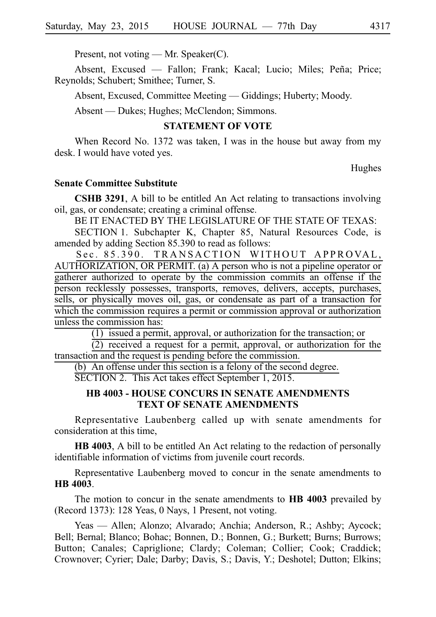Present, not voting — Mr. Speaker(C).

Absent, Excused — Fallon; Frank; Kacal; Lucio; Miles; Peña; Price; Reynolds; Schubert; Smithee; Turner, S.

Absent, Excused, Committee Meeting — Giddings; Huberty; Moody.

Absent — Dukes; Hughes; McClendon; Simmons.

## **STATEMENT OF VOTE**

When Record No. 1372 was taken, I was in the house but away from my desk. I would have voted yes.

Hughes

#### **Senate Committee Substitute**

**CSHB 3291**, A bill to be entitled An Act relating to transactions involving oil, gas, or condensate; creating a criminal offense.

BE IT ENACTED BY THE LEGISLATURE OF THE STATE OF TEXAS:

SECTION 1. Subchapter K, Chapter 85, Natural Resources Code, is amended by adding Section 85.390 to read as follows:

Sec. 85.390. TRANSACTION WITHOUT APPROVAL, AUTHORIZATION, OR PERMIT. (a) A person who is not a pipeline operator or gatherer authorized to operate by the commission commits an offense if the person recklessly possesses, transports, removes, delivers, accepts, purchases, sells, or physically moves oil, gas, or condensate as part of a transaction for which the commission requires a permit or commission approval or authorization unless the commission has:

 $(1)$  issued a permit, approval, or authorization for the transaction; or

 $(2)$  received a request for a permit, approval, or authorization for the transaction and the request is pending before the commission.

 $(b)$  An offense under this section is a felony of the second degree.

SECTION 2. This Act takes effect September 1, 2015.

### **HB 4003 - HOUSE CONCURS IN SENATE AMENDMENTS TEXT OF SENATE AMENDMENTS**

Representative Laubenberg called up with senate amendments for consideration at this time,

**HB 4003**, A bill to be entitled An Act relating to the redaction of personally identifiable information of victims from juvenile court records.

Representative Laubenberg moved to concur in the senate amendments to **HBi4003**.

The motion to concur in the senate amendments to **HB 4003** prevailed by (Record 1373): 128 Yeas, 0 Nays, 1 Present, not voting.

Yeas — Allen; Alonzo; Alvarado; Anchia; Anderson, R.; Ashby; Aycock; Bell; Bernal; Blanco; Bohac; Bonnen, D.; Bonnen, G.; Burkett; Burns; Burrows; Button; Canales; Capriglione; Clardy; Coleman; Collier; Cook; Craddick; Crownover; Cyrier; Dale; Darby; Davis, S.; Davis, Y.; Deshotel; Dutton; Elkins;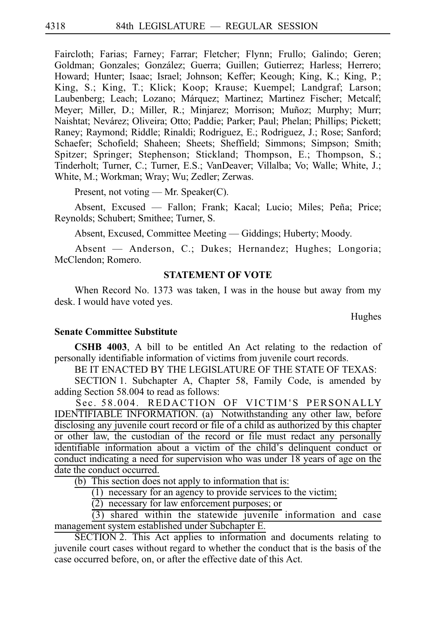Faircloth; Farias; Farney; Farrar; Fletcher; Flynn; Frullo; Galindo; Geren; Goldman; Gonzales; González; Guerra; Guillen; Gutierrez; Harless; Herrero; Howard; Hunter; Isaac; Israel; Johnson; Keffer; Keough; King, K.; King, P.; King, S.; King, T.; Klick; Koop; Krause; Kuempel; Landgraf; Larson; Laubenberg; Leach; Lozano; Márquez; Martinez; Martinez Fischer; Metcalf; Meyer; Miller, D.; Miller, R.; Minjarez; Morrison; Muñoz; Murphy; Murr; Naishtat; Nevárez; Oliveira; Otto; Paddie; Parker; Paul; Phelan; Phillips; Pickett; Raney; Raymond; Riddle; Rinaldi; Rodriguez, E.; Rodriguez, J.; Rose; Sanford; Schaefer; Schofield; Shaheen; Sheets; Sheffield; Simmons; Simpson; Smith; Spitzer; Springer; Stephenson; Stickland; Thompson, E.; Thompson, S.; Tinderholt; Turner, C.; Turner, E.S.; VanDeaver; Villalba; Vo; Walle; White, J.; White, M.; Workman; Wray; Wu; Zedler; Zerwas.

Present, not voting — Mr. Speaker(C).

Absent, Excused — Fallon; Frank; Kacal; Lucio; Miles; Peña; Price; Reynolds; Schubert; Smithee; Turner, S.

Absent, Excused, Committee Meeting — Giddings; Huberty; Moody.

Absent — Anderson, C.; Dukes; Hernandez; Hughes; Longoria; McClendon; Romero.

#### **STATEMENT OF VOTE**

When Record No. 1373 was taken, I was in the house but away from my desk. I would have voted yes.

Hughes

#### **Senate Committee Substitute**

**CSHB 4003**, A bill to be entitled An Act relating to the redaction of personally identifiable information of victims from juvenile court records.

BE IT ENACTED BY THE LEGISLATURE OF THE STATE OF TEXAS:

SECTION 1. Subchapter A, Chapter 58, Family Code, is amended by adding Section 58.004 to read as follows:

Sec. 58.004. REDACTION OF VICTIM'S PERSONALLY IDENTIFIABLE INFORMATION. (a) Notwithstanding any other law, before disclosing any juvenile court record or file of a child as authorized by this chapter or other law, the custodian of the record or file must redact any personally identifiable information about a victim of the child's delinquent conduct or conduct indicating a need for supervision who was under 18 years of age on the date the conduct occurred.

(b) This section does not apply to information that is:

(1) necessary for an agency to provide services to the victim;

 $(2)$  necessary for law enforcement purposes; or

 $(3)$  shared within the statewide juvenile information and case management system established under Subchapter E.

SECTION 2. This Act applies to information and documents relating to juvenile court cases without regard to whether the conduct that is the basis of the case occurred before, on, or after the effective date of this Act.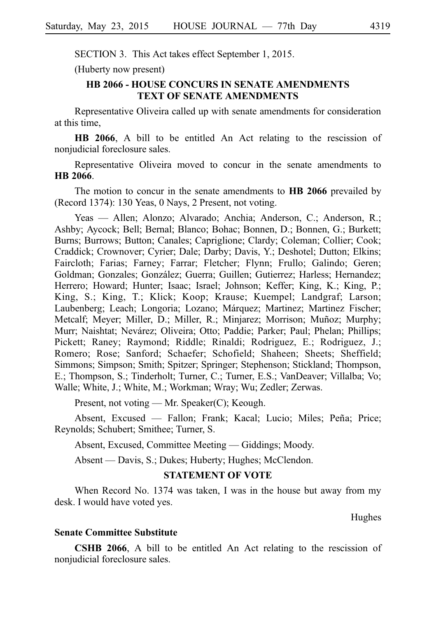SECTION 3. This Act takes effect September 1, 2015.

(Huberty now present)

### **HB 2066 - HOUSE CONCURS IN SENATE AMENDMENTS TEXT OF SENATE AMENDMENTS**

Representative Oliveira called up with senate amendments for consideration at this time,

**HB 2066**, A bill to be entitled An Act relating to the rescission of nonjudicial foreclosure sales.

Representative Oliveira moved to concur in the senate amendments to **HB** 2066.

The motion to concur in the senate amendments to **HB 2066** prevailed by (Record 1374): 130 Yeas, 0 Nays, 2 Present, not voting.

Yeas — Allen; Alonzo; Alvarado; Anchia; Anderson, C.; Anderson, R.; Ashby; Aycock; Bell; Bernal; Blanco; Bohac; Bonnen, D.; Bonnen, G.; Burkett; Burns; Burrows; Button; Canales; Capriglione; Clardy; Coleman; Collier; Cook; Craddick; Crownover; Cyrier; Dale; Darby; Davis, Y.; Deshotel; Dutton; Elkins; Faircloth; Farias; Farney; Farrar; Fletcher; Flynn; Frullo; Galindo; Geren; Goldman; Gonzales; González; Guerra; Guillen; Gutierrez; Harless; Hernandez; Herrero; Howard; Hunter; Isaac; Israel; Johnson; Keffer; King, K.; King, P.; King, S.; King, T.; Klick; Koop; Krause; Kuempel; Landgraf; Larson; Laubenberg; Leach; Longoria; Lozano; Márquez; Martinez; Martinez Fischer; Metcalf; Meyer; Miller, D.; Miller, R.; Minjarez; Morrison; Muñoz; Murphy; Murr; Naishtat; Nevárez; Oliveira; Otto; Paddie; Parker; Paul; Phelan; Phillips; Pickett; Raney; Raymond; Riddle; Rinaldi; Rodriguez, E.; Rodriguez, J.; Romero; Rose; Sanford; Schaefer; Schofield; Shaheen; Sheets; Sheffield; Simmons; Simpson; Smith; Spitzer; Springer; Stephenson; Stickland; Thompson, E.; Thompson, S.; Tinderholt; Turner, C.; Turner, E.S.; VanDeaver; Villalba; Vo; Walle; White, J.; White, M.; Workman; Wray; Wu; Zedler; Zerwas.

Present, not voting — Mr. Speaker(C); Keough.

Absent, Excused — Fallon; Frank; Kacal; Lucio; Miles; Peña; Price; Reynolds; Schubert; Smithee; Turner, S.

Absent, Excused, Committee Meeting — Giddings; Moody.

Absent — Davis, S.; Dukes; Huberty; Hughes; McClendon.

#### **STATEMENT OF VOTE**

When Record No. 1374 was taken, I was in the house but away from my desk. I would have voted yes.

Hughes

#### **Senate Committee Substitute**

**CSHB 2066**, A bill to be entitled An Act relating to the rescission of nonjudicial foreclosure sales.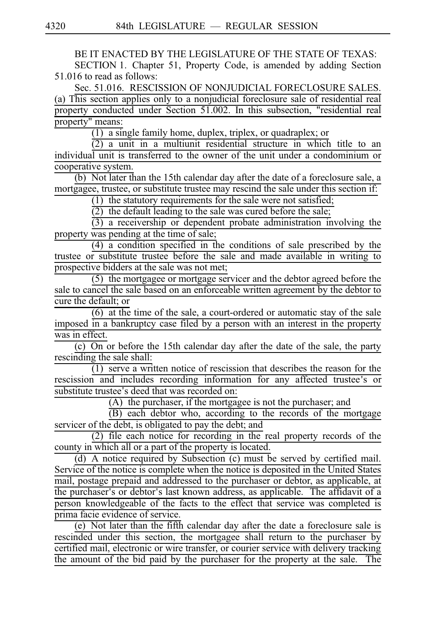BE IT ENACTED BY THE LEGISLATURE OF THE STATE OF TEXAS:

SECTION 1. Chapter 51, Property Code, is amended by adding Section 51.016 to read as follows:

Sec. 51.016. RESCISSION OF NONJUDICIAL FORECLOSURE SALES. (a) This section applies only to a nonjudicial foreclosure sale of residential real property conducted under Section 51.002. In this subsection, "residential real property" means:

 $(1)$  a single family home, duplex, triplex, or quadraplex; or

 $\overline{(2)}$  a unit in a multiunit residential structure in which title to an individual unit is transferred to the owner of the unit under a condominium or cooperative system.

(b) Not later than the 15th calendar day after the date of a foreclosure sale, a mortgagee, trustee, or substitute trustee may rescind the sale under this section if:

 $(1)$  the statutory requirements for the sale were not satisfied;

 $(2)$  the default leading to the sale was cured before the sale;

 $\overline{(3)}$  a receivership or dependent probate administration involving the property was pending at the time of sale;

 $\overline{(4)}$  a condition specified in the conditions of sale prescribed by the trustee or substitute trustee before the sale and made available in writing to prospective bidders at the sale was not met;

 $(5)$  the mortgagee or mortgage servicer and the debtor agreed before the sale to cancel the sale based on an enforceable written agreement by the debtor to cure the default; or

 $\overline{(6)}$  at the time of the sale, a court-ordered or automatic stay of the sale imposed in a bankruptcy case filed by a person with an interest in the property was in effect.

 $(c)$  On or before the 15th calendar day after the date of the sale, the party rescinding the sale shall:

 $(1)$  serve a written notice of rescission that describes the reason for the rescission and includes recording information for any affected trustee's or substitute trustee's deed that was recorded on:

 $(A)$  the purchaser, if the mortgagee is not the purchaser; and

 $\overline{(B)}$  each debtor who, according to the records of the mortgage servicer of the debt, is obligated to pay the debt; and

 $(2)$  file each notice for recording in the real property records of the county in which all or a part of the property is located.

(d) A notice required by Subsection (c) must be served by certified mail. Service of the notice is complete when the notice is deposited in the United States mail, postage prepaid and addressed to the purchaser or debtor, as applicable, at the purchaser's or debtor's last known address, as applicable. The affidavit of a person knowledgeable of the facts to the effect that service was completed is prima facie evidence of service.

 $(e)$  Not later than the fifth calendar day after the date a foreclosure sale is rescinded under this section, the mortgagee shall return to the purchaser by certified mail, electronic or wire transfer, or courier service with delivery tracking the amount of the bid paid by the purchaser for the property at the sale. The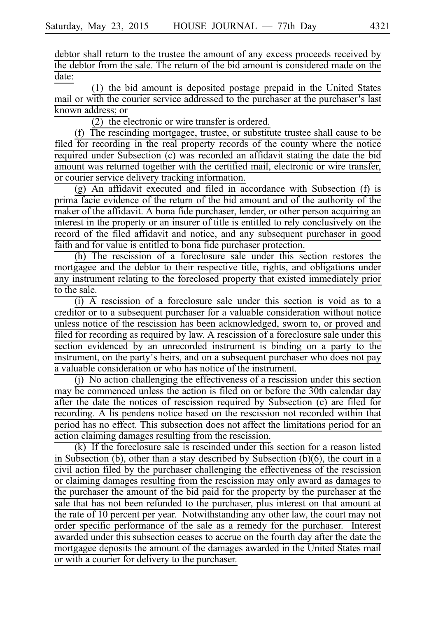debtor shall return to the trustee the amount of any excess proceeds received by the debtor from the sale. The return of the bid amount is considered made on the date:

 $(1)$  the bid amount is deposited postage prepaid in the United States mail or with the courier service addressed to the purchaser at the purchaser's last known address; or

 $(2)$  the electronic or wire transfer is ordered.

(f) The rescinding mortgagee, trustee, or substitute trustee shall cause to be filed for recording in the real property records of the county where the notice required under Subsection (c) was recorded an affidavit stating the date the bid amount was returned together with the certified mail, electronic or wire transfer, or courier service delivery tracking information.

 $(g)$  An affidavit executed and filed in accordance with Subsection (f) is prima facie evidence of the return of the bid amount and of the authority of the maker of the affidavit. A bona fide purchaser, lender, or other person acquiring an interest in the property or an insurer of title is entitled to rely conclusively on the record of the filed affidavit and notice, and any subsequent purchaser in good faith and for value is entitled to bona fide purchaser protection.

 $(h)$  The rescission of a foreclosure sale under this section restores the mortgagee and the debtor to their respective title, rights, and obligations under any instrument relating to the foreclosed property that existed immediately prior to the sale.

 $(i)$  A rescission of a foreclosure sale under this section is void as to a creditor or to a subsequent purchaser for a valuable consideration without notice unless notice of the rescission has been acknowledged, sworn to, or proved and filed for recording as required by law. A rescission of a foreclosure sale under this section evidenced by an unrecorded instrument is binding on a party to the instrument, on the party's heirs, and on a subsequent purchaser who does not pay a valuable consideration or who has notice of the instrument.

 $(i)$  No action challenging the effectiveness of a rescission under this section may be commenced unless the action is filed on or before the 30th calendar day after the date the notices of rescission required by Subsection (c) are filed for recording. A lis pendens notice based on the rescission not recorded within that period has no effect. This subsection does not affect the limitations period for an action claiming damages resulting from the rescission.

 $(k)$  If the foreclosure sale is rescinded under this section for a reason listed in Subsection (b), other than a stay described by Subsection (b) $(6)$ , the court in a civil action filed by the purchaser challenging the effectiveness of the rescission or claiming damages resulting from the rescission may only award as damages to the purchaser the amount of the bid paid for the property by the purchaser at the sale that has not been refunded to the purchaser, plus interest on that amount at the rate of 10 percent per year. Notwithstanding any other law, the court may not order specific performance of the sale as a remedy for the purchaser. Interest awarded under this subsection ceases to accrue on the fourth day after the date the mortgagee deposits the amount of the damages awarded in the United States mail or with a courier for delivery to the purchaser.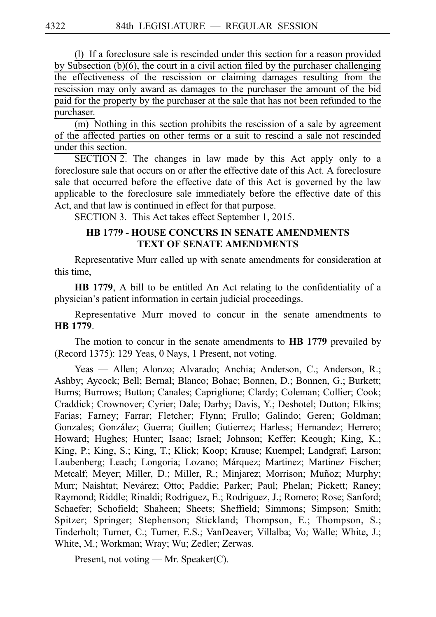(I) If a foreclosure sale is rescinded under this section for a reason provided by Subsection (b)(6), the court in a civil action filed by the purchaser challenging the effectiveness of the rescission or claiming damages resulting from the rescission may only award as damages to the purchaser the amount of the bid paid for the property by the purchaser at the sale that has not been refunded to the purchaser.

(m) Nothing in this section prohibits the rescission of a sale by agreement of the affected parties on other terms or a suit to rescind a sale not rescinded under this section.

SECTION 2. The changes in law made by this Act apply only to a foreclosure sale that occurs on or after the effective date of this Act. A foreclosure sale that occurred before the effective date of this Act is governed by the law applicable to the foreclosure sale immediately before the effective date of this Act, and that law is continued in effect for that purpose.

SECTION 3. This Act takes effect September 1, 2015.

# **HB 1779 - HOUSE CONCURS IN SENATE AMENDMENTS TEXT OF SENATE AMENDMENTS**

Representative Murr called up with senate amendments for consideration at this time,

**HB 1779**, A bill to be entitled An Act relating to the confidentiality of a physician's patient information in certain judicial proceedings.

Representative Murr moved to concur in the senate amendments to **HBi1779**.

The motion to concur in the senate amendments to **HB 1779** prevailed by (Record 1375): 129 Yeas, 0 Nays, 1 Present, not voting.

Yeas — Allen; Alonzo; Alvarado; Anchia; Anderson, C.; Anderson, R.; Ashby; Aycock; Bell; Bernal; Blanco; Bohac; Bonnen, D.; Bonnen, G.; Burkett; Burns; Burrows; Button; Canales; Capriglione; Clardy; Coleman; Collier; Cook; Craddick; Crownover; Cyrier; Dale; Darby; Davis, Y.; Deshotel; Dutton; Elkins; Farias; Farney; Farrar; Fletcher; Flynn; Frullo; Galindo; Geren; Goldman; Gonzales; González; Guerra; Guillen; Gutierrez; Harless; Hernandez; Herrero; Howard; Hughes; Hunter; Isaac; Israel; Johnson; Keffer; Keough; King, K.; King, P.; King, S.; King, T.; Klick; Koop; Krause; Kuempel; Landgraf; Larson; Laubenberg; Leach; Longoria; Lozano; Márquez; Martinez; Martinez Fischer; Metcalf; Meyer; Miller, D.; Miller, R.; Minjarez; Morrison; Muñoz; Murphy; Murr; Naishtat; Nevárez; Otto; Paddie; Parker; Paul; Phelan; Pickett; Raney; Raymond; Riddle; Rinaldi; Rodriguez, E.; Rodriguez, J.; Romero; Rose; Sanford; Schaefer; Schofield; Shaheen; Sheets; Sheffield; Simmons; Simpson; Smith; Spitzer; Springer; Stephenson; Stickland; Thompson, E.; Thompson, S.; Tinderholt; Turner, C.; Turner, E.S.; VanDeaver; Villalba; Vo; Walle; White, J.; White, M.; Workman; Wray; Wu; Zedler; Zerwas.

Present, not voting — Mr. Speaker(C).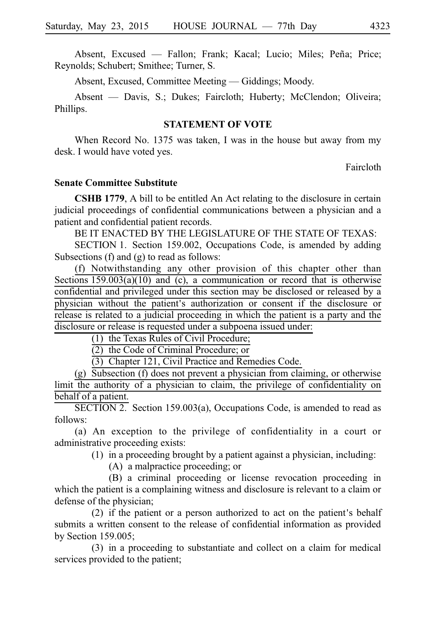Absent, Excused — Fallon; Frank; Kacal; Lucio; Miles; Peña; Price; Reynolds; Schubert; Smithee; Turner, S.

Absent, Excused, Committee Meeting — Giddings; Moody.

Absent — Davis, S.; Dukes; Faircloth; Huberty; McClendon; Oliveira; Phillips.

### **STATEMENT OF VOTE**

When Record No. 1375 was taken, I was in the house but away from my desk. I would have voted yes.

Faircloth

#### **Senate Committee Substitute**

**CSHB 1779**, A bill to be entitled An Act relating to the disclosure in certain judicial proceedings of confidential communications between a physician and a patient and confidential patient records.

BE IT ENACTED BY THE LEGISLATURE OF THE STATE OF TEXAS:

SECTION 1. Section 159.002, Occupations Code, is amended by adding Subsections (f) and (g) to read as follows:

(f) Notwithstanding any other provision of this chapter other than Sections  $159.003(a)(10)$  and (c), a communication or record that is otherwise confidential and privileged under this section may be disclosed or released by a physician without the patient's authorization or consent if the disclosure or release is related to a judicial proceeding in which the patient is a party and the disclosure or release is requested under a subpoena issued under:

 $(1)$  the Texas Rules of Civil Procedure;

 $(2)$  the Code of Criminal Procedure; or

(3) Chapter 121, Civil Practice and Remedies Code.

(g)  $\overline{\text{Subsection}}$  (f) does not prevent a physician from claiming, or otherwise limit the authority of a physician to claim, the privilege of confidentiality on behalf of a patient.

 $SECTION 2$ . Section 159.003(a), Occupations Code, is amended to read as follows:

(a) An exception to the privilege of confidentiality in a court or administrative proceeding exists:

 $(1)$  in a proceeding brought by a patient against a physician, including:

 $(A)$  a malpractice proceeding; or

(B) a criminal proceeding or license revocation proceeding in which the patient is a complaining witness and disclosure is relevant to a claim or defense of the physician;

 $(2)$  if the patient or a person authorized to act on the patient's behalf submits a written consent to the release of confidential information as provided by Section 159.005;

(3) in a proceeding to substantiate and collect on a claim for medical services provided to the patient;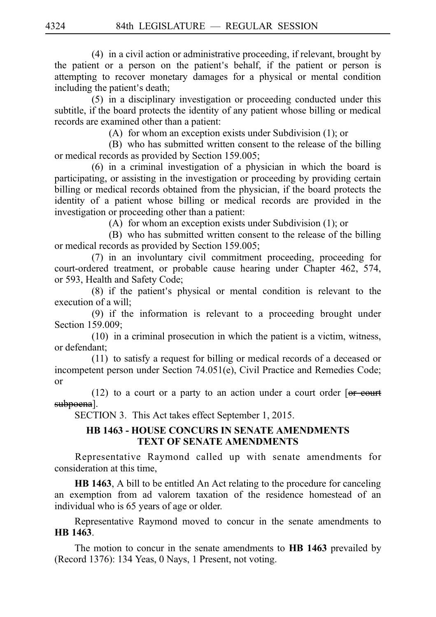$(4)$  in a civil action or administrative proceeding, if relevant, brought by the patient or a person on the patient's behalf, if the patient or person is attempting to recover monetary damages for a physical or mental condition including the patient's death;

 $(5)$  in a disciplinary investigation or proceeding conducted under this subtitle, if the board protects the identity of any patient whose billing or medical records are examined other than a patient:

(A) for whom an exception exists under Subdivision  $(1)$ ; or

 $(B)$  who has submitted written consent to the release of the billing or medical records as provided by Section 159.005;

 $(6)$  in a criminal investigation of a physician in which the board is participating, or assisting in the investigation or proceeding by providing certain billing or medical records obtained from the physician, if the board protects the identity of a patient whose billing or medical records are provided in the investigation or proceeding other than a patient:

(A) for whom an exception exists under Subdivision  $(1)$ ; or

(B) who has submitted written consent to the release of the billing or medical records as provided by Section 159.005;

(7) in an involuntary civil commitment proceeding, proceeding for court-ordered treatment, or probable cause hearing under Chapter 462, 574, or 593, Health and Safety Code;

 $(8)$  if the patient's physical or mental condition is relevant to the execution of a will;

 $(9)$  if the information is relevant to a proceeding brought under Section 159.009;

 $(10)$  in a criminal prosecution in which the patient is a victim, witness, or defendant;

 $(11)$  to satisfy a request for billing or medical records of a deceased or incompetent person under Section 74.051(e), Civil Practice and Remedies Code; or

 $(12)$  to a court or a party to an action under a court order [or court subpoena].

SECTION 3. This Act takes effect September 1, 2015.

# **HB 1463 - HOUSE CONCURS IN SENATE AMENDMENTS TEXT OF SENATE AMENDMENTS**

Representative Raymond called up with senate amendments for consideration at this time,

**HB 1463**, A bill to be entitled An Act relating to the procedure for canceling an exemption from ad valorem taxation of the residence homestead of an individual who is 65 years of age or older.

Representative Raymond moved to concur in the senate amendments to **HBi1463**.

The motion to concur in the senate amendments to **HB 1463** prevailed by (Record 1376): 134 Yeas, 0 Nays, 1 Present, not voting.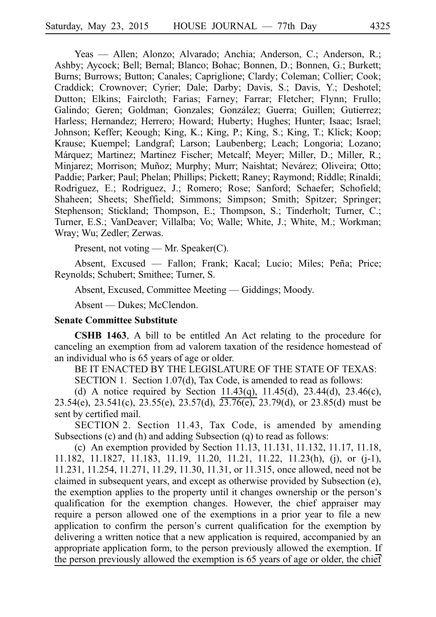Yeas — Allen; Alonzo; Alvarado; Anchia; Anderson, C.; Anderson, R.; Ashby; Aycock; Bell; Bernal; Blanco; Bohac; Bonnen, D.; Bonnen, G.; Burkett; Burns; Burrows; Button; Canales; Capriglione; Clardy; Coleman; Collier; Cook; Craddick; Crownover; Cyrier; Dale; Darby; Davis, S.; Davis, Y.; Deshotel; Dutton; Elkins; Faircloth; Farias; Farney; Farrar; Fletcher; Flynn; Frullo; Galindo: Geren; Goldman; Gonzales; González; Guerra; Guillen; Gutierrez; Harless; Hernandez; Herrero; Howard; Huberty; Hughes; Hunter; Isaac; Israel; Johnson; Keffer; Keough; King, K.; King, P.; King, S.; King, T.; Klick; Koop; Krause; Kuempel; Landgraf; Larson; Laubenberg; Leach; Longoria; Lozano; Márquez; Martinez; Martinez Fischer; Metcalf; Meyer; Miller, D.; Miller, R.; Minjarez; Morrison; Muñoz; Murphy; Murr; Naishtat; Nevárez; Oliveira; Otto; Paddie; Parker; Paul; Phelan; Phillips; Pickett; Raney; Raymond; Riddle; Rinaldi; Rodriguez, E.; Rodriguez, J.; Romero; Rose; Sanford; Schaefer; Schofield; Shaheen; Sheets; Sheffield; Simmons; Simpson; Smith; Spitzer; Springer; Stephenson; Stickland; Thompson, E.; Thompson, S.; Tinderholt; Turner, C.; Turner, E.S.; VanDeaver; Villalba; Vo; Walle; White, J.; White, M.; Workman; Wray; Wu; Zedler; Zerwas.

Present, not voting — Mr. Speaker(C).

Absent, Excused — Fallon; Frank; Kacal; Lucio; Miles; Peña; Price; Reynolds; Schubert; Smithee; Turner, S.

Absent, Excused, Committee Meeting — Giddings; Moody.

Absent — Dukes; McClendon.

### **Senate Committee Substitute**

**CSHB 1463**, A bill to be entitled An Act relating to the procedure for canceling an exemption from ad valorem taxation of the residence homestead of an individual who is 65 years of age or older.

BE IT ENACTED BY THE LEGISLATURE OF THE STATE OF TEXAS:

SECTION 1. Section 1.07(d), Tax Code, is amended to read as follows:

(d) A notice required by Section 11.43(q), 11.45(d), 23.44(d), 23.46(c), 23.54(e), 23.541(c), 23.55(e), 23.57(d), 23.76(e), 23.79(d), or 23.85(d) must be sent by certified mail.

SECTION 2. Section 11.43, Tax Code, is amended by amending Subsections (c) and (h) and adding Subsection (q) to read as follows:

(c) An exemption provided by Section 11.13, 11.131, 11.132, 11.17, 11.18, 11.182, 11.1827, 11.183, 11.19, 11.20, 11.21, 11.22, 11.23(h), (j), or (j-1), 11.231, 11.254, 11.271, 11.29, 11.30, 11.31, or 11.315, once allowed, need not be claimed in subsequent years, and except as otherwise provided by Subsection (e), the exemption applies to the property until it changes ownership or the person's qualification for the exemption changes. However, the chief appraiser may require a person allowed one of the exemptions in a prior year to file a new application to confirm the person's current qualification for the exemption by delivering a written notice that a new application is required, accompanied by an appropriate application form, to the person previously allowed the exemption. If the person previously allowed the exemption is 65 years of age or older, the chief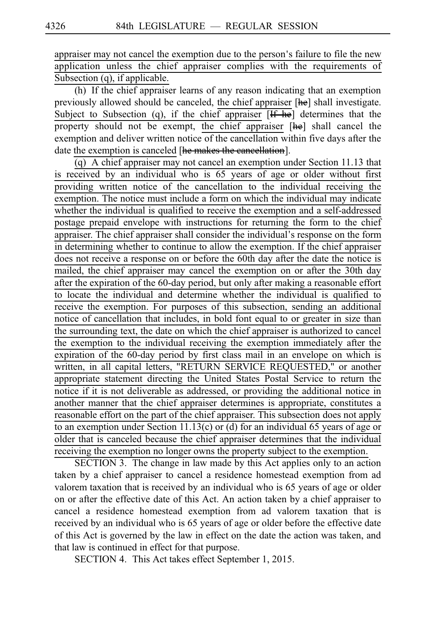appraiser may not cancel the exemption due to the person's failure to file the new application unless the chief appraiser complies with the requirements of Subsection (q), if applicable.

 $(h)$  If the chief appraiser learns of any reason indicating that an exemption previously allowed should be canceled, the chief appraiser [he] shall investigate. Subject to Subsection (q), if the chief appraiser  $[\overline{If \text{ he}}]$  determines that the property should not be exempt, the chief appraiser [he] shall cancel the exemption and deliver written notice of the cancellation within five days after the date the exemption is canceled [he makes the cancellation].

 $(q)$  A chief appraiser may not cancel an exemption under Section 11.13 that is received by an individual who is 65 years of age or older without first providing written notice of the cancellation to the individual receiving the exemption. The notice must include a form on which the individual may indicate whether the individual is qualified to receive the exemption and a self-addressed postage prepaid envelope with instructions for returning the form to the chief appraiser. The chief appraiser shall consider the individual's response on the form in determining whether to continue to allow the exemption. If the chief appraiser does not receive a response on or before the 60th day after the date the notice is mailed, the chief appraiser may cancel the exemption on or after the 30th day after the expiration of the 60-day period, but only after making a reasonable effort to locate the individual and determine whether the individual is qualified to receive the exemption. For purposes of this subsection, sending an additional notice of cancellation that includes, in bold font equal to or greater in size than the surrounding text, the date on which the chief appraiser is authorized to cancel the exemption to the individual receiving the exemption immediately after the expiration of the 60-day period by first class mail in an envelope on which is written, in all capital letters, "RETURN SERVICE REQUESTED," or another appropriate statement directing the United States Postal Service to return the notice if it is not deliverable as addressed, or providing the additional notice in another manner that the chief appraiser determines is appropriate, constitutes a reasonable effort on the part of the chief appraiser. This subsection does not apply to an exemption under Section 11.13(c) or (d) for an individual 65 years of age or older that is canceled because the chief appraiser determines that the individual receiving the exemption no longer owns the property subject to the exemption.

SECTION 3. The change in law made by this Act applies only to an action taken by a chief appraiser to cancel a residence homestead exemption from ad valorem taxation that is received by an individual who is 65 years of age or older on or after the effective date of this Act. An action taken by a chief appraiser to cancel a residence homestead exemption from ad valorem taxation that is received by an individual who is 65 years of age or older before the effective date of this Act is governed by the law in effect on the date the action was taken, and that law is continued in effect for that purpose.

SECTION 4. This Act takes effect September 1, 2015.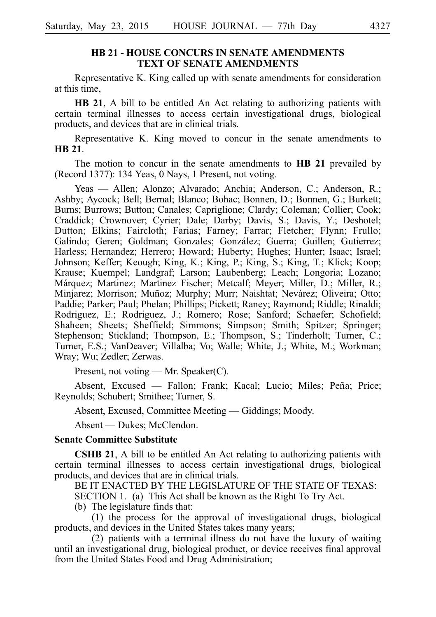#### **HB 21 - HOUSE CONCURS IN SENATE AMENDMENTS TEXT OF SENATE AMENDMENTS**

Representative K. King called up with senate amendments for consideration at this time,

**HB 21**, A bill to be entitled An Act relating to authorizing patients with certain terminal illnesses to access certain investigational drugs, biological products, and devices that are in clinical trials.

Representative K. King moved to concur in the senate amendments to **HB** 21.

The motion to concur in the senate amendments to **HB 21** prevailed by (Record 1377): 134 Yeas, 0 Nays, 1 Present, not voting.

Yeas — Allen; Alonzo; Alvarado; Anchia; Anderson, C.; Anderson, R.; Ashby; Aycock; Bell; Bernal; Blanco; Bohac; Bonnen, D.; Bonnen, G.; Burkett; Burns; Burrows; Button; Canales; Capriglione; Clardy; Coleman; Collier; Cook; Craddick; Crownover; Cyrier; Dale; Darby; Davis, S.; Davis, Y.; Deshotel; Dutton; Elkins; Faircloth; Farias; Farney; Farrar; Fletcher; Flynn; Frullo; Galindo; Geren; Goldman; Gonzales; González; Guerra; Guillen; Gutierrez; Harless; Hernandez; Herrero; Howard; Huberty; Hughes; Hunter; Isaac; Israel; Johnson; Keffer; Keough; King, K.; King, P.; King, S.; King, T.; Klick; Koop; Krause; Kuempel; Landgraf; Larson; Laubenberg; Leach; Longoria; Lozano; Márquez; Martinez; Martinez Fischer; Metcalf; Meyer; Miller, D.; Miller, R.; Minjarez; Morrison; Muñoz; Murphy; Murr; Naishtat; Nevárez; Oliveira; Otto; Paddie; Parker; Paul; Phelan; Phillips; Pickett; Raney; Raymond; Riddle; Rinaldi; Rodriguez, E.; Rodriguez, J.; Romero; Rose; Sanford; Schaefer; Schofield; Shaheen; Sheets; Sheffield; Simmons; Simpson; Smith; Spitzer; Springer; Stephenson; Stickland; Thompson, E.; Thompson, S.; Tinderholt; Turner, C.; Turner, E.S.; VanDeaver; Villalba; Vo; Walle; White, J.; White, M.; Workman; Wray; Wu; Zedler; Zerwas.

Present, not voting — Mr. Speaker(C).

Absent, Excused — Fallon; Frank; Kacal; Lucio; Miles; Peña; Price; Reynolds; Schubert; Smithee; Turner, S.

Absent, Excused, Committee Meeting — Giddings; Moody.

Absent — Dukes; McClendon.

#### **Senate Committee Substitute**

**CSHB 21**, A bill to be entitled An Act relating to authorizing patients with certain terminal illnesses to access certain investigational drugs, biological products, and devices that are in clinical trials.

BE IT ENACTED BY THE LEGISLATURE OF THE STATE OF TEXAS:

SECTION 1. (a) This Act shall be known as the Right To Try Act.

(b) The legislature finds that:

 $(1)$  the process for the approval of investigational drugs, biological products, and devices in the United States takes many years;

 $(2)$  patients with a terminal illness do not have the luxury of waiting until an investigational drug, biological product, or device receives final approval from the United States Food and Drug Administration;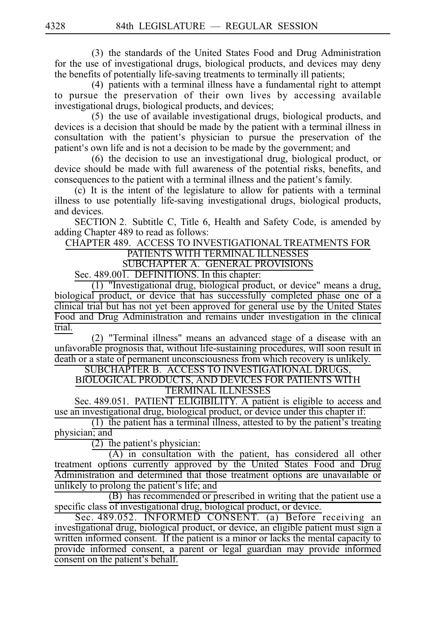(3) the standards of the United States Food and Drug Administration for the use of investigational drugs, biological products, and devices may deny the benefits of potentially life-saving treatments to terminally ill patients;

 $(4)$  patients with a terminal illness have a fundamental right to attempt to pursue the preservation of their own lives by accessing available investigational drugs, biological products, and devices;

(5) the use of available investigational drugs, biological products, and devices is a decision that should be made by the patient with a terminal illness in consultation with the patient's physician to pursue the preservation of the patient's own life and is not a decision to be made by the government; and

 $(6)$  the decision to use an investigational drug, biological product, or device should be made with full awareness of the potential risks, benefits, and consequences to the patient with a terminal illness and the patient's family.

(c) It is the intent of the legislature to allow for patients with a terminal illness to use potentially life-saving investigational drugs, biological products, and devices.

SECTION 2. Subtitle C, Title 6, Health and Safety Code, is amended by adding Chapter 489 to read as follows:

# CHAPTER 489. ACCESS TO INVESTIGATIONAL TREATMENTS FOR PATIENTS WITH TERMINAL ILLNESSES

# SUBCHAPTER A. GENERAL PROVISIONS

Sec. 489.001. DEFINITIONS. In this chapter:

 $(1)$  "Investigational drug, biological product, or device" means a drug, biological product, or device that has successfully completed phase one of a clinical trial but has not yet been approved for general use by the United States Food and Drug Administration and remains under investigation in the clinical trial.

 $(2)$  "Terminal illness" means an advanced stage of a disease with an unfavorable prognosis that, without life-sustaining procedures, will soon result in death or a state of permanent unconsciousness from which recovery is unlikely.

#### SUBCHAPTER B. ACCESS TO INVESTIGATIONAL DRUGS, BIOLOGICAL PRODUCTS, AND DEVICES FOR PATIENTS WITH TERMINAL ILLNESSES

Sec. 489.051. PATIENT ELIGIBILITY. A patient is eligible to access and use an investigational drug, biological product, or device under this chapter if:

 $(1)$  the patient has a terminal illness, attested to by the patient's treating physician; and

 $(2)$  the patient's physician:

 $(A)$  in consultation with the patient, has considered all other treatment options currently approved by the United States Food and Drug Administration and determined that those treatment options are unavailable or unlikely to prolong the patient's life; and

(B) has recommended or prescribed in writing that the patient use a specific class of investigational drug, biological product, or device.

Sec. 489.052. INFORMED CONSENT. (a) Before receiving an investigational drug, biological product, or device, an eligible patient must sign a written informed consent. If the patient is a minor or lacks the mental capacity to provide informed consent, a parent or legal guardian may provide informed consent on the patient's behalf.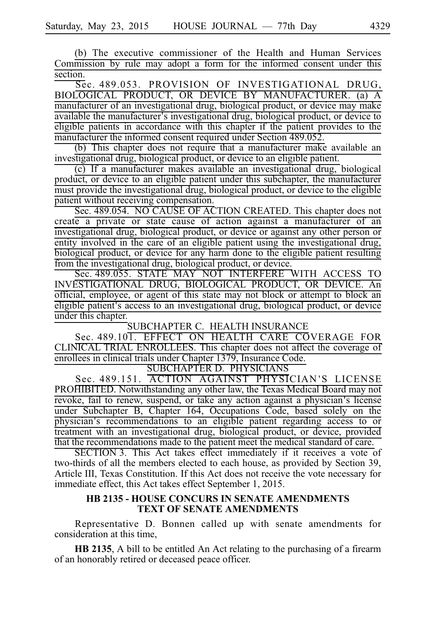(b) The executive commissioner of the Health and Human Services Commission by rule may adopt a form for the informed consent under this section.

Sec. 489.053. PROVISION OF INVESTIGATIONAL DRUG, BIOLOGICAL PRODUCT, OR DEVICE BY MANUFACTURER. (a) A manufacturer of an investigational drug, biological product, or device may make available the manufacturer's investigational drug, biological product, or device to eligible patients in accordance with this chapter if the patient provides to the manufacturer the informed consent required under Section 489.052.

(b) This chapter does not require that a manufacturer make available an investigational drug, biological product, or device to an eligible patient.

 $(c)$  If a manufacturer makes available an investigational drug, biological product, or device to an eligible patient under this subchapter, the manufacturer must provide the investigational drug, biological product, or device to the eligible patient without receiving compensation.

Sec. 489.054. NO CAUSE OF ACTION CREATED. This chapter does not create a private or state cause of action against a manufacturer of an investigational drug, biological product, or device or against any other person or entity involved in the care of an eligible patient using the investigational drug, biological product, or device for any harm done to the eligible patient resulting from the investigational drug, biological product, or device.

Sec. 489.055. STATE MAY NOT INTERFERE WITH ACCESS TO INVESTIGATIONAL DRUG, BIOLOGICAL PRODUCT, OR DEVICE. An official, employee, or agent of this state may not block or attempt to block an eligible patient's access to an investigational drug, biological product, or device under this chapter.

SUBCHAPTER C. HEALTH INSURANCE

Sec. 489.101. EFFECT ON HEALTH CARE COVERAGE FOR CLINICAL TRIAL ENROLLEES. This chapter does not affect the coverage of enrollees in clinical trials under Chapter 1379, Insurance Code.

SUBCHAPTER D. PHYSICIANS

Sec. 489.151. ACTION AGAINST PHYSICIAN'S LICENSE PROHIBITED. Notwithstanding any other law, the Texas Medical Board may not revoke, fail to renew, suspend, or take any action against a physician's license under Subchapter B, Chapter 164, Occupations Code, based solely on the physician's recommendations to an eligible patient regarding access to or treatment with an investigational drug, biological product, or device, provided that the recommendations made to the patient meet the medical standard of care.

SECTION 3. This Act takes effect immediately if it receives a vote of two-thirds of all the members elected to each house, as provided by Section 39, Article III, Texas Constitution. If this Act does not receive the vote necessary for immediate effect, this Act takes effect September 1, 2015.

#### **HB 2135 - HOUSE CONCURS IN SENATE AMENDMENTS TEXT OF SENATE AMENDMENTS**

Representative D. Bonnen called up with senate amendments for consideration at this time,

**HB 2135**, A bill to be entitled An Act relating to the purchasing of a firearm of an honorably retired or deceased peace officer.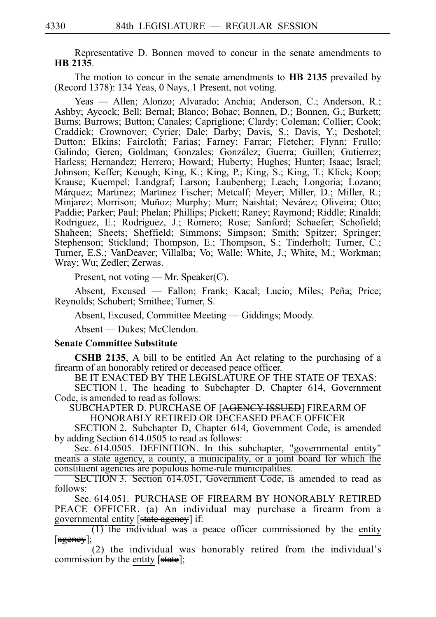Representative D. Bonnen moved to concur in the senate amendments to **HB** 2135.

The motion to concur in the senate amendments to **HB 2135** prevailed by (Record 1378): 134 Yeas, 0 Nays, 1 Present, not voting.

Yeas — Allen; Alonzo; Alvarado; Anchia; Anderson, C.; Anderson, R.; Ashby; Aycock; Bell; Bernal; Blanco; Bohac; Bonnen, D.; Bonnen, G.; Burkett; Burns; Burrows; Button; Canales; Capriglione; Clardy; Coleman; Collier; Cook; Craddick; Crownover; Cyrier; Dale; Darby; Davis, S.; Davis, Y.; Deshotel; Dutton; Elkins; Faircloth; Farias; Farney; Farrar; Fletcher; Flynn; Frullo; Galindo; Geren; Goldman; Gonzales; González; Guerra; Guillen; Gutierrez; Harless; Hernandez; Herrero; Howard; Huberty; Hughes; Hunter; Isaac; Israel; Johnson; Keffer; Keough; King, K.; King, P.; King, S.; King, T.; Klick; Koop; Krause; Kuempel; Landgraf; Larson; Laubenberg; Leach; Longoria; Lozano; Márquez; Martinez; Martinez Fischer; Metcalf; Meyer; Miller, D.; Miller, R.; Minjarez; Morrison; Muñoz; Murphy; Murr; Naishtat; Nevárez; Oliveira; Otto; Paddie; Parker; Paul; Phelan; Phillips; Pickett; Raney; Raymond; Riddle; Rinaldi; Rodriguez, E.; Rodriguez, J.; Romero; Rose; Sanford; Schaefer; Schofield; Shaheen; Sheets; Sheffield; Simmons; Simpson; Smith; Spitzer; Springer; Stephenson; Stickland; Thompson, E.; Thompson, S.; Tinderholt; Turner, C.; Turner, E.S.; VanDeaver; Villalba; Vo; Walle; White, J.; White, M.; Workman; Wray; Wu; Zedler; Zerwas.

Present, not voting — Mr. Speaker(C).

Absent, Excused — Fallon; Frank; Kacal; Lucio; Miles; Peña; Price; Reynolds; Schubert; Smithee; Turner, S.

Absent, Excused, Committee Meeting — Giddings; Moody.

Absent — Dukes; McClendon.

#### **Senate Committee Substitute**

**CSHB 2135**, A bill to be entitled An Act relating to the purchasing of a firearm of an honorably retired or deceased peace officer.

BE IT ENACTED BY THE LEGISLATURE OF THE STATE OF TEXAS:

SECTION 1. The heading to Subchapter D, Chapter 614, Government Code, is amended to read as follows:

SUBCHAPTER D. PURCHASE OF [<del>AGENCY ISSUED</del>] FIREARM OF HONORABLY RETIRED OR DECEASED PEACE OFFICER

SECTION 2. Subchapter D, Chapter 614, Government Code, is amended by adding Section 614.0505 to read as follows:

Sec. 614.0505. DEFINITION. In this subchapter, "governmental entity" means a state agency, a county, a municipality, or a joint board for which the constituent agencies are populous home-rule municipalities.

SECTION 3. Section 614.051, Government Code, is amended to read as follows:

Sec. 614.051. PURCHASE OF FIREARM BY HONORABLY RETIRED PEACE OFFICER. (a) An individual may purchase a firearm from a governmental entity [state agency] if:

 $(1)$  the individual was a peace officer commissioned by the entity [agenev];

(2) the individual was honorably retired from the individual's commission by the entity [state];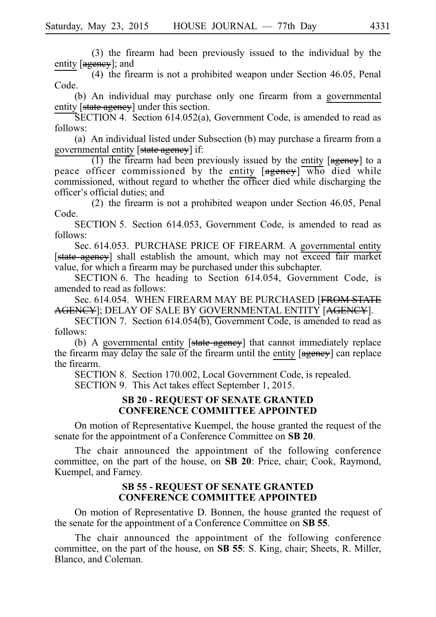(3) the firearm had been previously issued to the individual by the entity [ageney]; and

 $(4)$  the firearm is not a prohibited weapon under Section 46.05, Penal Code.

(b) An individual may purchase only one firearm from a governmental entity [state agency] under this section.

 $SECTION 4. Section 614.052(a)$ , Government Code, is amended to read as follows:

(a) An individual listed under Subsection (b) may purchase a firearm from a governmental entity [state agency] if:

 $\overline{1}$ ) the firearm had been previously issued by the entity [agency] to a peace officer commissioned by the entity  $\left[\frac{1}{2} + \frac{1}{2} + \frac{1}{2} + \frac{1}{2} + \frac{1}{2} + \frac{1}{2} + \frac{1}{2} + \frac{1}{2} + \frac{1}{2} + \frac{1}{2} + \frac{1}{2} + \frac{1}{2} + \frac{1}{2} + \frac{1}{2} + \frac{1}{2} + \frac{1}{2} + \frac{1}{2} + \frac{1}{2} + \frac{1}{2} + \frac{1}{2} + \frac{1}{2} + \frac{1}{2} + \$ commissioned, without regard to whether the officer died while discharging the officer's official duties; and

 $(2)$  the firearm is not a prohibited weapon under Section 46.05, Penal Code.

SECTION 5. Section 614.053, Government Code, is amended to read as follows:

Sec. 614.053. PURCHASE PRICE OF FIREARM. A governmental entity [state agency] shall establish the amount, which may not exceed fair market value, for which a firearm may be purchased under this subchapter.

SECTION 6. The heading to Section 614.054, Government Code, is amended to read as follows:

Sec. 614.054. WHEN FIREARM MAY BE PURCHASED [FROM STATE AGENCY]; DELAY OF SALE BY GOVERNMENTAL ENTITY [AGENCY].

SECTION 7. Section 614.054(b), Government Code, is amended to read as follows:

(b) A governmental entity  $[state\text{ agency}]$  that cannot immediately replace the firearm may delay the sale of the firearm until the entity [ageney] can replace the firearm.

SECTION 8. Section 170.002, Local Government Code, is repealed.

SECTION 9. This Act takes effect September 1, 2015.

## **SB 20 - REQUEST OF SENATE GRANTED CONFERENCE COMMITTEE APPOINTED**

On motion of Representative Kuempel, the house granted the request of the senate for the appointment of a Conference Committee on **SB 20**.

The chair announced the appointment of the following conference committee, on the part of the house, on **SB 20**: Price, chair; Cook, Raymond, Kuempel, and Farney.

## **SB 55 - REQUEST OF SENATE GRANTED CONFERENCE COMMITTEE APPOINTED**

On motion of Representative D. Bonnen, the house granted the request of the senate for the appointment of a Conference Committee on **SB 55**.

The chair announced the appointment of the following conference committee, on the part of the house, on **SB 55**: S. King, chair; Sheets, R. Miller, Blanco, and Coleman.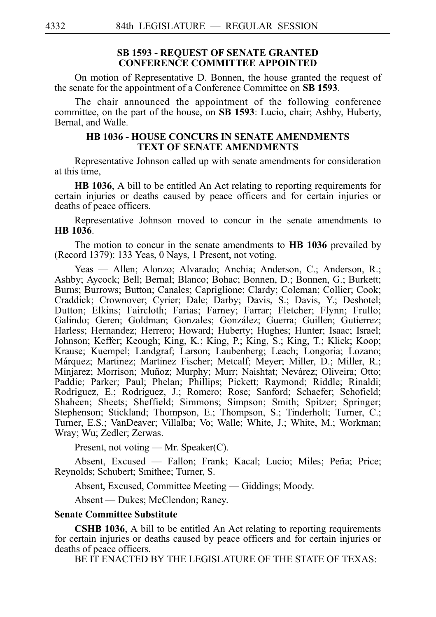## **SB 1593 - REQUEST OF SENATE GRANTED CONFERENCE COMMITTEE APPOINTED**

On motion of Representative D. Bonnen, the house granted the request of the senate for the appointment of a Conference Committee on **SB 1593**.

The chair announced the appointment of the following conference committee, on the part of the house, on **SB 1593**: Lucio, chair; Ashby, Huberty, Bernal, and Walle.

### **HB 1036 - HOUSE CONCURS IN SENATE AMENDMENTS TEXT OF SENATE AMENDMENTS**

Representative Johnson called up with senate amendments for consideration at this time,

**HB 1036**, A bill to be entitled An Act relating to reporting requirements for certain injuries or deaths caused by peace officers and for certain injuries or deaths of peace officers.

Representative Johnson moved to concur in the senate amendments to **HBi1036**.

The motion to concur in the senate amendments to **HB 1036** prevailed by (Record 1379): 133 Yeas, 0 Nays, 1 Present, not voting.

Yeas — Allen; Alonzo; Alvarado; Anchia; Anderson, C.; Anderson, R.; Ashby; Aycock; Bell; Bernal; Blanco; Bohac; Bonnen, D.; Bonnen, G.; Burkett; Burns; Burrows; Button; Canales; Capriglione; Clardy; Coleman; Collier; Cook; Craddick; Crownover; Cyrier; Dale; Darby; Davis, S.; Davis, Y.; Deshotel; Dutton; Elkins; Faircloth; Farias; Farney; Farrar; Fletcher; Flynn; Frullo; Galindo; Geren; Goldman; Gonzales; González; Guerra; Guillen; Gutierrez; Harless; Hernandez; Herrero; Howard; Huberty; Hughes; Hunter; Isaac; Israel; Johnson; Keffer; Keough; King, K.; King, P.; King, S.; King, T.; Klick; Koop; Krause; Kuempel; Landgraf; Larson; Laubenberg; Leach; Longoria; Lozano; Márquez; Martinez; Martinez Fischer; Metcalf; Meyer; Miller, D.; Miller, R.; Minjarez; Morrison; Muñoz; Murphy; Murr; Naishtat; Nevárez; Oliveira; Otto; Paddie; Parker; Paul; Phelan; Phillips; Pickett; Raymond; Riddle; Rinaldi; Rodriguez, E.; Rodriguez, J.; Romero; Rose; Sanford; Schaefer; Schofield; Shaheen; Sheets; Sheffield; Simmons; Simpson; Smith; Spitzer; Springer; Stephenson; Stickland; Thompson, E.; Thompson, S.; Tinderholt; Turner, C.; Turner, E.S.; VanDeaver; Villalba; Vo; Walle; White, J.; White, M.; Workman; Wray; Wu; Zedler; Zerwas.

Present, not voting — Mr. Speaker(C).

Absent, Excused — Fallon; Frank; Kacal; Lucio; Miles; Peña; Price; Reynolds; Schubert; Smithee; Turner, S.

Absent, Excused, Committee Meeting — Giddings; Moody.

Absent — Dukes; McClendon; Raney.

### **Senate Committee Substitute**

**CSHB 1036**, A bill to be entitled An Act relating to reporting requirements for certain injuries or deaths caused by peace officers and for certain injuries or deaths of peace officers.

BE IT ENACTED BY THE LEGISLATURE OF THE STATE OF TEXAS: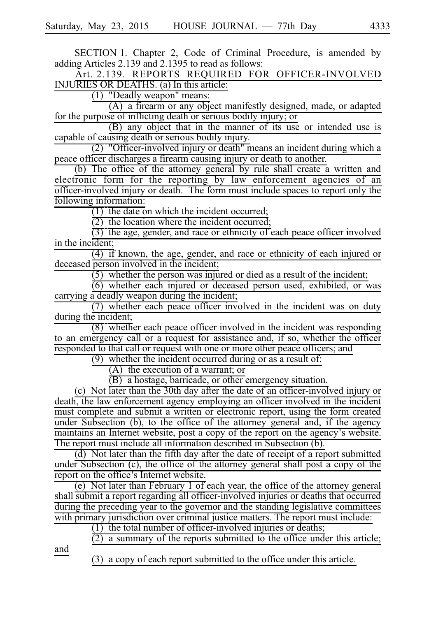SECTION 1. Chapter 2, Code of Criminal Procedure, is amended by adding Articles 2.139 and 2.1395 to read as follows:

Art. 2.139. REPORTS REQUIRED FOR OFFICER-INVOLVED INJURIES OR DEATHS. (a) In this article:

 $(1)$  "Deadly weapon" means:

(A) a firearm or any object manifestly designed, made, or adapted for the purpose of inflicting death or serious bodily injury; or

 $(B)$  any object that in the manner of its use or intended use is capable of causing death or serious bodily injury.

 $(2)$  "Officer-involved injury or death" means an incident during which a peace officer discharges a firearm causing injury or death to another.

(b) The office of the attorney general by rule shall create a written and electronic form for the reporting by law enforcement agencies of an officer-involved injury or death. The form must include spaces to report only the following information:

 $(1)$  the date on which the incident occurred;

 $(2)$  the location where the incident occurred;

 $(3)$  the age, gender, and race or ethnicity of each peace officer involved in the incident;

 $\overline{(4)}$  if known, the age, gender, and race or ethnicity of each injured or deceased person involved in the incident;

 $(5)$  whether the person was injured or died as a result of the incident;

 $\overline{(6)}$  whether each injured or deceased person used, exhibited, or was carrying a deadly weapon during the incident;

 $\overline{(7)}$  whether each peace officer involved in the incident was on duty during the incident;

 $(8)$  whether each peace officer involved in the incident was responding to an emergency call or a request for assistance and, if so, whether the officer responded to that call or request with one or more other peace officers; and

 $(9)$  whether the incident occurred during or as a result of:

 $(A)$  the execution of a warrant; or

 $\overline{(B)}$  a hostage, barricade, or other emergency situation.

(c) Not later than the 30th day after the date of an officer-involved injury or death, the law enforcement agency employing an officer involved in the incident must complete and submit a written or electronic report, using the form created under Subsection (b), to the office of the attorney general and, if the agency maintains an Internet website, post a copy of the report on the agency's website. The report must include all information described in Subsection (b).

 $(d)$ . Not later than the fifth day after the date of receipt of a report submitted under Subsection (c), the office of the attorney general shall post a copy of the report on the office's Internet website.

(e) Not later than February  $1$  of each year, the office of the attorney general shall submit a report regarding all officer-involved injuries or deaths that occurred during the preceding year to the governor and the standing legislative committees with primary jurisdiction over criminal justice matters. The report must include:

 $(1)$  the total number of officer-involved injuries or deaths;

 $(2)$  a summary of the reports submitted to the office under this article;

and

 $(3)$  a copy of each report submitted to the office under this article.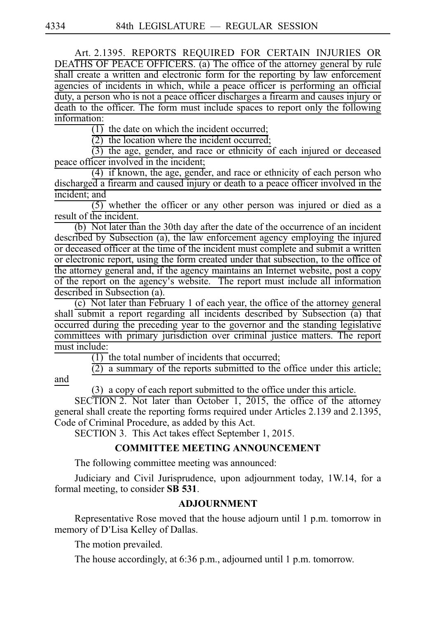Art. 2.1395. REPORTS REQUIRED FOR CERTAIN INJURIES OR DEATHS OF PEACE OFFICERS. (a) The office of the attorney general by rule shall create a written and electronic form for the reporting by law enforcement agencies of incidents in which, while a peace officer is performing an official duty, a person who is not a peace officer discharges a firearm and causes injury or death to the officer. The form must include spaces to report only the following information:

 $\overline{(1)}$  the date on which the incident occurred;

 $(2)$  the location where the incident occurred:

 $(3)$  the age, gender, and race or ethnicity of each injured or deceased peace officer involved in the incident;

(4) if known, the age, gender, and race or ethnicity of each person who discharged a firearm and caused injury or death to a peace officer involved in the incident; and

 $\overline{(5)}$  whether the officer or any other person was injured or died as a result of the incident.

 $(b)$  Not later than the 30th day after the date of the occurrence of an incident described by Subsection (a), the law enforcement agency employing the injured or deceased officer at the time of the incident must complete and submit a written or electronic report, using the form created under that subsection, to the office of the attorney general and, if the agency maintains an Internet website, post a copy of the report on the agency's website. The report must include all information described in Subsection (a).

(c) Not later than February 1 of each year, the office of the attorney general shall submit a report regarding all incidents described by Subsection (a) that occurred during the preceding year to the governor and the standing legislative committees with primary jurisdiction over criminal justice matters. The report must include:

 $\overline{(1)}$  the total number of incidents that occurred;

 $(2)$  a summary of the reports submitted to the office under this article;

and

 $(3)$  a copy of each report submitted to the office under this article.

 $SECTION 2$ . Not later than October 1, 2015, the office of the attorney general shall create the reporting forms required under Articles 2.139 and 2.1395, Code of Criminal Procedure, as added by this Act.

SECTION 3. This Act takes effect September 1, 2015.

# **COMMITTEE MEETING ANNOUNCEMENT**

The following committee meeting was announced:

Judiciary and Civil Jurisprudence, upon adjournment today, 1W.14, for a formal meeting, to consider SB 531.

# **ADJOURNMENT**

Representative Rose moved that the house adjourn until 1 p.m. tomorrow in memory of D'Lisa Kelley of Dallas.

The motion prevailed.

The house accordingly, at 6:36 p.m., adjourned until 1 p.m. tomorrow.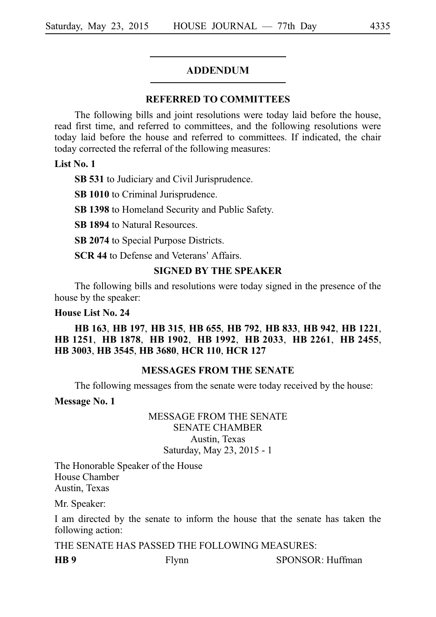#### ADDENDUM

#### **REFERRED TO COMMITTEES**

The following bills and joint resolutions were today laid before the house, read first time, and referred to committees, and the following resolutions were today laid before the house and referred to committees. If indicated, the chair today corrected the referral of the following measures:

## **List No. 1**

**SB 531** to Judiciary and Civil Jurisprudence.

**SB 1010** to Criminal Jurisprudence.

**SB 1398** to Homeland Security and Public Safety.

**SB 1894** to Natural Resources.

**SB 2074** to Special Purpose Districts.

**SCR 44** to Defense and Veterans' Affairs.

## **SIGNED BY THE SPEAKER**

The following bills and resolutions were today signed in the presence of the house by the speaker:

#### **House List No. 24**

**HB**i**163**, **HB**i**197**, **HB**i**315**, **HB**i**655**, **HB**i**792**, **HB**i**833**, **HB**i**942**, **HB**i**1221**, **HB**i**1251**, **HB**i**1878**, **HB**i**1902**, **HB**i**1992**, **HB**i**2033**, **HB**i**2261**, **HB**i**2455**, **HB**i**3003**, **HB**i**3545**, **HB**i**3680**, **HCR**i**110**, **HCR**i**127**

#### **MESSAGES FROM THE SENATE**

The following messages from the senate were today received by the house:

#### **Message No. 1**

# MESSAGE FROM THE SENATE SENATE CHAMBER Austin, Texas Saturday, May 23, 2015 - 1

The Honorable Speaker of the House House Chamber Austin, Texas

Mr. Speaker:

I am directed by the senate to inform the house that the senate has taken the following action:

THE SENATE HAS PASSED THE FOLLOWING MEASURES:

**HB 9** Flynn SPONSOR: Huffman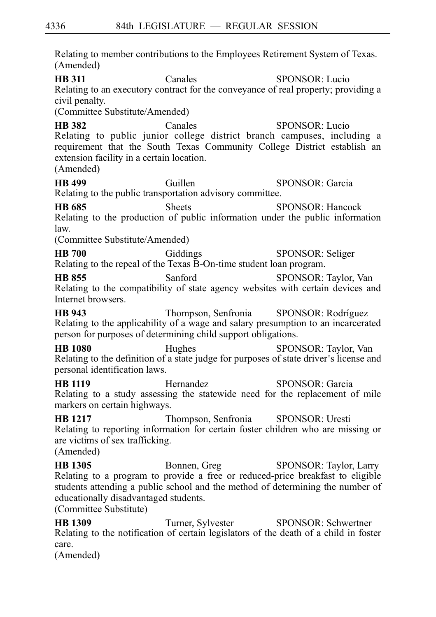Relating to member contributions to the Employees Retirement System of Texas. (Amended)

**HB 311** Canales SPONSOR: Lucio Relating to an executory contract for the conveyance of real property; providing a civil penalty.

(Committee Substitute/Amended)

**HB 382** Canales SPONSOR: Lucio Relating to public junior college district branch campuses, including a requirement that the South Texas Community College District establish an extension facility in a certain location.

(Amended)

**HB 499** Guillen SPONSOR: Garcia Relating to the public transportation advisory committee.

**HB 685** Sheets Sheets SPONSOR: Hancock Relating to the production of public information under the public information law.

(Committee Substitute/Amended)

**HB 700** Giddings SPONSOR: Seliger Relating to the repeal of the Texas B-On-time student loan program.

**HB 855** Sanford SPONSOR: Taylor, Van Relating to the compatibility of state agency websites with certain devices and Internet browsers.

**HB 943** Thompson, Senfronia SPONSOR: Rodríguez Relating to the applicability of a wage and salary presumption to an incarcerated person for purposes of determining child support obligations.

**HB 1080** Hughes SPONSOR: Taylor, Van Relating to the definition of a state judge for purposes of state driver's license and personal identification laws.

**HB 1119** Hernandez SPONSOR: Garcia Relating to a study assessing the statewide need for the replacement of mile markers on certain highways.

**HB 1217** Thompson, Senfronia SPONSOR: Uresti Relating to reporting information for certain foster children who are missing or are victims of sex trafficking.

(Amended)

**HB 1305** Bonnen, Greg SPONSOR: Taylor, Larry Relating to a program to provide a free or reduced-price breakfast to eligible students attending a public school and the method of determining the number of educationally disadvantaged students.

(Committee Substitute)

**HB 1309** Turner, Sylvester SPONSOR: Schwertner Relating to the notification of certain legislators of the death of a child in foster care.

(Amended)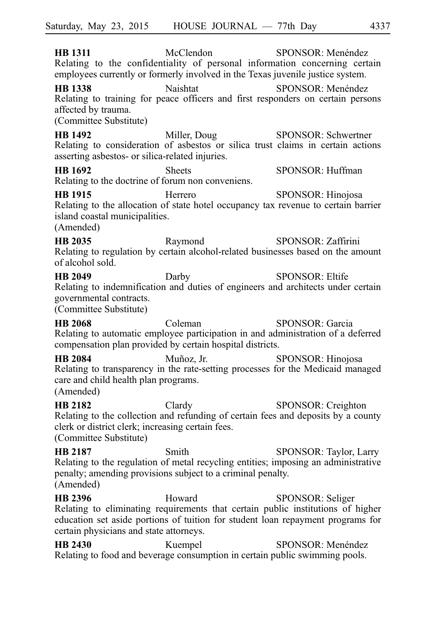**HB 1311** McClendon SPONSOR: Menéndez Relating to the confidentiality of personal information concerning certain employees currently or formerly involved in the Texas juvenile justice system. **HB 1338** Naishtat SPONSOR: Menéndez Relating to training for peace officers and first responders on certain persons affected by trauma. (Committee Substitute) **HB 1492** Miller, Doug SPONSOR: Schwertner Relating to consideration of asbestos or silica trust claims in certain actions asserting asbestos- or silica-related injuries. **HB 1692** Sheets SPONSOR: Huffman Relating to the doctrine of forum non conveniens. **HB 1915** Herrero SPONSOR: Hinojosa Relating to the allocation of state hotel occupancy tax revenue to certain barrier island coastal municipalities. (Amended) **HB 2035** Raymond SPONSOR: Zaffirini Relating to regulation by certain alcohol-related businesses based on the amount of alcohol sold. **HB 2049** Darby Darby SPONSOR: Eltife Relating to indemnification and duties of engineers and architects under certain governmental contracts. (Committee Substitute) **HB 2068** Coleman SPONSOR: Garcia Relating to automatic employee participation in and administration of a deferred compensation plan provided by certain hospital districts. **HB 2084** Muñoz, Jr. SPONSOR: Hinojosa Relating to transparency in the rate-setting processes for the Medicaid managed care and child health plan programs. (Amended) **HB 2182** Clardy SPONSOR: Creighton Relating to the collection and refunding of certain fees and deposits by a county clerk or district clerk; increasing certain fees. (Committee Substitute) **HB 2187** Smith SPONSOR: Taylor, Larry Relating to the regulation of metal recycling entities; imposing an administrative penalty; amending provisions subject to a criminal penalty. (Amended) **HB 2396** Howard SPONSOR: Seliger Relating to eliminating requirements that certain public institutions of higher education set aside portions of tuition for student loan repayment programs for certain physicians and state attorneys.

**HB 2430** Kuempel SPONSOR: Menéndez Relating to food and beverage consumption in certain public swimming pools.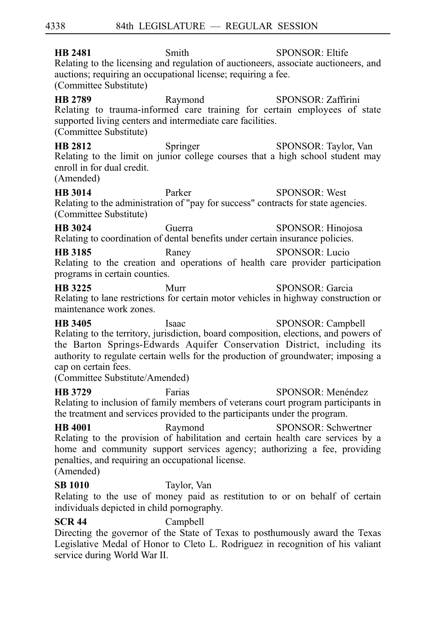**HB 2481** Smith SPONSOR: Eltife Relating to the licensing and regulation of auctioneers, associate auctioneers, and auctions; requiring an occupational license; requiring a fee. (Committee Substitute) **HB 2789** Raymond SPONSOR: Zaffirini Relating to trauma-informed care training for certain employees of state supported living centers and intermediate care facilities. (Committee Substitute) **HB 2812** Springer SPONSOR: Taylor, Van Relating to the limit on junior college courses that a high school student may enroll in for dual credit. (Amended) **HB 3014** Parker SPONSOR: West Relating to the administration of "pay for success" contracts for state agencies. (Committee Substitute) **HB 3024** Guerra SPONSOR: Hinojosa Relating to coordination of dental benefits under certain insurance policies. **HB 3185** Raney SPONSOR: Lucio Relating to the creation and operations of health care provider participation programs in certain counties. **HB 3225** Murr SPONSOR: Garcia Relating to lane restrictions for certain motor vehicles in highway construction or maintenance work zones. **HB 3405** Isaac SPONSOR: Campbell Relating to the territory, jurisdiction, board composition, elections, and powers of the Barton Springs-Edwards Aquifer Conservation District, including its authority to regulate certain wells for the production of groundwater; imposing a cap on certain fees. (Committee Substitute/Amended) **HB 3729 Farias Farias** SPONSOR: Menéndez Relating to inclusion of family members of veterans court program participants in the treatment and services provided to the participants under the program. **HB 4001** Raymond SPONSOR: Schwertner Relating to the provision of habilitation and certain health care services by a home and community support services agency; authorizing a fee, providing penalties, and requiring an occupational license. (Amended) **SB 1010** Taylor, Van 4338 84th LEGISLATURE — REGULAR SESSION

Relating to the use of money paid as restitution to or on behalf of certain individuals depicted in child pornography.

**SCR 44** Campbell

Directing the governor of the State of Texas to posthumously award the Texas Legislative Medal of Honor to Cleto L. Rodriguez in recognition of his valiant service during World War II.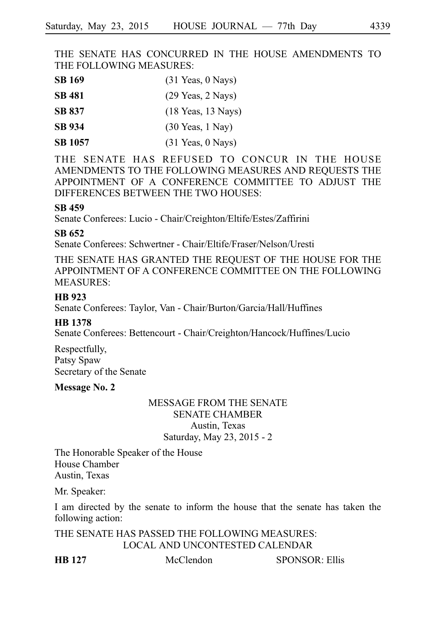THE SENATE HAS CONCURRED IN THE HOUSE AMENDMENTS TO THE FOLLOWING MEASURES:

**SB 169** (31 Yeas, 0 Nays) **SB 481** (29 Yeas, 2 Nays) **SB 837** (18 Yeas, 13 Nays) **SB 934** (30 Yeas, 1 Nay) **SB 1057** (31 Yeas, 0 Nays)

THE SENATE HAS REFUSED TO CONCUR IN THE HOUSE AMENDMENTS TO THE FOLLOWING MEASURES AND REQUESTS THE APPOINTMENT OF A CONFERENCE COMMITTEE TO ADJUST THE DIFFERENCES BETWEEN THE TWO HOUSES:

# **SB 459**

Senate Conferees: Lucio - Chair/Creighton/Eltife/Estes/Zaffirini

#### **SB 652**

Senate Conferees: Schwertner - Chair/Eltife/Fraser/Nelson/Uresti

THE SENATE HAS GRANTED THE REQUEST OF THE HOUSE FOR THE APPOINTMENT OF A CONFERENCE COMMITTEE ON THE FOLLOWING MEASURES:

#### **HB 923**

Senate Conferees: Taylor, Van - Chair/Burton/Garcia/Hall/Huffines

## **HB 1378**

Senate Conferees: Bettencourt - Chair/Creighton/Hancock/Huffines/Lucio

Respectfully, Patsy Spaw Secretary of the Senate

#### **Message No. 2**

## MESSAGE FROM THE SENATE SENATE CHAMBER Austin, Texas Saturday, May 23, 2015 - 2

The Honorable Speaker of the House House Chamber Austin, Texas

Mr. Speaker:

I am directed by the senate to inform the house that the senate has taken the following action:

THE SENATE HAS PASSED THE FOLLOWING MEASURES: LOCAL AND UNCONTESTED CALENDAR

**HB 127** McClendon SPONSOR: Ellis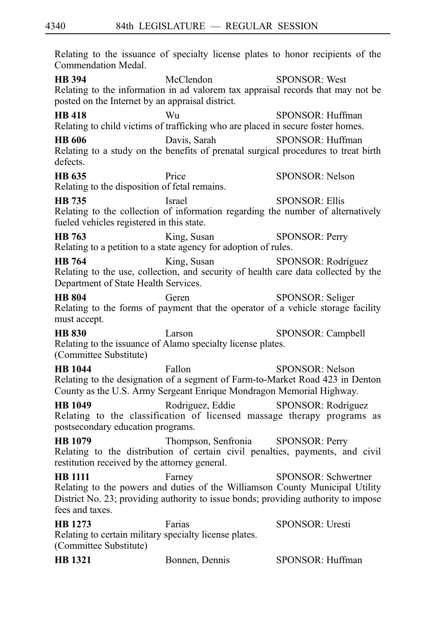Relating to the issuance of specialty license plates to honor recipients of the Commendation Medal. **HB 394** McClendon SPONSOR: West Relating to the information in ad valorem tax appraisal records that may not be posted on the Internet by an appraisal district. **HB 418** Wu SPONSOR: Huffman Relating to child victims of trafficking who are placed in secure foster homes. **HB 606** Davis, Sarah SPONSOR: Huffman Relating to a study on the benefits of prenatal surgical procedures to treat birth defects. **HB 635** Price SPONSOR: Nelson Relating to the disposition of fetal remains. **HB 735** Israel SPONSOR: Ellis Relating to the collection of information regarding the number of alternatively fueled vehicles registered in this state. **HB 763** King, Susan SPONSOR: Perry Relating to a petition to a state agency for adoption of rules. **HB 764** King, Susan SPONSOR: Rodríguez Relating to the use, collection, and security of health care data collected by the Department of State Health Services. **HB 804** Geren SPONSOR: Seliger Relating to the forms of payment that the operator of a vehicle storage facility must accept. **HB 830** Larson SPONSOR: Campbell Relating to the issuance of Alamo specialty license plates. (Committee Substitute) **HB 1044** Fallon Fallon SPONSOR: Nelson Relating to the designation of a segment of Farm-to-Market Road 423 in Denton County as the U.S. Army Sergeant Enrique Mondragon Memorial Highway. **HB 1049** Rodriguez, Eddie SPONSOR: Rodríguez Relating to the classification of licensed massage therapy programs as postsecondary education programs. **HB 1079** Thompson, Senfronia SPONSOR: Perry Relating to the distribution of certain civil penalties, payments, and civil restitution received by the attorney general. **HB 1111** Farney SPONSOR: Schwertner Relating to the powers and duties of the Williamson County Municipal Utility District No. 23; providing authority to issue bonds; providing authority to impose fees and taxes. **HB 1273** Farias SPONSOR: Uresti Relating to certain military specialty license plates. (Committee Substitute) **HB 1321** Bonnen, Dennis SPONSOR: Huffman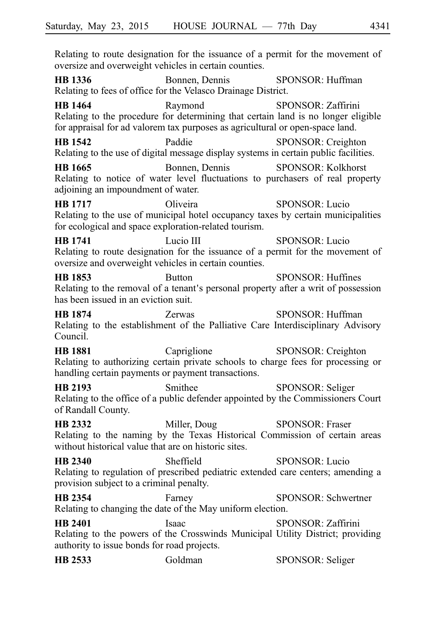Relating to route designation for the issuance of a permit for the movement of oversize and overweight vehicles in certain counties.

**HB 1336** Bonnen, Dennis SPONSOR: Huffman Relating to fees of office for the Velasco Drainage District.

**HB 1464** Raymond SPONSOR: Zaffirini Relating to the procedure for determining that certain land is no longer eligible for appraisal for ad valorem tax purposes as agricultural or open-space land.

**HB 1542** Paddie SPONSOR: Creighton Relating to the use of digital message display systems in certain public facilities.

**HB 1665** Bonnen, Dennis SPONSOR: Kolkhorst Relating to notice of water level fluctuations to purchasers of real property adjoining an impoundment of water.

**HB 1717** Oliveira SPONSOR: Lucio Relating to the use of municipal hotel occupancy taxes by certain municipalities for ecological and space exploration-related tourism.

**HB 1741** Lucio III SPONSOR: Lucio Relating to route designation for the issuance of a permit for the movement of oversize and overweight vehicles in certain counties.

**HB 1853** Button Button SPONSOR: Huffines Relating to the removal of a tenant's personal property after a writ of possession has been issued in an eviction suit.

**HB 1874** Zerwas SPONSOR: Huffman Relating to the establishment of the Palliative Care Interdisciplinary Advisory Council.

**HB 1881** Capriglione SPONSOR: Creighton Relating to authorizing certain private schools to charge fees for processing or handling certain payments or payment transactions.

**HB 2193** Smithee SPONSOR: Seliger Relating to the office of a public defender appointed by the Commissioners Court of Randall County.

**HB 2332** Miller, Doug SPONSOR: Fraser Relating to the naming by the Texas Historical Commission of certain areas without historical value that are on historic sites.

**HB 2340** Sheffield SPONSOR: Lucio Relating to regulation of prescribed pediatric extended care centers; amending a provision subject to a criminal penalty.

**HB 2354** Farney SPONSOR: Schwertner Relating to changing the date of the May uniform election.

**HB 2401** Isaac SPONSOR: Zaffirini Relating to the powers of the Crosswinds Municipal Utility District; providing authority to issue bonds for road projects.

**HB 2533** Goldman SPONSOR: Seliger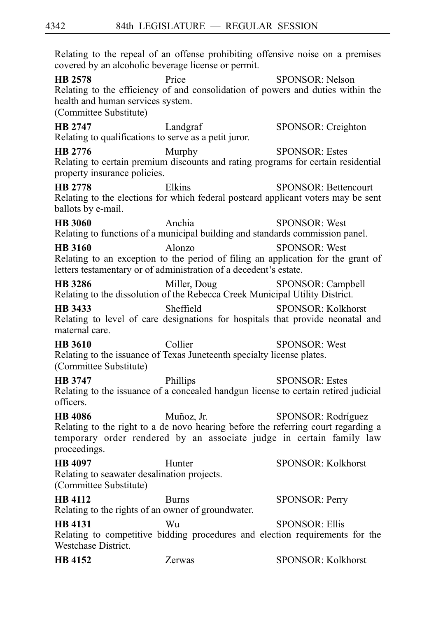Relating to the repeal of an offense prohibiting offensive noise on a premises covered by an alcoholic beverage license or permit. **HB 2578** Price SPONSOR: Nelson Relating to the efficiency of and consolidation of powers and duties within the health and human services system. (Committee Substitute) **HB 2747** Landgraf SPONSOR: Creighton Relating to qualifications to serve as a petit juror. **HB 2776** Murphy SPONSOR: Estes Relating to certain premium discounts and rating programs for certain residential property insurance policies. **HB 2778** Elkins SPONSOR: Bettencourt Relating to the elections for which federal postcard applicant voters may be sent ballots by e-mail. **HB 3060** Anchia SPONSOR: West Relating to functions of a municipal building and standards commission panel. **HB 3160** Alonzo SPONSOR: West Relating to an exception to the period of filing an application for the grant of letters testamentary or of administration of a decedent's estate. **HB 3286** Miller, Doug SPONSOR: Campbell Relating to the dissolution of the Rebecca Creek Municipal Utility District. **HB 3433** Sheffield SPONSOR: Kolkhorst Relating to level of care designations for hospitals that provide neonatal and maternal care. **HB 3610** Collier SPONSOR: West Relating to the issuance of Texas Juneteenth specialty license plates. (Committee Substitute) **HB 3747** Phillips SPONSOR: Estes Relating to the issuance of a concealed handgun license to certain retired judicial officers. **HB 4086** Muñoz, Jr. SPONSOR: Rodríguez Relating to the right to a de novo hearing before the referring court regarding a temporary order rendered by an associate judge in certain family law proceedings. **HB 4097** Hunter SPONSOR: Kolkhorst Relating to seawater desalination projects. (Committee Substitute) **HB 4112** Burns SPONSOR: Perry Relating to the rights of an owner of groundwater. **HB 4131** Wu SPONSOR: Ellis Relating to competitive bidding procedures and election requirements for the Westchase District. **HB 4152 Zerwas SPONSOR: Kolkhorst**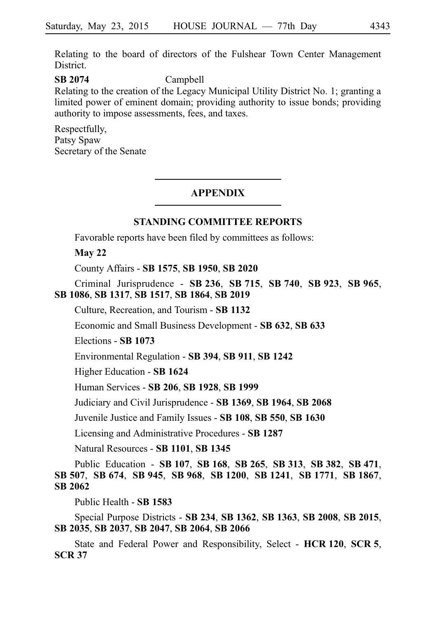Relating to the board of directors of the Fulshear Town Center Management District.

**SB 2074** Campbell Relating to the creation of the Legacy Municipal Utility District No. 1; granting a limited power of eminent domain; providing authority to issue bonds; providing authority to impose assessments, fees, and taxes.

Respectfully, Patsy Spaw Secretary of the Senate

#### **APPENDIX**

## **STANDING COMMITTEE REPORTS**

Favorable reports have been filed by committees as follows:

## **May 22**

County Affairs - **SB**i**1575**, **SB**i**1950**, **SB**i**2020**

Criminal Jurisprudence - **SB**i**236**, **SB**i**715**, **SB**i**740**, **SB**i**923**, **SB**i**965**, **SB**i**1086**, **SB**i**1317**, **SB**i**1517**, **SB**i**1864**, **SB**i**2019**

Culture, Recreation, and Tourism - **SB**i**1132**

Economic and Small Business Development - **SB**i**632**, **SB**i**633**

Elections - **SB**i**1073**

Environmental Regulation - **SB**i**394**, **SB**i**911**, **SB**i**1242**

Higher Education - **SB**i**1624**

Human Services - **SB**i**206**, **SB**i**1928**, **SB**i**1999**

Judiciary and Civil Jurisprudence - **SB**i**1369**, **SB**i**1964**, **SB**i**2068**

Juvenile Justice and Family Issues - **SB**i**108**, **SB**i**550**, **SB**i**1630**

Licensing and Administrative Procedures - **SB**i**1287**

Natural Resources - **SB**i**1101**, **SB**i**1345**

Public Education - **SB**i**107**, **SB**i**168**, **SB**i**265**, **SB**i**313**, **SB**i**382**, **SB**i**471**, **SB**i**507**, **SB**i**674**, **SB**i**945**, **SB**i**968**, **SB**i**1200**, **SB**i**1241**, **SB**i**1771**, **SB**i**1867**, **SB**i**2062**

Public Health - **SB**i**1583**

Special Purpose Districts - **SB**i**234**, **SB**i**1362**, **SB**i**1363**, **SB**i**2008**, **SB**i**2015**, **SB**i**2035**, **SB**i**2037**, **SB**i**2047**, **SB**i**2064**, **SB**i**2066**

State and Federal Power and Responsibility, Select - **HCR**i**120**, **SCR**i**5**, **SCR**i**37**